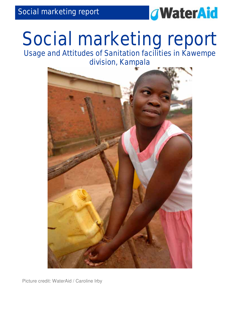

# Social marketing report

Usage and Attitudes of Sanitation facilities in Kawempe division, Kampala



Picture credit: WaterAid / Caroline Irby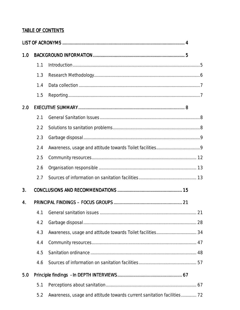#### **TABLE OF CONTENTS**

| 1.0 |     |                                                                        |  |
|-----|-----|------------------------------------------------------------------------|--|
|     | 1.1 |                                                                        |  |
|     | 1.3 |                                                                        |  |
|     | 1.4 |                                                                        |  |
|     | 1.5 |                                                                        |  |
| 2.0 |     |                                                                        |  |
|     | 2.1 |                                                                        |  |
|     | 2.2 |                                                                        |  |
|     | 2.3 |                                                                        |  |
|     | 2.4 |                                                                        |  |
|     | 2.5 |                                                                        |  |
|     | 2.6 |                                                                        |  |
|     | 2.7 |                                                                        |  |
| 3.  |     |                                                                        |  |
| 4.  |     |                                                                        |  |
|     | 4.1 |                                                                        |  |
|     | 4.2 |                                                                        |  |
|     | 4.3 |                                                                        |  |
|     | 4.4 |                                                                        |  |
|     | 4.5 |                                                                        |  |
|     | 4.6 |                                                                        |  |
| 5.0 |     |                                                                        |  |
|     | 5.1 |                                                                        |  |
|     | 5.2 | Awareness, usage and attitude towards current sanitation facilities 72 |  |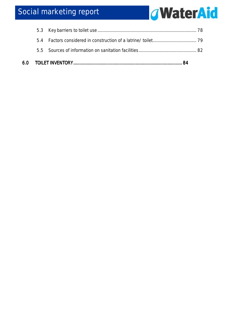## Social marketing report

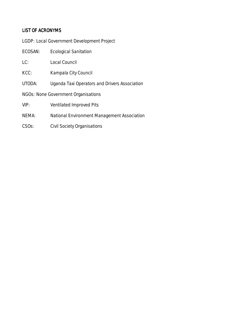#### LIST OF ACRONYMS

|  | LGDP: Local Government Development Project |  |  |
|--|--------------------------------------------|--|--|
|  |                                            |  |  |

- ECOSAN: Ecological Sanitation
- LC: Local Council
- KCC: Kampala City Council
- UTODA: Uganda Taxi Operators and Drivers Association
- NGOs: None Government Organisations
- VIP: Ventilated Improved Pits
- NEMA: National Environment Management Association
- CSOs: Civil Society Organisations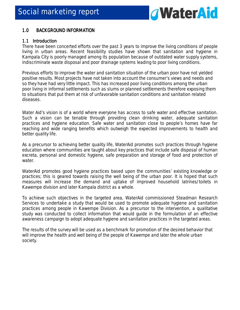

#### 1.0 BACKGROUND INFORMATION

#### 1.1 Introduction

There have been concerted efforts over the past 3 years to improve the living conditions of people living in urban areas. Recent feasibility studies have shown that sanitation and hygiene in Kampala City is poorly managed among its population because of outdated water supply systems, indiscriminate waste disposal and poor drainage systems leading to poor living conditions.

Previous efforts to improve the water and sanitation situation of the urban poor have not yielded positive results. Most projects have not taken into account the consumer's views and needs and so they have had very little impact. This has increased poor living conditions among the urban poor living in informal settlements such as slums or planned settlements therefore exposing them to situations that put them at risk of unfavorable sanitation conditions and sanitation related diseases.

Water Aid's vision is of a world where everyone has access to safe water and effective sanitation. Such a vision can be tenable through providing clean drinking water, adequate sanitation practices and hygiene education. Safe water and sanitation close to people's homes have far reaching and wide ranging benefits which outweigh the expected improvements to health and better quality life.

As a precursor to achieving better quality life, WaterAid promotes such practices through hygiene education where communities are taught about key practices that include safe disposal of human excreta, personal and domestic hygiene, safe preparation and storage of food and protection of water.

WaterAid promotes good hygiene practices based upon the communities' existing knowledge or practices; this is geared towards raising the well being of the urban poor. It is hoped that such measures will increase the demand and uptake of improved household latrines/toilets in Kawempe division and later Kampala district as a whole.

To achieve such objectives in the targeted area, WaterAid commissioned Steadman Research Services to undertake a study that would be used to promote adequate hygiene and sanitation practices among people in Kawempe Division. As a precursor to the intervention, a qualitative study was conducted to collect information that would guide in the formulation of an effective awareness campaign to adopt adequate hygiene and sanitation practices in the targeted areas.

The results of the survey will be used as a benchmark for promotion of the desired behavior that will improve the health and well being of the people of Kawempe and later the whole urban society.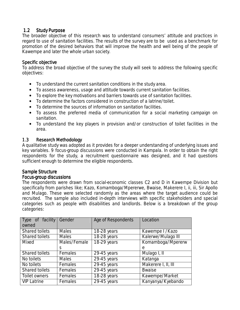#### 1.2 Study Purpose

The broader objective of this research was to understand consumers' attitude and practices in regard to use of sanitation facilities. The results of the survey are to be used as a benchmark for promotion of the desired behaviors that will improve the health and well being of the people of Kawempe and later the whole urban society.

#### Specific objective

To address the broad objective of the survey the study will seek to address the following specific objectives:

- To understand the current sanitation conditions in the study area.
- To assess awareness, usage and attitude towards current sanitation facilities.
- To explore the key motivations and barriers towards use of sanitation facilities.
- To determine the factors considered in construction of a latrine/toilet.
- To determine the sources of information on sanitation facilities.
- To assess the preferred media of communication for a social marketing campaign on sanitation.
- To understand the key players in provision and/or construction of toilet facilities in the area.

#### 1.3 Research Methodology

A qualitative study was adopted as it provides for a deeper understanding of underlying issues and key variables. 9 focus-group discussions were conducted in Kampala. In order to obtain the right respondents for the study, a recruitment questionnaire was designed, and it had questions sufficient enough to determine the eligible respondents.

#### Sample Structure

#### Focus-group discussions

The respondents were drawn from social-economic classes C2 and D in Kawempe Division but specifically from parishes like; Kazo, Komamboga/Mpererwe, Bwaise, Makerere I, ii, iii, Sir Apollo and Mulago. These were selected randomly as the areas where the target audience could be recruited. The sample also included in-depth interviews with specific stakeholders and special categories such as people with disabilities and landlords. Below is a breakdown of the group categories:

| Type of facility      | Gender       | Age of Respondents | Location            |
|-----------------------|--------------|--------------------|---------------------|
| owned                 |              |                    |                     |
| <b>Shared toilets</b> | <b>Males</b> | 18-28 years        | Kawempe I / Kazo    |
| Shared toilets        | <b>Males</b> | 18-28 years        | Kalerwe/Mulago III  |
| Mixed                 | Males/Female | 18-29 years        | Komamboga/Mpererw   |
|                       | S            |                    | е                   |
| <b>Shared toilets</b> | Females      | 29-45 years        | Mulago I, II        |
| No toilets            | <b>Males</b> | $29-45$ years      | Katanga             |
| No toilets            | Females      | $29-45$ years      | Makerere I, II, III |
| <b>Shared toilets</b> | Females      | $29-45$ years      | <b>Bwaise</b>       |
| Toilet owners         | Females      | 18-28 years        | Kawempe/Market      |
| <b>VIP Latrine</b>    | Females      | $29-45$ years      | Kanyanya/Kyebando   |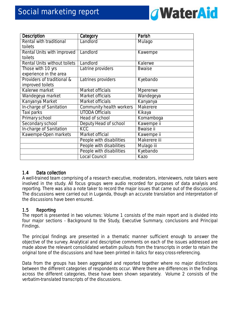

| <b>Description</b>           | Category                 | Parish           |
|------------------------------|--------------------------|------------------|
| Rental with traditional      | Landlord                 | Mulago           |
| toilets                      |                          |                  |
| Rental Units with improved   | Landlord                 | Kawempe          |
| toilets                      |                          |                  |
| Rental Units without toilets | Landlord                 | Kalerwe          |
| Those with 10 yrs            | Latrine providers        | <b>Bwaise</b>    |
| experience in the area       |                          |                  |
| Providers of traditional &   | Latrines providers       | Kyebando         |
| improved toilets             |                          |                  |
| Kalerwe market               | Market officials         | Mpererwe         |
| Wandegeya market             | Market officials         | Wandegeya        |
| Kanyanya Market              | Market officials         | Kanyanya         |
| In-charge of Sanitation      | Community health workers | Makerere         |
| Taxi parks                   | <b>UTODA Officials</b>   | Kikaya           |
| Primary school               | <b>Head of school</b>    | Komamboga        |
| Secondary school             | Deputy Head of school    | Kawempe ii       |
| In-charge of Sanitation      | <b>KCC</b>               | <b>Bwaise ii</b> |
| Kawempe-Open markets         | Market official          | Kawempe ii       |
|                              | People with disabilities | Makerere iii     |
|                              | People with disabilities | Mulago iii       |
|                              | People with disabilities | Kyebando         |
|                              | <b>Local Council</b>     | Kazo             |

#### 1.4 Data collection

A well-trained team comprising of a research executive, moderators, interviewers, note takers were involved in the study. All focus groups were audio recorded for purposes of data analysis and reporting. There was also a note taker to record the major issues that came out of the discussions. The discussions were carried out in Luganda, though an accurate translation and interpretation of the discussions have been ensured.

#### 1.5 Reporting

The report is presented in two volumes: Volume 1 consists of the main report and is divided into four major sections - Background to the Study, Executive Summary, conclusions and Principal Findings.

The principal findings are presented in a thematic manner sufficient enough to answer the objective of the survey. Analytical and descriptive comments on each of the issues addressed are made above the relevant consolidated verbatim pullouts from the transcripts in order to retain the original tone of the discussions and have been printed in italics for easy cross-referencing.

Data from the groups has been aggregated and reported together where no major distinctions between the different categories of respondents occur. Where there are differences in the findings across the different categories, these have been shown separately. Volume 2 consists of the verbatim-translated transcripts of the discussions.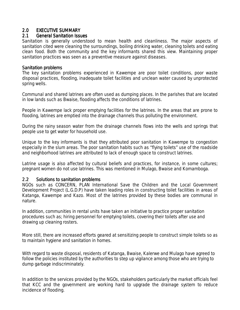#### 2.0 EXECUTIVE SUMMARY

#### 2.1 General Sanitation Issues

Sanitation is generally understood to mean health and cleanliness. The major aspects of sanitation cited were cleaning the surroundings, boiling drinking water, cleaning toilets and eating clean food. Both the community and the key informants shared this view. Maintaining proper sanitation practices was seen as a preventive measure against diseases.

#### Sanitation problems

The key sanitation problems experienced in Kawempe are poor toilet conditions, poor waste disposal practices, flooding, inadequate toilet facilities and unclean water caused by unprotected spring wells.

Communal and shared latrines are often used as dumping places. In the parishes that are located in low lands such as Bwaise, flooding affects the conditions of latrines.

People in Kawempe lack proper emptying facilities for the latrines. In the areas that are prone to flooding, latrines are emptied into the drainage channels thus polluting the environment.

During the rainy season water from the drainage channels flows into the wells and springs that people use to get water for household use.

Unique to the key informants is that they attributed poor sanitation in Kawempe to congestion especially in the slum areas. The poor sanitation habits such as "flying toilets" use of the roadside and neighborhood latrines are attributed to lack of enough space to construct latrines.

Latrine usage is also affected by cultural beliefs and practices, for instance, in some cultures; pregnant women do not use latrines. This was mentioned in Mulago, Bwaise and Komamboga.

#### 2.2 Solutions to sanitation problems

NGOs such as CONCERN, PLAN International Save the Children and the Local Government Development Project (L.G.D.P) have taken leading roles in constructing toilet facilities in areas of Katanga, Kawempe and Kazo. Most of the latrines provided by these bodies are communal in nature.

In addition, communities in rental units have taken an initiative to practice proper sanitation procedures such as; hiring personnel for emptying toilets, covering their toilets after use and drawing up cleaning rosters.

More still, there are increased efforts geared at sensitizing people to construct simple toilets so as to maintain hygiene and sanitation in homes.

With regard to waste disposal, residents of Katanga, Bwaise, Kalerwe and Mulago have agreed to follow the policies instituted by the authorities to step up vigilance among those who are trying to dump garbage indiscriminately.

In addition to the services provided by the NGOs, stakeholders particularly the market officials feel that KCC and the government are working hard to upgrade the drainage system to reduce incidence of flooding.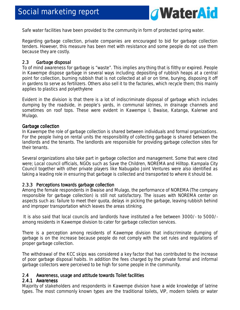

Safe water facilities have been provided to the community in form of protected spring water.

Regarding garbage collection, private companies are encouraged to bid for garbage collection tenders. However, this measure has been met with resistance and some people do not use them because they are costly.

#### 2.3 Garbage disposal

To of mind awareness for garbage is "waste". This implies any thing that is filthy or expired. People in Kawempe dispose garbage in several ways including; depositing of rubbish heaps at a central point for collection, burning rubbish that is not collected at all or on time, burying, disposing it off in gardens to serve as fertilizers. Others also sell it to the factories, which recycle them; this mainly applies to plastics and polyethylene

Evident in the division is that there is a lot of indiscriminate disposal of garbage which includes dumping by the roadside, in people's yards, in communal latrines, in drainage channels and sometimes on roof tops. These were evident in Kawempe I, Bwaise, Katanga, Kalerwe and Mulago.

#### Garbage collection

In Kawempe the role of garbage collection is shared between individuals and formal organizations. For the people living on rental units the responsibility of collecting garbage is shared between the landlords and the tenants. The landlords are responsible for providing garbage collection sites for their tenants.

Several organizations also take part in garbage collection and management. Some that were cited were; Local council officials, NGOs such as Save the Children, NOREMA and Hilltop. Kampala City Council together with other private players like Nabugabo Joint Ventures were also identified as taking a leading role in ensuring that garbage is collected and transported to where it should be.

#### 2.3.3 Perceptions towards garbage collection

Among the female respondents in Bwaise and Mulago, the performance of NOREMA (The company responsible for garbage collection) is still not satisfactory. The issues with NOREMA center on aspects such as: failure to meet their quota, delays in picking the garbage, leaving rubbish behind and improper transportation which leaves the areas stinking.

 It is also said that local councils and landlords have instituted a fee between 3000/- to 5000/ among residents in Kawempe division to cater for garbage collection services.

There is a perception among residents of Kawempe division that indiscriminate dumping of garbage is on the increase because people do not comply with the set rules and regulations of proper garbage collection.

The withdrawal of the KCC skips was considered a key factor that has contributed to the increase of poor garbage disposal habits. In addition the fees charged by the private formal and informal garbage collectors were perceived to be high for some people in the community.

#### 2.4 Awareness, usage and attitude towards Toilet facilities

#### 2.4.1 Awareness

Majority of stakeholders and respondents in Kawempe division have a wide knowledge of latrine types. The most commonly known types are the traditional toilets, VIP, modern toilets or water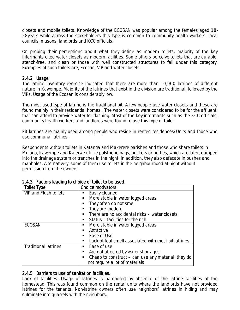closets and mobile toilets. Knowledge of the ECOSAN was popular among the females aged 18- 28years while across the stakeholders this type is common to community health workers, local councils, masons, landlords and KCC officials.

On probing their perceptions about what they define as modern toilets, majority of the key informants cited water closets as modern facilities. Some others perceive toilets that are durable, stench-free, and clean or those with well constructed structures to fall under this category. Examples of such toilets are; Ecosan, VIP and water closets.

#### $2.4.2$  Usage

The latrine inventory exercise indicated that there are more than 10,000 latrines of different nature in Kawempe. Majority of the latrines that exist in the division are traditional, followed by the VIPs. Usage of the Ecosan is considerably low.

The most used type of latrine is the traditional pit. A few people use water closets and these are found mainly in their residential homes. The water closets were considered to be for the affluent; that can afford to provide water for flashing. Most of the key informants such as the KCC officials, community health workers and landlords were found to use this type of toilet.

Pit latrines are mainly used among people who reside in rented residences/Units and those who use communal latrines.

Respondents without toilets in Katanga and Makerere parishes and those who share toilets in Mulago, Kawempe and Kalerwe utilize polythene bags, buckets or potties, which are later, dumped into the drainage system or trenches in the night. In addition, they also defecate in bushes and manholes. Alternatively, some of them use toilets in the neighbourhood at night without permission from the owners.

| <b>Toilet Type</b>           | <b>Choice motivators</b>                             |
|------------------------------|------------------------------------------------------|
| <b>VIP and Flush toilets</b> | Easily cleaned                                       |
|                              | More stable in water logged areas<br>ш               |
|                              | They often do not smell                              |
|                              | They are modern                                      |
|                              | There are no accidental risks - water closets        |
|                              | Status – facilities for the rich<br>п.               |
| <b>ECOSAN</b>                | More stable in water logged areas                    |
|                              | Attractive                                           |
|                              | Ease of Use<br>п.                                    |
|                              | Lack of foul smell associated with most pit latrines |
| <b>Traditional latrines</b>  | Ease of use                                          |
|                              | Are not affected by water shortages<br>ш             |
|                              | Cheap to construct – can use any material, they do   |
|                              | not require a lot of materials                       |

#### 2.4.3 Factors leading to choice of toilet to be used.

#### 2.4.5 Barriers to use of sanitation facilities.

*Lack of facilities:* Usage of latrines is hampered by absence of the latrine facilities at the homestead. This was found common on the rental units where the landlords have not provided latrines for the tenants. Non-latrine owners often use neighbors' latrines in hiding and may culminate into quarrels with the neighbors.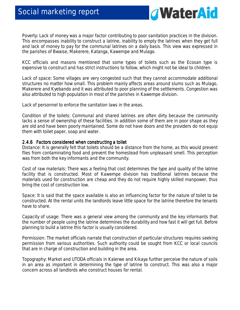

*Poverty:* Lack of money was a major factor contributing to poor sanitation practices in the division. This encompasses inability to construct a latrine, inability to empty the latrines when they get full and lack of money to pay for the communal latrines on a daily basis. This view was expressed in the parishes of Bwaise, Makerere, Katanga, Kawempe and Mulago.

KCC officials and masons mentioned that some types of toilets such as the Ecosan type is expensive to construct and has strict instructions to follow, which might not be ideal to children.

*Lack of space:* Some villages are very congested such that they cannot accommodate additional structures no matter how small. This problem mainly affects areas around slums such as Mulago, Makerere and Kyebando and it was attributed to poor planning of the settlements. Congestion was also attributed to high population in most of the parishes in Kawempe division.

*Lack of personnel to* enforce the sanitation laws in the areas.

*Condition of the toilets:* Communal and shared latrines are often dirty because the community lacks a sense of ownership of these facilities. In addition some of them are in poor shape as they are old and have been poorly maintained. Some do not have doors and the providers do not equip them with toilet paper, soap and water.

#### 2.4.6 Factors considered when constructing a toilet

*Distance*: It is generally felt that toilets should be a distance from the home, as this would prevent flies from contaminating food and prevent the homestead from unpleasant smell. This perception was from both the key informants and the community.

*Cost of raw materials*: There was a feeling that cost determines the type and quality of the latrine facility that is constructed. Most of Kawempe division has traditional latrines because the materials used for construction are cheap and they do not require highly skilled manpower, thus bring the cost of construction low.

*Space:* It is said that the space available is also an influencing factor for the nature of toilet to be constructed. At the rental units the landlords leave little space for the latrine therefore the tenants have to share.

*Capacity of usage:* There was a general view among the community and the key informants that the number of people using the latrine determines the durability and how fast it will get full. Before planning to build a latrine this factor is usually considered.

*Permission*: The market officials narrate that construction of particular structures requires seeking permission from various authorities. Such authority could be sought from KCC or local councils that are in charge of construction and building in the area.

*Topography*: Market and UTODA officials in Kalerwe and Kikaya further perceive the nature of soils in an area as important in determining the type of latrine to construct. This was also a major concern across all landlords who construct houses for rental.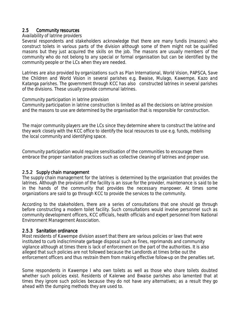#### 2.5 Community resources

#### *Availability of latrine providers*

Several respondents and stakeholders acknowledge that there are many fundis (masons) who construct toilets in various parts of the division although some of them might not be qualified masons but they just acquired the skills on the job. The masons are usually members of the community who do not belong to any special or formal organisation but can be identified by the community people or the LCs when they are needed.

Latrines are also provided by organizations such as Plan International, World Vision, PAPSCA, Save the Children and World Vision in several parishes e.g. Bwaise, Mulago, Kawempe, Kazo and Katanga parishes. The government through KCC has also constructed latrines in several parishes of the divisions. These usually provide communal latrines.

#### *Community participation in latrine provision*

Community participation in latrine construction is limited as all the decisions on latrine provision and the masons to use are determined by the organisation that is responsible for construction.

The major community players are the LCs since they determine where to construct the latrine and they work closely with the KCC office to identify the local resources to use e.g. funds, mobilising the local community and identifying space.

Community participation would require sensitisation of the communities to encourage them embrace the proper sanitation practices such as collective cleaning of latrines and proper use.

#### 2.5.2 Supply chain management

The supply chain management for the latrines is determined by the organization that provides the latrines. Although the provision of the facility is an issue for the provider, maintenance is said to be in the hands of the community that provides the necessary manpower. At times some organizations are said to go through KCC to provide the services to the community.

According to the stakeholders, there are a series of consultations that one should go through before constructing a modern toilet facility. Such consultations would involve personnel such as community development officers, KCC officials, health officials and expert personnel from National Environment Management Association.

#### 2.5.3 Sanitation ordinance

Most residents of Kawempe division assert that there are various policies or laws that were instituted to curb indiscriminate garbage disposal such as fines, reprimands and community vigilance although at times there is lack of enforcement on the part of the authorities. It is also alleged that such policies are not followed because the Landlords at times bribe out the enforcement officers and thus restrain them from making effective follow-up on the penalties set.

Some respondents in Kawempe I who own toilets as well as those who share toilets doubted whether such policies exist. Residents of Kalerwe and Bwaise parishes also lamented that at times they ignore such policies because they do not have any alternatives; as a result they go ahead with the dumping methods they are used to.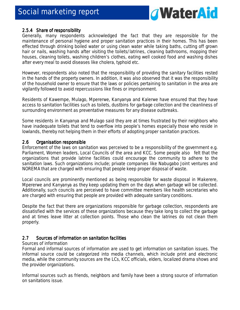

#### 2.5.4 Share of responsibility

Generally, many respondents acknowledged the fact that they are responsible for the maintenance of personal hygiene and proper sanitation practices in their homes. This has been effected through drinking boiled water or using clean water while taking baths, cutting off grown hair or nails, washing hands after visiting the toilets/latrines, cleaning bathrooms, mopping their houses, cleaning toilets, washing children's clothes, eating well cooked food and washing dishes after every meal to avoid diseases like cholera, typhoid etc.

However, respondents also noted that the responsibility of providing the sanitary facilities rested in the hands of the property owners. In addition, it was also observed that it was the responsibility of the household owner to ensure that the laws or policies pertaining to sanitation in the area are vigilantly followed to avoid repercussions like fines or imprisonment.

Residents of Kawempe, Mulago, Mpererwe, Kanyanya and Kalerwe have ensured that they have access to sanitation facilities such as toilets, dustbins for garbage collection and the cleanliness of surrounding environment as preventative measures for any disease outbreaks.

Some residents in Kanyanya and Mulago said they are at times frustrated by their neighbors who have inadequate toilets that tend to overflow into people's homes especially those who reside in lowlands, thereby not helping them in their efforts of adopting proper sanitation practices.

#### 2.6 Organisation responsible

Enforcement of the laws on sanitation was perceived to be a responsibility of the government e.g. Parliament, Women leaders, Local Councils of the area and KCC. Some people also felt that the organizations that provide latrine facilities could encourage the community to adhere to the sanitation laws. Such organizations include; private companies like Nabugabo Joint ventures and NOREMA that are charged with ensuring that people keep proper disposal of waste.

Local councils are prominently mentioned as being responsible for waste disposal in Makerere, Mpererwe and Kanyanya as they keep updating them on the days when garbage will be collected. Additionally, such councils are perceived to have committee members like health secretaries who are charged with ensuring that people are provided with adequate sanitary conditions.

Despite the fact that there are organizations responsible for garbage collection, respondents are dissatisfied with the services of these organizations because they take long to collect the garbage and at times leave litter at collection points. Those who clean the latrines do not clean them properly.

#### 2.7 Sources of information on sanitation facilities

#### *Sources of information*

Formal and informal sources of information are used to get information on sanitation issues. The informal source could be categorized into media channels, which include print and electronic media, while the community sources are the LCs, KCC officials, elders, localized drama shows and the provider organizations.

Informal sources such as friends, neighbors and family have been a strong source of information on sanitations issue.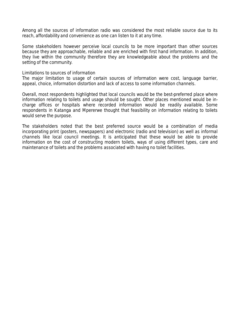Among all the sources of information radio was considered the most reliable source due to its reach, affordability and convenience as one can listen to it at any time.

Some stakeholders however perceive local councils to be more important than other sources because they are approachable, reliable and are enriched with first hand information. In addition, they live within the community therefore they are knowledgeable about the problems and the setting of the community.

#### *Limitations to sources of information*

The major limitation to usage of certain sources of information were cost, language barrier, appeal, choice, information distortion and lack of access to some information channels.

Overall, most respondents highlighted that local councils would be the best-preferred place where information relating to toilets and usage should be sought. Other places mentioned would be incharge offices or hospitals where recorded information would be readily available. Some respondents in Katanga and Mpererwe thought that feasibility on information relating to toilets would serve the purpose.

The stakeholders noted that the best preferred source would be a combination of media incorporating print (posters, newspapers) and electronic (radio and television) as well as informal channels like local council meetings. It is anticipated that these would be able to provide information on the cost of constructing modern toilets, ways of using different types, care and maintenance of toilets and the problems associated with having no toilet facilities.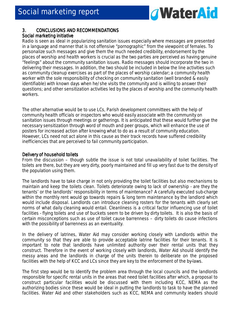

#### 3. CONCLUSIONS AND RECOMMENDATIONS

#### Social marketing initiative

Radio is seen as ideal in popularizing sanitation issues especially where messages are presented in a language and manner that is not offensive "pornographic" from the viewpoint of females. To personalize such messages and give them the much needed credibility, endorsement by the places of worship and health workers is crucial as the two parties are perceived as having genuine "feelings" about the community sanitation issues. Radio messages should incorporate the two in delivering their messages. In addition, the two should be included in below the line activities such as community cleanup exercises as part of the places of worship calendar; a community health worker with the sole responsibility of checking on community sanitation (well branded & easily identifiable) with known days when he/she visits the community and is willing to answer their questions; and other sensitization activities led by the places of worship and the community health workers.

The other alternative would be to use LCs, Parish development committees with the help of community health officials or inspectors who would easily associate with the community on sanitation issues through meetings or gatherings. It is anticipated that these would further give the necessary sensitization through word of mouth and peer groups, which will enhance the use of posters for increased action after knowing what to do as a result of community education. However, LCs need not act alone in this cause as their track records have suffered credibility inefficiencies that are perceived to fail community participation.

#### Delivery of household toilets

From the discussion – though subtle the issue is not total unavailability of toilet facilities. The toilets are there, but they are very dirty, poorly maintained and fill up very fast due to the density of the population using them.

The landlords have to take charge in not only providing the toilet facilities but also mechanisms to maintain and keep the toilets clean. Toilets deteriorate owing to lack of ownership - are they the tenants' or the landlords' responsibility in terms of maintenance? A carefully executed sub-charge within the monthly rent would go towards repairs & long term maintenance by the landlord which would include disposal. Landlords can introduce cleaning rosters for the tenants with clearly set norms of what daily cleaning would entail. Cleanliness is a critical factor influencing use of toilet facilities - flying toilets and use of buckets seem to be driven by dirty toilets. It is also the basis of certain misconceptions such as use of toilet cause barrenness – dirty toilets do cause infections with the possibility of barrenness as an eventuality.

In the delivery of latrines, Water Aid may consider working closely with Landlords within the community so that they are able to provide acceptable latrine facilities for their tenants. It is important to note that landlords have unlimited authority over their rental units that they construct. Therefore in the event of working closely with landlords, Water Aid should identify the messy areas and the landlords in charge of the units therein to deliberate on the proposed facilities with the help of KCC and LCs since they are key to the enforcement of the by-laws.

The first step would be to identify the problem area through the local councils and the landlords responsible for specific rental units in the areas that need toilet facilities after which, a proposal to construct particular facilities would be discussed with them including KCC, NEMA as the authorizing bodies since these would be ideal in putting the landlords to task to have the planned facilities. Water Aid and other stakeholders such as KCC, NEMA and community leaders should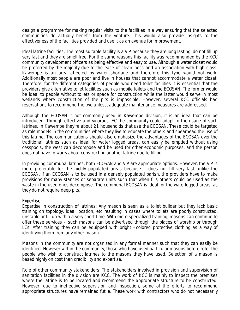design a programme for making regular visits to the facilities in a way ensuring that the selected communities do actually benefit from the venture. This would also provide insights to the effectiveness of the facilities provided and use it as an avenue for improvement.

*Ideal latrine facilities:* The most suitable facility is a VIP because they are long lasting, do not fill up very fast and they are smell free. For the same reasons this facility was recommended by the KCC community development officers as being effective and easy to use. Although a water closet would be preferred by the majority due to the ease of cleanliness and an association with high class, Kawempe is an area affected by water shortage and therefore this type would not work. Additionally most people are poor and live in houses that cannot accommodate a water closet. Therefore, for the different categories of people who need toilet facilities it is essential that the providers give alternative toilet facilities such as mobile toilets and the ECOSAN. The former would be ideal to people without toilets or space for construction while the latter would serve in most wetlands where construction of the pits is impossible. However, several KCC officials had reservations to recommend the two unless, adequate maintenance measures are addressed.

Although the ECOSAN it not commonly used in Kawempe division, it is an idea that can be introduced. Through effective and vigorous IEC the community could adapt to the usage of such latrines. In Kawempe they're about 21 households that use the ECOSAN. These could be targeted as role models in the communities where they live to educate the others and spearhead the use of this latrine. The communications should also emphasize the advantages of the ECOSAN over the traditional latrines such as ideal for water logged areas, can easily be emptied without using cesspools, the west can decompose and be used for other economic purposes, and the person does not have to worry about constructing another latrine due to filling.

In providing communal latrines, both ECOSAN and VIP are appropriate options. However, the VIP is more preferable for the highly populated areas because it does not fill very fast unlike the ECOSAN. If an ECOSAN is to be used in a densely populated parish, the providers have to make provisions for many stances or separate units such that when fills others could be used as the waste in the used ones decompose. The communal ECOSAN is ideal for the waterlogged areas, as they do not require deep pits.

#### **Expertise**

*Expertise in construction of latrines:* Any mason is seen as a toilet builder but they lack basic training on topology, ideal location, etc resulting in cases where toilets are poorly constructed, unstable or fill-up within a very short time. With more specialized training, masons can continue to offer these services – such masons can be advertised through the places of worship or through LCs. After training they can be equipped with bright –colored protective clothing as a way of identifying them from any other mason.

Masons in the community are not organized in any formal manner such that they can easily be identified. However within the community, those who have used particular masons before refer the people who wish to construct latrines to the masons they have used. Selection of a mason is based highly on cost than credibility and expertise.

*Role of other community stakeholders:* The stakeholders involved in provision and supervision of sanitation facilities in the division are KCC. The work of KCC is mainly to inspect the premises where the latrine is to be located and recommend the appropriate structure to be constructed. However, due to ineffective supervision and inspection, some of the efforts to recommend appropriate structures have remained futile. These work with contractors who do not necessarily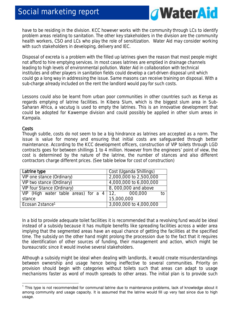

have to be residing in the division. KCC however works with the community through LCs to identify problem areas relating to sanitation. The other key stakeholders in the division are the community health workers, CSO and LCs who play the role of sensitization. Water Aid may consider working with such stakeholders in developing, delivery and IEC.

Disposal of excreta is a problem with the filled up latrines given the reason that most people might not afford to hire emptying services. In most cases latrines are emptied in drainage channels leading to high levels of environmental pollution. Water Aid in collaboration with technical institutes and other players in sanitation fields could develop a cart-driven disposal unit which could go a long way in addressing the issue. Same masons can receive training on disposal. With a sub-charge already included on the rent the landlord would pay for such costs.

Lessons could also be learnt from urban poor communities in other countries such as Kenya as regards emptying of latrine facilities. In Kibera Slum, which is the biggest slum area in Sub-Saharan Africa, a vacutug is used to empty the latrines. This is an innovative development that could be adopted for Kawempe division and could possibly be applied in other slum areas in Kampala.

#### **Costs**

 $\overline{a}$ 

Though subtle, costs do not seem to be a big hindrance as latrines are accepted as a norm. The issue is value for money and ensuring that initial costs are safeguarded through better maintenance. According to the KCC development officers, construction of VIP toilets through LGD contracts goes for between shillings 1 to 4 million. However from the engineers' point of view, the cost is determined by the nature of the latrine, the number of stances and also different contractors charge different prices. *(See table below for cost of construction)* 

| Latrine type                                             | Cost (Uganda Shillings) |
|----------------------------------------------------------|-------------------------|
| VIP one stance (Ordinary)                                | 2,000,000 to 2,500,000  |
| VIP two stance (Ordinary)                                | 4,000,000 to 6,000,000  |
| <b>VIP four Stance (Ordinary)</b>                        | 8,000,000 and above     |
| VIP (High water table areas) for a $4 \mid 12$ , 000,000 | to                      |
| stance                                                   | 15,000,000              |
| Ecosan 2stance <sup>1</sup>                              | 3,000,000 to 4,000,000  |

In a bid to provide adequate toilet facilities it is recommended that a revolving fund would be ideal instead of a subsidy because it has multiple benefits like spreading facilities across a wider area implying that the segmented areas have an equal chance of getting the facilities at the specified time. The subsidy on the other hand might prolong the procession due to the fact that it requires the identification of other sources of funding, their management and action, which might be bureaucratic since it would involve several stakeholders.

Although a subsidy might be ideal when dealing with landlords, it would create misunderstandings between ownership and usage hence being ineffective to several communities. Priority on provision should begin with categories without toilets such that areas can adapt to usage mechanisms faster as word of mouth spreads to other areas. The initial plan is to provide such

 $1$  This type is not recommended for communal latrine due to maintenance problems, lack of knowledge about it among community and usage capacity. It is assumed that the latrine would fill up very fast since due to high usage.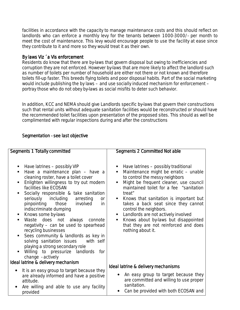facilities in accordance with the capacity to manage maintenance costs and this should reflect on landlords who can enforce a monthly levy for the tenants between 1000-3000/- per month to meet the cost of maintenance. This levy would encourage people to use the facility at ease since they contribute to it and more so they would treat it as their own.

#### By laws Viz ´a Vis enforcement

Residents do know that there are by-laws that govern disposal but owing to inefficiencies and corruption they are not enforced. However by-laws that are more likely to affect the landlord such as number of toilets per number of household are either not there or not known and therefore toilets fill-up faster. This breeds flying toilets and poor disposal habits. Part of the social marketing would include publishing the by laws – and use socially induced mechanism for enforcement – portray those who do not obey by-laws as social misfits to deter such behavior.

In addition, KCC and NEMA should give Landlords specific by-laws that govern their constructions such that rental units without adequate sanitation facilities would be reconstructed or should have the recommended toilet facilities upon presentation of the proposed sites. This should as well be complimented with regular inspections during and after the constructions

#### Segmentation - see last objective

| <b>Segments 1 Totally committed</b>                                                                                                                                                                                                                                                                                                                                                                                                                                                                                                                                                                                                                                                                                         | Segments 2 Committed Not able                                                                                                                                                                                                                                                                                                                                                                                                                                                          |  |  |
|-----------------------------------------------------------------------------------------------------------------------------------------------------------------------------------------------------------------------------------------------------------------------------------------------------------------------------------------------------------------------------------------------------------------------------------------------------------------------------------------------------------------------------------------------------------------------------------------------------------------------------------------------------------------------------------------------------------------------------|----------------------------------------------------------------------------------------------------------------------------------------------------------------------------------------------------------------------------------------------------------------------------------------------------------------------------------------------------------------------------------------------------------------------------------------------------------------------------------------|--|--|
| Have latrines – possibly VIP<br>Have a maintenance plan - have a<br>cleaning roster, have a toilet cover<br>Enlighten willingness to try out modern<br>facilities like ECOSAN<br>Socially responsible & take sanitation<br>seriously including arresting<br><b>or</b><br>those involved<br>pinpointing<br><i>in</i><br>indiscriminate dumping<br>Knows some by-laws<br>$\blacksquare$<br>Waste does not always<br>connote<br>٠<br>negativity - can be used to spearhead<br>recycling businesses<br>Sees community & landlords as key in<br>п<br>solving sanitation issues<br>with self<br>playing a strong secondary role<br>Willing to pressurize landlords for<br>change - actively<br>Ideal latrine & delivery mechanism | Have latrines – possibly traditional<br>Maintenance might be erratic - unable<br>π.<br>to control the messy neighbors<br>Might be frequent cleaner, use council<br>п<br>maintained toilet for a fee "sanitation<br>treat"<br>Knows that sanitation is important but<br>takes a back seat since they cannot<br>control the neighbors.<br>Landlords are not actively involved<br>٠<br>Knows about by-laws but disappointed<br>that they are not reinforced and does<br>nothing about it. |  |  |
|                                                                                                                                                                                                                                                                                                                                                                                                                                                                                                                                                                                                                                                                                                                             | Ideal latrine & delivery mechanisms                                                                                                                                                                                                                                                                                                                                                                                                                                                    |  |  |
| It is an easy group to target because they<br>are already informed and have a positive<br>attitude.<br>Are willing and able to use any facility<br>provided                                                                                                                                                                                                                                                                                                                                                                                                                                                                                                                                                                 | An easy group to target because they<br>are committed and willing to use proper<br>sanitation.<br>Can be provided with both ECOSAN and                                                                                                                                                                                                                                                                                                                                                 |  |  |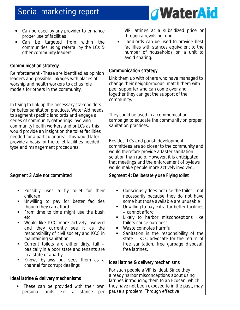

| Can be used by any provider to enhance<br>$\bullet$<br>proper use of facilities<br>Can be targeted from<br>within<br>the<br>communities using referral by the LCs &<br>other community leaders.                                                                                                                                                                                                                                                                     | VIP latrines at a subsidized price or<br>through a revolving fund.<br>Landlords can be used to provide best<br>facilities with stances equivalent to the<br>number of households on a unit to<br>avoid sharing.                                                                                                                                                                                                                                                 |
|---------------------------------------------------------------------------------------------------------------------------------------------------------------------------------------------------------------------------------------------------------------------------------------------------------------------------------------------------------------------------------------------------------------------------------------------------------------------|-----------------------------------------------------------------------------------------------------------------------------------------------------------------------------------------------------------------------------------------------------------------------------------------------------------------------------------------------------------------------------------------------------------------------------------------------------------------|
| <b>Communication strategy</b>                                                                                                                                                                                                                                                                                                                                                                                                                                       | <b>Communication strategy</b>                                                                                                                                                                                                                                                                                                                                                                                                                                   |
| Reinforcement - These are identified as opinion<br>leaders and possible linkages with places of<br>worship and health workers to act as role<br>models for others in the community.                                                                                                                                                                                                                                                                                 | Link them up with others who have managed to<br>change their neighborhoods, match them with<br>peer supporter who can come over and<br>together they can get the support of the<br>community.                                                                                                                                                                                                                                                                   |
| In trying to link up the necessary stakeholders<br>for better sanitation practices, Water Aid needs<br>to segment specific landlords and engage a<br>series of community gatherings involving<br>community health workers and or LCs as this<br>would provide an insight on the toilet facilities                                                                                                                                                                   | They could be used in a communication<br>campaign to educate the community on proper<br>sanitation practices.                                                                                                                                                                                                                                                                                                                                                   |
| needed for a particular area. This would later<br>provide a basis for the toilet facilities needed,<br>type and management procedures.                                                                                                                                                                                                                                                                                                                              | Besides, LCs and parish development<br>committees are so closer to the community and<br>would therefore provide a faster sanitation<br>solution than radio. However, it is anticipated<br>that meetings and the enforcement of by-laws<br>would make people more actively involved.                                                                                                                                                                             |
| Segment 3 Able not committed                                                                                                                                                                                                                                                                                                                                                                                                                                        | Segment 4: Deliberately use Flying toilet                                                                                                                                                                                                                                                                                                                                                                                                                       |
| Possibly<br>uses a fly toilet for their<br>Ξ<br>children<br>Unwilling to pay for better facilities<br>though they can afford<br>From time to time might use the bush<br>п<br>etc<br>Would like KCC more actively involved<br>п<br>they currently see it as the<br>and<br>responsibility of civil society and KCC in<br>maintaining sanitation<br>Current toilets are either dirty, full -<br>п<br>basically in a poor state and tenants are<br>in a state of apathy | Consciously does not use the toilet - not<br>п<br>necessarily because they do not have<br>some but those available are unusable<br>Unwilling to pay extra for better facilities<br>٠<br>- cannot afford<br>Likely to harbor misconceptions like<br>٠<br>toilets cause bareness<br>Waste connotes harmful<br>Sanitation is the responsibility of the<br>ш<br>state - KCC advocate for the return of<br>free sanitation, free garbage disposal,<br>free latrines. |
| Knows by-laws but sees them as a<br>Е<br>channel for corrupt dealings                                                                                                                                                                                                                                                                                                                                                                                               | Ideal latrine & delivery mechanisms                                                                                                                                                                                                                                                                                                                                                                                                                             |
| Ideal latrine & delivery mechanisms<br>These can be provided with their own<br>٠<br>units e.g. a stance<br>personal<br>per                                                                                                                                                                                                                                                                                                                                          | For such people a VIP is ideal. Since they<br>already harbor misconceptions about using<br>latrines introducing them to an Ecosan, which<br>they have not been exposed to in the past, may<br>pause a problem. Through effective                                                                                                                                                                                                                                |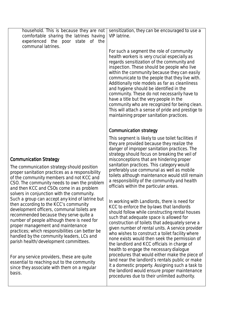| household. This is because they are not<br>comfortable sharing the latrines having<br>experienced the poor<br>state<br>of the<br>communal latrines.                                                                                                                                                                                                                                                           | sensitization, they can be encouraged to use a<br>VIP latrine.                                                                                                                                                                                                                                                                                                                                                                                                                                                                                                                                                                   |
|---------------------------------------------------------------------------------------------------------------------------------------------------------------------------------------------------------------------------------------------------------------------------------------------------------------------------------------------------------------------------------------------------------------|----------------------------------------------------------------------------------------------------------------------------------------------------------------------------------------------------------------------------------------------------------------------------------------------------------------------------------------------------------------------------------------------------------------------------------------------------------------------------------------------------------------------------------------------------------------------------------------------------------------------------------|
|                                                                                                                                                                                                                                                                                                                                                                                                               | For such a segment the role of community<br>health workers is very crucial especially as<br>regards sensitization of the community and<br>inspection. These should be people who live<br>within the community because they can easily<br>communicate to the people that they live with.<br>Additionally role models as far as cleanliness<br>and hygiene should be identified in the<br>community. These do not necessarily have to<br>have a title but the very people in the<br>community who are recognized for being clean.<br>This will attach a sense of pride and prestige to<br>maintaining proper sanitation practices. |
|                                                                                                                                                                                                                                                                                                                                                                                                               | <b>Communication strategy</b>                                                                                                                                                                                                                                                                                                                                                                                                                                                                                                                                                                                                    |
| <b>Communication Strategy</b><br>The communication strategy should position<br>proper sanitation practices as a responsibility<br>of the community members and not KCC and<br>CSO. The community needs to own the problem<br>and then KCC and CSOs come in as problem<br>solvers in conjunction with the community.                                                                                           | This segment is likely to use toilet facilities if<br>they are provided because they realize the<br>danger of improper sanitation practices. The<br>strategy should focus on breaking the veil of<br>misconceptions that are hindering proper<br>sanitation practices. This category would<br>preferably use communal as well as mobile<br>toilets although maintenance would still remain<br>a responsibility of the community and health<br>officials within the particular areas.                                                                                                                                             |
| Such a group can accept any kind of latrine but<br>then according to the KCC's community<br>development officers, communal toilets are<br>recommended because they serve quite a<br>number of people although there is need for<br>proper management and maintenance<br>practices; which responsibilities can better be<br>handled by the community leaders, LCs and<br>parish health/development committees. | In working with Landlords, there is need for<br>KCC to enforce the by-laws that landlords<br>should follow while constructing rental houses<br>such that adequate space is allowed for<br>construction of toilets that adequately serve a<br>given number of rental units. A service provider<br>who wishes to construct a toilet facility where<br>none exists would then seek the permission of<br>the landlord and KCC officials in charge of<br>health to engage the necessary dialogue                                                                                                                                      |
| For any service providers, these are quite<br>essential to reaching out to the community<br>since they associate with them on a regular<br>hocic                                                                                                                                                                                                                                                              | procedures that would either make the piece of<br>land near the landlord's rentals public or make<br>it a domestic property. Assigning such a task to<br>the landlord would ensure proper maintenance                                                                                                                                                                                                                                                                                                                                                                                                                            |

procedures due to their unlimited authority.

basis.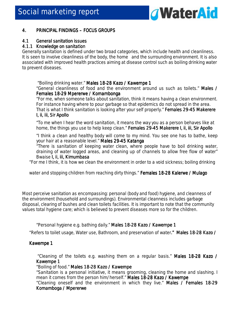

#### 4. PRINCIPAL FINDINGS – FOCUS GROUPS

#### 4.1 General sanitation issues

#### 4.1.1 Knowledge on sanitation

Generally sanitation is defined under two broad categories, which include health and cleanliness. It is seen to involve cleanliness of the body, the home and the surrounding environment. It is also associated with improved health practices aiming at disease control such as boiling drinking water to prevent diseases.

#### *"Boiling drinking water." Males 18-28 Kazo / Kawempe 1*

*"General cleanliness of food and the environment around us such as toilets." Males / Females 18- 18-29 Mpererwe / Komambonga 29 Komambonga Komambonga* 

*"For me, when someone talks about sanitation, think it means having a clean environment. For instance having where to pour garbage so that epidemics do not spread in the area. That is what I think sanitation is looking after your self properly." Females 29-45 Makerere I, ii, iii, Sir Apollo* 

*"To me when I hear the word sanitation, it means the way you as a person behaves like at home, the things you use to help keep clean." Females 29 Females 2929-45 Makerere I, ii, iii, Sir Apollo 45 Makerere I, ii, iii, Sir Apollo 45 Makerere I, ii, Apollo* 

*"I think a clean and healthy body will come to my mind. You see one has to bathe, keep your hair at a reasonable level." Males 29-45 Katanga* 

*"There is sanitation of keeping water clean, where people have to boil drinking water, draining of water logged areas, and cleaning up of channels to allow free flow of water" Bwaise I, ii, iii, Kimumbasa* 

"For me I think, it is how we clean the environment in order to a void sickness; boiling drinking

water and stopping children from reaching dirty things." Females 18-28 Kalerwe / Mulago

Most perceive sanitation as encompassing: personal (body and food) hygiene, and cleanness of the environment (household and surroundings). Environmental cleanness includes garbage disposal, clearing of bushes and clean toilets facilities. It is important to note that the community values total hygiene care; which is believed to prevent diseases more so for the children.

#### *"Personal hygiene e.g. bathing daily." Males 18 18-28 Kazo / Kawempe 1 28 1*

"Refers to toilet usage, Water use, Bathroom, and preservation of water." Males 18-28 Kazo /

#### Kawempe 1

 *"Cleaning of the toilets e.g. washing them on a regular basis." Males 18 18-28 Kazo / 28 Kazo 28 Kawempe 1 Kawempe 1* 

*"Boiling of food." Males 18 Males 1818-28 Kazo / Kawempe 28 Kazo / Kawempe Kawempe* 

*"Sanitation is a personal initiative, it means grooming, cleaning the home and slashing. I mean it comes from the person him/herself." Males 18-28 Kazo / Kawempe "Cleaning oneself and the environment in which they live." Males / Females 18 les 1818-29 Komamboga / Mpererwe / Mpererwe*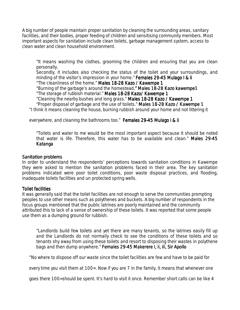A big number of people maintain proper sanitation by cleaning the surrounding areas, sanitary facilities, and their bodies, proper feeding of children and sensitising community members. Most important aspects for sanitation include clean toilets, garbage management system, access to clean water and clean household environment.

*"It means washing the clothes, grooming the children and ensuring that you are clean personally.* 

*Secondly, it includes also checking the status of the toilet and your surroundings, and minding of the visitor's impression in your home." Females 29-45 Mulago I & ii* 

"*The cleanliness of the home." Males 18 Males 18-28 Kazo / Kawempe 1 28 Kawempe 11* 

*"Burning of the garbage's around the homestead." Males 18-28 Kazo kawempe1* 

*"The storage of rubbish material." Males 18 18-28 Kazo/ Kawempe 1 28 Kawempe 1 1* 

*"Cleaning the nearby bushes and long grass." Males 18 Males Males 18-28 Kazo / Kawempe 1 28 Kazo / Kawempe 128 1* 

*"Proper disposal of garbage and the use of toilets." Males 18 18-28 Kazo / Kawempe 1 28 Kawempe 11* 

"I think it means cleaning the house, burning rubbish around your home and not littering it

everywhere, and cleaning the bathrooms too." Females 29-45 Mulago i & ii

*"Toilets and water to me would be the most important aspect because it should be noted that water is life. Therefore, this water has to be available and clean." Males 29 Males 2929-45 Katanga* 

#### Sanitation problems

In order to understand the respondents' perceptions towards sanitation conditions in Kawempe they were asked to mention the sanitation problems faced in their area. The key sanitation problems indicated were poor toilet conditions, poor waste disposal practices, and flooding, inadequate toilets facilities and un protected spring wells.

#### **Toilet facilities**

It was generally said that the toilet facilities are not enough to serve the communities prompting peoples to use other means such as polythenes and buckets. A big number of respondents in the focus groups mentioned that the public latrines are poorly maintained and the community attributed this to lack of a sense of ownership of these toilets. It was reported that some people use them as a dumping ground for rubbish.

*"Landlords build few toilets and yet there are many tenants, so the latrines easily fill up and the Landlords do not normally check to see the conditions of these toilets and so tenants shy away from using these toilets and resort to disposing their wastes in polythene*  bags and then dump anywhere." Females 29-45 Makerere I, ii, iii, Sir Apollo

"No where to dispose off our waste since the toilet facilities are few and have to be paid for

every time you visit them at 100=. Now if you are 7 in the family, it means that whenever one

goes there 100=should be spent. It's hard to visit it once. Remember short calls can be like 4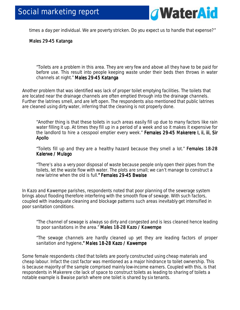

times a day per individual. We are poverty stricken. Do you expect us to handle that expense?"

#### Males 29-45 Katanga

*"Toilets are a problem in this area. They are very few and above all they have to be paid for before use. This result into people keeping waste under their beds then throws in water channels at night." Males 29 29-45 Katanga 45 Katanga* 

Another problem that was identified was lack of proper toilet emptying facilities. The toilets that are located near the drainage channels are often emptied through into the drainage channels. Further the latrines smell, and are left open. The respondents also mentioned that public latrines are cleaned using dirty water, inferring that the cleaning is not properly done.

*"Another thing is that these toilets in such areas easily fill up due to many factors like rain water filling it up. At times they fill up in a period of a week and so it makes it expensive for*  the landlord to hire a cesspool emptier every week." Females 29-45 Makerere I, ii, iii, Sir *Apollo* 

*"Toilets fill up and they are a healthy hazard because they smell a lot." Females 18 Females 18-28 Kalerwe / Mulago* 

*"There's also a very poor disposal of waste because people only open their pipes from the toilets, let the waste flow with water. The plots are small; we can't manage to construct a new latrine when the old is full." Females 29-45 Bwaise* 

In Kazo and Kawempe parishes, respondents noted that poor planning of the sewerage system brings about flooding therefore interfering with the smooth flow of sewage. With such factors, coupled with inadequate cleaning and blockage patterns such areas inevitably get intensified in poor sanitation conditions.

*"The channel of sewage is always so dirty and congested and is less cleaned hence leading to poor sanitations in the area." Males 18 18-28 Kazo / Kawempe 28 Kazo / Kawempe* 

*"The sewage channels are hardly cleaned up yet they are leading factors of proper*  sanitation and hygiene." Males 18-28 Kazo / Kawempe

Some female respondents cited that toilets are poorly constructed using cheap materials and cheap labour. Infact the cost factor was mentioned as a major hindrance to toilet ownership. This is because majority of the sample comprised mainly low-income earners. Coupled with this, is that respondents in Makerere cite lack of space to construct toilets as leading to sharing of toilets a notable example is Bwaise parish where one toilet is shared by six tenants.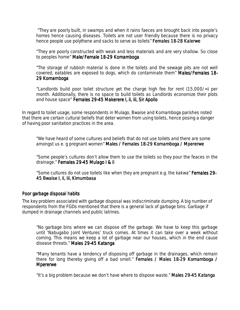*"They are poorly built, in swamps and when it rains faeces are brought back into people's homes hence causing diseases. Toilets are not user friendly because there is no privacy hence people use polythene and sacks to serve as toilets" Females 18-28 Kalerwe* 

*"They are poorly constructed with weak and less materials and are very shallow. So close to peoples home" Male/Female 18-29 Komamboga* 

*"The storage of rubbish material is done in the toilets and the sewage pits are not well*  covered, eatables are exposed to dogs, which do contaminate them" Males/Females 18-*29 Komamboga* 

*"Landlords build poor toilet structure yet the charge high fee for rent (15,000/=) per month. Additionally, there is no space to build toilets as Landlords economize their plots and house space" Females 29 29-45 Makerere I, ii, iii, Sir Apollo 45 Makerere I, ii, Apollo* 

In regard to toilet usage, some respondents in Mulago, Bwaise and Komamboga parishes noted that there are certain cultural beliefs that deter women from using toilets, hence posing a danger of having poor sanitation practices in the area.

*"We have heard of some cultures and beliefs that do not use toilets and there are some amongst us e. g pregnant women" Males / Females 18-29 Komamboga / Mpererwe* 

*"Some people's cultures don't allow them to use the toilets so they pour the feaces in the drainage."* Females 29-45 Mulago I & ii

*"Some cultures do not use toilets like when they are pregnant e.g. the kakwa" Females 29 29- 45 Bwaise I, i ii, iii, Kimumbasa i, Kimumbasa* 

#### Poor garbage disposal habits

The key problem associated with garbage disposal was indiscriminate dumping. A big number of respondents from the FGDs mentioned that there is a general lack of garbage bins. Garbage if dumped in drainage channels and public latrines.

*"No garbage bins where we can dispose off the garbage. We have to keep this garbage until 'Nabugabo Joint Ventures' truck comes. At times it can take over a week without coming. This means we keep a lot of garbage near our houses, which in the end cause disease threats." Males 29-45 Katanga* 

*"Many tenants have a tendency of disposing off garbage in the drainages, which remain there for long thereby giving off a bad smell." Females / Males 18 Females 18-29 Komamboga / 29 Komamboga Mpererwe* 

*"It's a big problem because we don't have where to dispose waste." Males 29-45 Katanga*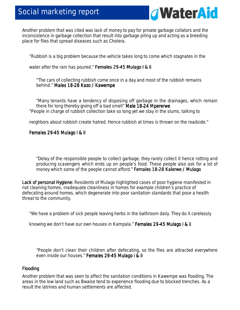### Social marketing report



Another problem that was cited was lack of money to pay for private garbage collators and the inconsistence in garbage collection that result into garbage piling up and acting as a breeding place for flies that spread diseases such as Cholera.

"Rubbish is a big problem because the vehicle takes long to come which stagnates in the

water after the rain has poured." Females 29-45 Mulago I & ii

"The cars of collecting rubbish come once in a day and most of the rubbish remains behind." Males 18-28 Kazo / Kawempe

*"Many tenants have a tendency of disposing off garbage in the drainages, which remain there for long thereby giving off a bad smell" Male 18 Male 18 18- 18-24 Mpererwe 24 Mpererwe 24 Mpererwe*  "People in charge of rubbish collection take so long yet we stay in the slums, talking to

neighbors about rubbish create hatred. Hence rubbish at times is thrown on the roadside."

#### Females 29-45 Mulago I & II

*"Delay of the responsible people to collect garbage, they rarely collect it hence rotting and producing scavengers which ends up on people's food. These people also ask for a lot of money which some of the people cannot afford." Females 18 18-28 Kalerwe / Mulago 28 Kalerwe / Mulago* 

Lack of personal Hygiene: Residents of Mulago highlighted cases of poor hygiene manifested in not cleaning homes, inadequate cleanliness in homes for example children's practice of defecating around homes, which degenerate into poor sanitation standards that pose a health threat to the community.

"We have a problem of sick people leaving herbs in the bathroom daily. They do it carelessly

knowing we don't have our own houses in Kampala." Females 29-45 Mulago i & ii

*"People don't clean their children after defecating, so the flies are attracted everywhere even inside our houses." Females 29 Females 29 Females 29-45 Mulago i & ii 45 Mulago i & ii45 Mulago i ii Mulago i ii* 

#### Flooding

Another problem that was seen to affect the sanitation conditions in Kawempe was flooding. The areas in the low land such as Bwaise tend to experience flooding due to blocked trenches. As a result the latrines and human settlements are affected.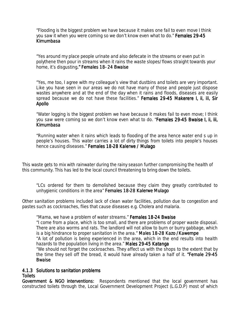*"Flooding is the biggest problem we have because it makes one fail to even move I think you saw it when you were coming so we don't know even what to do." Females 29 Females 29 29-45 Kimumbasa* 

*"Yes around my place people urinate and also defecate in the streams or even put in polythene then pour in streams when it rains the waste slopes/flows straight towards your home, it's disgusting." Females 18 ." 18- 24 Bwaise 24 Bwaise* 

*"Yes, me too, I agree with my colleague's view that dustbins and toilets are very important. Like you have seen in our areas we do not have many of those and people just dispose wastes anywhere and at the end of the day when it rains and floods, diseases are easily spread because we do not have these facilities." Females 2 29-45 Makerere I, ii, iii, Sir 45 Apollo* 

*"Water logging is the biggest problem we have because it makes fail to even move; I think you saw were coming so we don't know even what to do. "Females 29-45 Bwaise I, ii, iii, Kimumbasa* 

*"Running water when it rains which leads to flooding of the area hence water end s up in people's houses. This water carries a lot of dirty things from toilets into people's houses hence causing diseases." Females 18 18-28 Kalerwe / Mulago 28 Kalerwe / Mulago* 

This waste gets to mix with rainwater during the rainy season further compromising the health of this community. This has led to the local council threatening to bring down the toilets.

*"LCs ordered for them to demolished because they claim they greatly contributed to unhygienic conditions in the area" Females 18-28 Kalerwe Mulago* 

Other sanitation problems included lack of clean water facilities, pollution due to congestion and pastes such as cockroaches, flies that cause diseases e.g. Cholera and malaria.

"*Mama, we have a problem of water streams." Females 18 Females Females 18-24 Bwaise 24 Bwaise 24 Bwaise "I come from a place, which is too small, and there are problems of proper waste disposal. There are also worms and rats. The landlord will not allow to burn or burry gabbage, which is a big hindrance to proper sanitation in the area." Males 18-28 Kazo /Kawempe "A lot of pollution is being experienced in the area, which in the end results into health hazards to the population living in the area." Males 29-45 Katanga "We should not forget the cockroaches. They affect us with the shops to the extent that by the time they sell off the bread, it would have already taken a half of it. "Female 29 "Female 29-45 Bwaise*

#### 4.1.3 Solutions to sanitation problems

#### **Toilets**

**Government & NGO interventions:** Respondents mentioned that the local government has constructed toilets through the, Local Government Development Project (L.G.D.P) most of which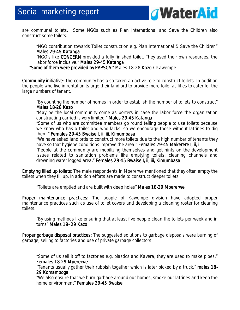

are communal toilets. Some NGOs such as Plan International and Save the Children also construct some toilets.

*"NGO contribution towards Toilet construction e.g. Plan International & Save the Children" Males 29-45 Katanga* 

*"NGO's like CONCERN CONCERN provided a fully finished toilet. They used their own resources, the labor force inclusive." Males 29-45 Katanga* 

*"Some of them were provided by "Some of them were provided by PAPSCA." ovided by PAPSCA." Males 18-28 Kazo / Kawempe* 

Community initiative: The community has also taken an active role to construct toilets. In addition the people who live in rental units urge their landlord to provide more toile facilities to cater for the large numbers of tenant.

*"By counting the number of homes in order to establish the number of toilets to construct" Males 18- Males 18-28 Kazo 28 Kazo28 Kazo* 

*"May be the local community come as porters in case the labor force the organization constructing carried is very limited." Males 29-45 Katanga* 

*"Some of us who are committee members go round telling people to use toilets because we know who has a toilet and who lacks, so we encourage those without latrines to dig them." Females 29 Females 29Females 29-45 Bwaise I, ii, iii, Kimumbasa 45 Bwaise I, ii, iii, Kimumbasa 45 Kimumbasa* 

*"We have asked landlords to construct more toilets due to the high number of tenants they have so that hygiene conditions improve the area." Females 29-45 Makerere I, ii, iii* 

*"People at the community are mobilizing themselves and get hints on the development issues related to sanitation problems like emptying toilets, cleaning channels and drowning water logged area." Females 29 Females 29-45 Bwaise I, ii, iii, Kimumbasa 45 Kimumbasa* 

**Emptying filled up toilets**: The male respondents in Mpererwe mentioned that they often empty the toilets when they fill up. In addition efforts are made to construct deeper toilets.

*"Toilets are emptied and are built with deep holes" Males 18 18-29 Mpererwe 29 Mpererwe* 

Proper maintenance practices: The people of Kawempe division have adopted proper maintenance practices such as use of toilet covers and developing a cleaning roster for cleaning toilets.

*"By using methods like ensuring that at least five people clean the toilets per week and in turns" Males 18 Males 1818- 29 Kazo 29 Kazo* 

Proper garbage disposal practices: The suggested solutions to garbage disposals were burning of garbage, selling to factories and use of private garbage collectors.

*"Some of us sell it off to factories e.g. plastics and Kavera, they are used to make pipes." Females 18- 18-29 Mpererwe 29 Mpererwe* 

*"Tenants usually gather their rubbish together which is later picked by a truck." males 18 18- 29 Komamboga* 

*"We also ensure that we burn garbage around our homes, smoke our latrines and keep the home environment"* Females 29-45 Bwaise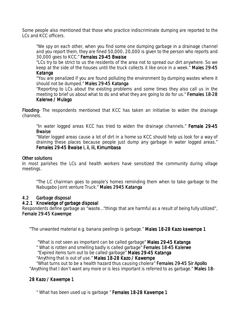Some people also mentioned that those who practice indiscriminate dumping are reported to the LCs and KCC officers.

*"We spy on each other, when you find some one dumping garbage in a drainage channel and you report them, they are fined 50,000, 20,000 is given to the person who reports and 30,000 goes to KCC." Females 29 29-45 Bwaise 45 BwaiseBwaise* 

 *"LCs try to be strict to us the residents of the area not to spread our dirt anywhere. So we keep at the side of the houses until the truck collects it like once in a week." Males 29 Males 2929-45 Katanga* 

"*You are penalized if you are found polluting the environment by dumping wastes where it should not be dumped." Males 29 29-45 Katanga 45 Katanga* 

*"Reporting to LCs about the existing problems and some times they also call us in the meeting to brief us about what to do and what they are going to do for us." Females 18 Females 1818-28 Kalerwe / Mulago* 

Flooding The respondents mentioned that KCC has taken an initiative to widen the drainage channels.

*"In water logged areas KCC has tried to widen the drainage channels." Female 29 29-45 Bwaise* 

*"Water logged areas cause a lot of dirt in a home so KCC should help us look for a way of draining these places because people just dump any garbage in water logged areas." Females 29- 29-45 Bwaise I, ii, iii, Kimumbasa 45 Bwaise I, ii, iii, Kimumbasa*

#### Other solutions

In most parishes the LCs and health workers have sensitized the community during village meetings.

*"The LC chairman goes to people's homes reminding them when to take garbage to the Nabugabo Joint venture Truck." Males 2945 Katanga Katanga* 

#### 4.2 Garbage disposal

#### 4.2.1 Knowledge of garbage disposal

Respondents define garbage as "waste…"things that are harmful as a result of being fully utilized", **Female 29-45 Kawempe** 

"The unwanted material e.g. banana peelings is garbage." Males 18-28 Kazo kawempe 1

"*What is not seen as important can be called garbage" Males 29 Males 2929-45 Katanga 45 Katanga* 

*" What is rotten and smelling badly is called garbage" Females 18 Females 18 18-45 Kalerwe 45 Kalerwe* 

*"Expired items turn out to be called garbage" Males 29-45 Katanga* 

*"Anything that is out of use." Males 18-28 Kazo / Kawempe* 

*"What turns out to be a health hazard thus causing cholera" Females 29 Females 29 29-45 Sir Apollo 45 Sir Apollo 45 Apollo*  "Anything that I don't want any more or is less important is referred to as garbage." Males 18-

#### 28 Kazo / Kawempe 1

*" What has been used up is garbage " Females 18 Females 18 18-28 Kawempe 1 28 Kawempe 1 28 1*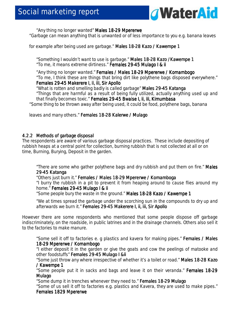

*"Any thing no longer wanted" Males 18 18-29 Mpererwe 29 Mpererwe*  "Garbage can mean anything that is unwanted or of less importance to you e.g. banana leaves

for example after being used are garbage." Males 18-28 Kazo / Kawempe 1

*"Something I wouldn't want to use is garbage." Males 18 Males 1818-28 Kazo /Kawempe 1 28 1 "To me, it means extreme dirtiness." Females 2 29-45 Mulago I & ii 45 ii 45* 

"*Any thing no longer wanted." Females / Males 18 Females / Males 1818- / 18-29 Mpererwe / Komambogo 29 Mpererwe / Komambogo29 Komambogo "To me, I think these are things that bring dirt like polythene bags disposed everywhere." Females 29- 29-45 Makerere I, ii, iii, Sir Apollo 45 ii, iii, Sir Apollo* 

*"What is rotten and smelling badly is called garbage" Males 29 29-45 Katanga 45 Katanga "Things that are harmful as a result of being fully utilized, actually anything used up and that finally becomes toxic." Females 29-45 Bwaise I, ii, iii, Kimumbasa* 

"Some thing to be thrown away after being used, it could be food, polythene bags, banana

leaves and many others." Females 18-28 Kalerwe / Mulago

#### 4.2.2 Methods of garbage disposal

The respondents are aware of various garbage disposal practices. These include depositing of rubbish heaps at a central point for collection, burning rubbish that is not collected at all or on time, Burning, Burying, Deposit in the garden.

*"There are some who gather polythene bags and dry rubbish and put them on fire." Males 29-45 Katanga 45 Katanga* 

*"Others just burn it." Females / / Males 18 Males 18 18-29 Mpererwe / Komamboga 29 KomambogaKomamboga "I burry the rubbish in a pit to prevent it from heaping around to cause flies around my home." Females 29-45 Mulago I & ii* 

*"Some people bury the waste in the ground." Males 18 Males 1818-28 Kazo / Kawempe 1 28 Kazo / Kawempe 1* 

*"We at times spread the garbage under the scorching sun in the compounds to dry up and afterwards we burn it." Females 29 Females 29Females 29-45 Makerere I, ii, iii, Sir Apollo 45 Makerere I, ii, iii, Sir Apollo 45 Makerere I, ii, Apollo* 

However there are some respondents who mentioned that some people dispose off garbage indiscriminately, on the roadside, in public latrines and in the drainage channels. Others also sell it to the factories to make manure.

"Some sell it off to factories e. g plastics and kavera for making pipes." **Females / Males** *18-29 Mpererwe / Komambogo 29 Mpererwe / Komambogo*

*"I either deposit it in the garden or give the goats and cow the peelings of matooke and other foodstuffs" Females 29 29-45 Mulago I &ii 45 Mulago 45* 

*"Some just throw any where irrespective of whether it's a toilet or road." Males 18 18-28 Kazo 28 / Kawempe 1*

*"Some people put it in sacks and bags and leave it on their veranda." Females 18 Females 1818-29 Mulago* 

*"Some dump it in trenches whenever they need to." Females 18 18-29 Mulago 29 Mulago "Some of us sell it off to factories e.g. plastics and Kavera, they are used to make pipes."* 

#### **Females 1829 Mpererwe**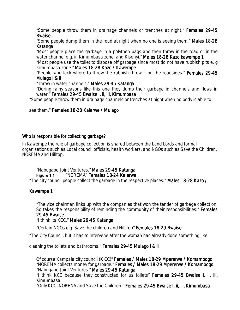*"Some people throw them in drainage channels or trenches at night." Females 29 Females 2929-45 Bwaise. Bwaise.* 

*"Some people dump them in the road at night when no one is seeingthem." Males 18 Males 1818-28 Katanga* 

*"Most people place the garbage in a polythen bags and then throw in the road or in the water channel e.g. in Kimumbasa zone, and Kisenyi." Males 18 18-28 Kazo kawempe 1 28 Kazo kawempe 1* 

*"Most people use the toilet to dispose off garbage since most do not have rubbish pits e. g Kimumbasa zone." Males 18-28 Kazo / Kawempe* 

*"People who lack where to throw the rubbish throw it on the roadsides." Females 29 29-45 Mulago I & ii Mulago I & ii* 

*"Throw in water channels." Males 29 Males 2929-45 Katanga 45 Katanga* 

*"During rainy seasons like this one they dump their garbage in channels and flows in water." Females 29 Females 2929-45 Bwaise I, ii, iii, Kimumbasa 45 Bwaise I, ii, iii, Kimumbasa 45 Bwaise I, ii, Kimumbasa Bwaise I, ii, Kimumbasa* 

"Some people throw them in drainage channels or trenches at night when no body is able to

see them." Females 18-28 Kalerwe / Mulago

#### Who is responsible for collecting garbage?

In Kawempe the role of garbage collection is shared between the Land Lords and formal organisations such as Local council officials, health workers, and NGOs such as Save the Children, NOREMA and Hilltop.

#### *"Nabugabo Joint Ventures." Males 29 29- 29-45 Katanga 45 Katanga*  **Figure 1.1** *"NOREMA" Females 18 18-24 Kalerwe 24 KalerweKalerwe*

"The city council people collect the garbage in the respective places." Males 18-28 Kazo /

#### Kawempe 1

*"The vice chairman links up with the companies that won the tender of garbage collection. So takes the responsibility of reminding the community of their responsibilities." Females 29-45 Bwaise 45 Bwaise45 Bwaise* 

*"I think its KCC." Males 29-45 Katanga* 

*"Certain NGOs e.g. Save the children and Hill top" Females 18 18-29 Bwaise 29 Bwaise Bwaise* 

"The City Council, but it has to intervene after the woman has already done something like

cleaning the toilets and bathrooms." Females 29-45 Mulago I & ii

*Of course Kampala city council (K CC)" Females / Males 18 Females / 18- 18-29 Mpererwe / Komambogo 29 Mpererwe / Komambogo "NOREMA collects money for garbage." Females / Males 18 Females 18-29 Mpererwe / Komambogo 29 KomambogoKomambogo "Nabugabo Joint Ventures." Males 29 29- 29-45 Katanga 45 Katanga* 

*"I think KCC because they constructed for us toilets" Females 29 Females 29Females 29-45 Bwaise I, ii, iii, Bwaise I, ii, iii, Bwaise I, ii, Kimumbasa* 

"*Only KCC, NORENA and Save the Children." Females 29 29-45 Bwaise I, ii, iii, Kimumbasa 45 Bwaise Kimumbasa*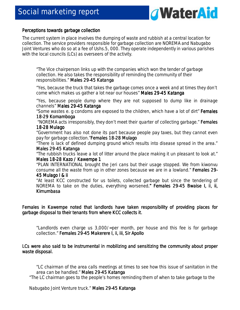

#### Perceptions towards garbage collection

The current system in place involves the dumping of waste and rubbish at a central location for collection. The service providers responsible for garbage collection are NOREMA and Nabugabo Joint Ventures who do so at a fee of Ushs.5, 000. They operate independently in various parishes with the local councils (LCs) as overseers of the activity.

*"The Vice chairperson links up with the companies which won the tender of garbage collection. He also takes the responsibility of reminding the community of their responsibilities." Males 29-45 Katanga* 

*"Yes, because the truck that takes the garbage comes once a week and at times they don't come which makes us gather a lot near our houses" Males 29-45 Katanga* 

*"Yes, because people dump where they are not supposed to dump like in drainage channels" Males 29-45 Katanga* 

*"Some wastes e. g condoms are exposed to the children, which have a lot of dirt" Females 18-29 Komamboga 29 Komamboga29 Komamboga* 

 *"NOREMA acts irresponsibly, they don't meet their quarter of collecting garbage." Females 18-28 Mulago 28 Mulago* 

*"Government has also not done its part because people pay taxes, but they cannot even pay for garbage collection."Females 18 Females 1818-28 Mulago 28 MulagoMulago* 

*"There is lack of defined dumping ground which results into disease spread in the area." Males 29- Males 29-45 Katanga 45 Katanga* 

*"The rubbish trucks leave a lot of litter around the place making it un pleasant to look at." Males 18- Males 18-28 Kazo 28 Kazo 28 / Kawempe 1 / Kawempe 11* 

*"PLAN INTERNATIONAL brought the Jeri cans but their usage stopped. We from kiwonvu consume all the waste from up in other zones because we are in a lowland." Females 29 Females 29-*

#### *45 Mulago I & ii ii*

*"At least KCC constructed for us toilets, collected garbage but since the tendering of NOREMA to take on the duties, everything worsened." Females 29-45 Bwaise I, ii, ii, Kimumbasa* 

Females in Kawempe noted that landlords have taken responsibility of providing places for garbage disposal to their tenants from where KCC collects it.

*"Landlords even charge us 3,000/=per month, per house and this fee is for garbage collection." Females 29 29-45 Makerere I, ii, iii, Sir Apollo 45 Apollo* 

LCs were also said to be instrumental in mobilizing and sensitizing the community about proper waste disposal.

*"LC chairman of the area calls meetings at times to see how this issue of sanitation in the area can be handled." Males 29 29-45 Katanga 45 Katanga* 

"The LC chairman goes to the people's homes reminding them of when to take garbage to the

Nabugabo Joint Venture truck." Males 29-45 Katanga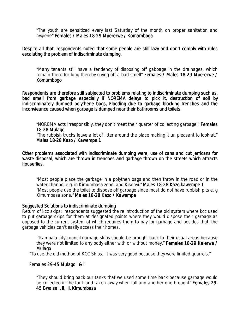*"The youth are sensitized every last Saturday of the month on proper sanitation and hygiene" Females / Males 18 " / Males 18-29 Mpererwe / Komamboga 29 Mpererwe Komamboga* 

Despite all that, respondents noted that some people are still lazy and don't comply with rules escalating the problem of indiscriminate dumping.

"*Many tenants still have a tendency of disposing off gabbage in the drainages, which remain there for long thereby giving off a bad smell" Females / Males 18-29 Mpererwe / Komambogo* 

Respondents are therefore still subjected to problems relating to indiscriminate dumping such as, bad smell from garbage especially if NOREMA delays to pick it, destruction of soil by indiscriminately dumped polythene bags, Flooding due to garbage blocking trenches and the inconvieance caused when garbage is dumped near their bathrooms and toilets.

*"NOREMA acts irresponsibly, they don't meet their quarter of collecting garbage." Females 18-28 Mulago 28 Mulago* 

*"The rubbish trucks leave a lot of litter around the place making it un pleasant to look at." Males 18- Males 18-28 Kazo / Kawempe 1 28 / 1* 

Other problems associated with indiscriminate dumping were, use of cans and cut jerricans for waste disposal, which are thrown in trenches and garbage thrown on the streets which attracts houseflies.

*"Most people place the garbage in a polythen bags and then throw in the road or in the water channel e.g. in Kimumbasa zone, and Kisenyi." Males 18 18-28 Kazo kawempe 1 28 Kazo kawempe 1 "Most people use the toilet to dispose off garbage since most do not have rubbish pits e. g Kimumbasa zone." Males 18-28 Kazo / Kawempe* 

#### Suggested Solutions to indiscriminate dumping

*Return of kcc skips:* respondents suggested the re introduction of the old system where kcc used to put garbage skips for them at designated points where they would dispose their garbage as opposed to the current system of which requires them to pay for garbage and besides that, the garbage vehicles can't easily access their homes.

*"Kampala city council garbage skips should be brought back to their usual areas because they were not limited to any body either with or without money." Females 18-29 Kalerwe / Mulago* 

"To use the old method of KCC Skips. It was very good because they were limited quarrels."

#### Females 29-45 Mulago I & ii

*"They should bring back our tanks that we used some time back because garbage would*  be collected in the tank and taken away when full and another one brought" **Females 29-***45 Bwaise I, ii, iii, Kimumbasa*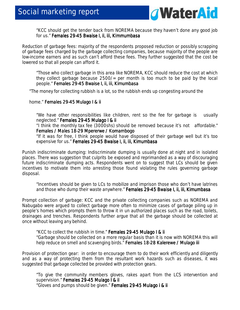

*"KCC should get the tender back from NOREMA because they haven't done any good job for us." Females 29 Females 29 29-45 Bwaise I, ii, iii, Kimmumbasa 45 Bwaise ii, iii, Kimmumbasa 45* 

*Reduction of garbage fees*: majority of the respondents proposed reduction or possibly scrapping of garbage fees charged by the garbage collecting companies, because majority of the people are low-income earners and as such can't afford these fees. They further suggested that the cost be lowered so that all people can afford it.

*"Those who collect garbage in this area like NOREMA, KCC should reduce the cost at which they collect garbage because 2500/= per month is too much to be paid by the local people." Females 29 29-45 Bwaise I, ii, iii, Kimumbasa 45 Kimumbasa* 

"The money for collecting rubbish is a lot, so the rubbish ends up congesting around the

home." Females 29-45 Mulago I & ii

*"We have other responsibilities like children, rent so the fee for garbage is usually neglected." Females 29 29 29-45 Mulago I & ii 45 Mulago ii 45* 

"*I think the monthly tax fee (3000shs) should be removed because it's not affordable." Females / Males 18 18- / Males 18-29 Mpererwe / Komambogo 29 Mpererwe / Komambogo Komambogo* 

*"If it was for free, I think people would have disposed of their garbage well but it's too expensive for us." Females 29-45 Bwaise I, ii, iii, Kimumbasa* 

*Punish indiscriminate dumping:* Indiscriminate dumping is usually done at night and in isolated places. There was suggestion that culprits be exposed and reprimanded as a way of discouraging future indiscriminate dumping acts. Respondents went on to suggest that LCs should be given incentives to motivate them into arresting those found violating the rules governing garbage disposal.

*"Incentives should be given to LCs to mobilize and imprison those who don't have latrines and those who dump their waste anywhere." Females 29 Females 29-45 Bwaise I, ii, iii, Kimumbasa 45 Kimumbasa* 

*Prompt collection of garbage:* KCC and the private collecting companies such as NOREMA and Nabugabo were argued to collect garbage more often to minimize cases of garbage piling up in people's homes which prompts them to throw it in un authorized places such as the road, toilets, drainages and trenches. Respondents further argue that all the garbage should be collected at once without leaving any behind.

*"KCC to collect the rubbish in time." Females 29 Females 29Females 29-45 Mulago I & ii 45 Mulago I & ii45 ii "Garbage should be collected on a more regular basis than it is now with NOREMA this will help reduce on smell and scavenging birds." Females 18 18 18-28 Kalerewe / Mulago iii 28 Kalerewe Mulago iii iii 28 iii* 

*Provision of protection gear:* in order to encourage them to do their work efficiently and diligently and as a way of protecting them from the resultant work hazards such as diseases, it was suggested that garbage collected be provided with protection gears.

*"To give the community members gloves, rakes apart from the LCS intervention and supervision."* Females 29-45 Mulago I & ii *"Gloves and pumps should be given." Females 29-45 Mulago i & ii*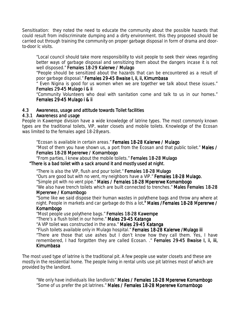*Sensitisation:* they noted the need to educate the community about the possible hazards that could result from indiscriminate dumping and a dirty environment. this they proposed should be carried out through training the community on proper garbage disposal in form of drama and doorto-door lc visits.

*"Local council should take more responsibility to visit people to seek their views regarding*  better ways of garbage disposal and sensitizing them about the dangers incase it is not *well disposed." Females 18 Females 18 18-29 Kalerwe / Mulago lerwe / Mulagolerwe / Mulago* 

*"People should be sensitized about the hazards that can be encountered as a result of poor garbage disposal." Females 29 29-45 Bwaise I, ii, ii, Kimumbasa 45 Kimumbasa* 

*" Even Nigina is good for us women when we are together we talk about these issues." Females 29 29-45 Mulago i & ii 45 i & ii ii ii* 

*"Community Volunteers who deal with sanitation come and talk to us in our homes." Females 29-45 Mulago i & ii* 

#### 4.3 Awareness, usage and attitude towards Toilet facilities

#### 4.3.1 Awareness and usage

People in Kawempe division have a wide knowledge of latrine types. The most commonly known types are the traditional toilets, VIP, water closets and mobile toilets. Knowledge of the Ecosan was limited to the females aged 18-28years.

*"Ecosan is available in certain areas." Females 18 Females 18 18-28 Kalerwe / M 28 Kalerwe / M Mulago "Most of them you have shown us, a port from the Ecosan and that public toilet." Males / Males /* 

#### *Females 18- 18-28 Mpererwe / Komambogo 28 Komambogo*

*"From parties, I knew about the mobile toilets." Females 18 18-28 Mulago 28 Mulago "There is a bad toilet with a sack around it and mostly used at night. is a bad toilet a sack is night.* 

 *"There is also the VIP, flush and pour toilet." Females 18 Females 18 18-28 Mulago 28 Mulago Mulago "Ours are good but with no vent, my neighbors have a VIP." Females 18 Females 1818-28 Mulago. 28 Mulago. 28 Mulago. Mulago. "Simple pit with no vent pipe." Males / Females 18 1818-28 Mpererwe Komambogo 28 Komambogo "We also have trench toilets which are built connected to trenches." Males Females 18 Males 18-28* 

#### *Mpererwe / Komambogo*

*"Some like we said dispose their human wastes in polythene bags and throw any where at night. People in markets and car garbage do this a lot." Males /Fem ." Males /Fem." Males /Females 18 ales 18ales 18-28 Mpererwe / -28 Mpererwe / 28 Mpererwe* 

#### *Komambogo Komambogo*

*"Most people use polythene bags." Females 18 18-28 Kawempe 28 Kawempe "There's a flush toilet in our home." Males 29 Males 2929-45 Katanga 45 Katanga* 

*"A VIP toilet was constructed in the area." Males 29 29-45 Katanga 45 Katanga* 

*"Flush toilets available only in Mulago hospital." Females 18 Females 18 18-28 Kalerwe /Mulago iii 28 Kalerwe /Mulago iii28 Kalerwe /Mulago iii Kalerwe /Mulago iii* 

*"There are those that use ashes but I don't know how they call them. Yes, I have remembered, I had forgotten they are called Ecosan. ." Females 29 Females 29 29-45 Bwaise I, ii, iii, 45 45 Kimumbasa Kimumbasa*

The most used type of latrine is the traditional pit. A few people use water closets and these are mostly in the residential home. The people living in rental units use pit latrines most of which are provided by the landlord.

*"We only have individuals like landlords" Males / Females 18 18-28 Mpererwe Komambogo 28 Komambogo "Some of us prefer the pit latrines." Males / Females 18 Males / Females 18Males / Females 18- Males / 18-28 Mpererwe Komambogo 28 Mpererwe Komambogo 28 Mpererwe Komambogo 28 Mpererwe Komambogo*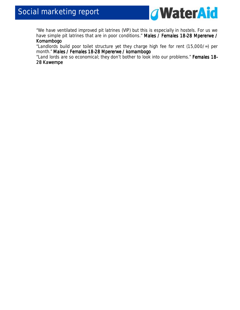

*"We have ventilated improved pit latrines (VIP) but this is especially in hostels. For us we have simple pit latrines that are in poor conditions." Males / F Males Females 18 emales 18 18-28 Mpererwe / 28 Mpererwe / 28 Komambogo* 

*"Landlords build poor toilet structure yet they charge high fee for rent (15,000/=) per month." Males / Females 18 Males / Females / Females 18-28 Mpererwe / komambogo 28 Mpererwe / komambogo28 komambogo* 

*"Land lords are so economical; they don't bother to look into our problems." Females 18- 28 Kawempe*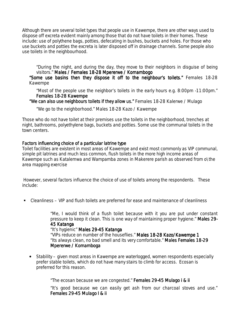Although there are several toilet types that people use in Kawempe, there are other ways used to dispose off excreta evident mainly among those that do not have toilets in their homes. These include: use of polythene bags, potties, defecating in bushes, buckets and holes. For those who use buckets and potties the excreta is later disposed off in drainage channels. Some people also use toilets in the neighbourhood.

*"During the night, and during the day, they move to their neighbors in disguise of being visitors." Males / Females 18 Males / Females 18/ Females 18-28 Mpererwe / Komambogo 28 Mpererwe / Komambogo28 Komambogo* 

"Some use basins then they dispose it off to the neighbour's toilets." Females 18-28 *Kawempe* 

*"Most of the people use the neighbor's toilets in the early hours e.g. 8:00pm -11:00pm." Females 18 18-28 Kawempe 28 Kawempe* 

*"We can also use neighbours toilets if they allow us." Females 18-28 Kalerwe / Mulago* 

*"We go to the neighborhood."Males 18-28 Kazo / Kawempe* 

Those who do not have toilet at their premises use the toilets in the neighborhood, trenches at night, bathrooms, polyethylene bags, buckets and potties. Some use the communal toilets in the town centers.

#### Factors influencing choice of a particular latrine type

Toilet facilities are existent in most areas of Kawempe and exist most commonly as VIP communal, simple pit latrines and much less common, flush toilets in the more high income areas of Kawempe such as Katalemwa and Wampamba zones in Makerere parish as observed from o\the area mapping exercise

 However, several factors influence the choice of use of toilets among the respondents. These include:

Cleanliness – VIP and flush toilets are preferred for ease and maintenance of cleanliness

*"Me, I would think of a flush toilet because with it you are put under constant pressure to keep it clean. This is one way of maintaining proper hygiene." Males 29 29- 45 Katanga*

#### "It's hygienic" Males 29-45 Katanga

*"VIPs reduce on number of the houseflies." Males 18 18-28 Kazo/Kawempe 1 28 1 "Its always clean, no bad smell and its very comfortable." Males Females 18 Males Females 1818-29 Mpererwe / Komamboga* 

• Stability – given most areas in Kawempe are waterlogged, women respondents especially prefer stable toilets, which do not have many stairs to climb for access. Ecosan is preferred for this reason.

*"The ecosan because we are congested." Females 29 29-45 Mulago i & ii 45 iiii ii* 

*"It's good because we can easily get ash from our charcoal stoves and use." Females 29- 29-45 Mulago I & ii 45 ii ii ii*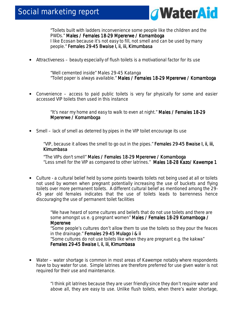

*"Toilets built with ladders inconvenience some people like the children and the PWDs." Males / Females 18-29 Mpererwe / Komamboga I like Ecosan because it's not easy to fill, not smell and can be used by many people." Females 29 Females 29-45 Bwaise I, ii, iii, Kimumbasa 45* 

• Attractiveness – beauty especially of flush toilets is a motivational factor for its use

*"Well cemented inside" Males 29-45 Katanga "Toilet paper is always available." Males / Females 18 / Females 1818- 18-29 Mpererwe / Komamboga 29 KomambogaKomamboga* 

• Convenience – access to paid public toilets is very far physically for some and easier accessed VIP toilets then used in this instance

> *"It's near my home and easy to walk to even at night." Males / Females 18 18- 18-29 Mpererwe / Komamboga*

• Smell – lack of smell as deterred by pipes in the VIP toilet encourage its use

*"VIP, because it allows the smell to go out in the pipes." Females 29 Females 2929-45 Bwaise I, ii, iii, 45 Kimumbasa* 

*"The VIPs don't smell" Males / Females 18 Males / Females 18/ Females 18-29 Mpererwe / Komamboga 29 Komamboga 29 Mpererwe / Komamboga*  "*Less smell for the VIP as compared to other latrines*." *Males 18 18- 18-28 Kazo/ Kawempe 1 28 1* 

• Culture - a cultural belief held by some points towards toilets not being used at all or toilets not used by women when pregnant potentially increasing the use of buckets and flying toilets over more permanent toilets. A different cultural belief as mentioned among the 29- 45 year old females indicates that the use of toilets leads to barrenness hence discouraging the use of permanent toilet facilities

> *"We have heard of some cultures and beliefs that do not use toilets and there are*  some amongst us e. g pregnant women" Males / Females 18-29 Komamboga / *Mpererwe*

*"Some people's cultures don't allow them to use the toilets so they pour the feaces in the drainage." Females 29-45 Mulago i & ii* 

*"Some cultures do not use toilets like when they are pregnant e.g. the kakwa" Females 29- 29-45 Bwaise I, ii, iii, Kimumbasa 45 Bwaise I, ii, iii, Kimumbasa45 Bwaise I, ii, Kimumbasa Bwaise I, ii, Kimumbasa* 

• Water – water shortage is common in most areas of Kawempe notably where respondents have to buy water for use. Simple latrines are therefore preferred for use given water is not required for their use and maintenance.

> "*I think pit latrines because they are user friendly since they don't require water and above all, they are easy to use. Unlike flush toilets, when there's water shortage,*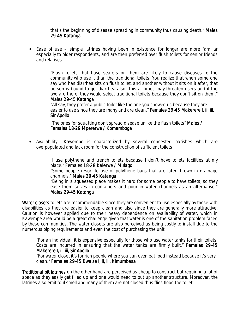*that's the beginning of disease spreading in community thus causing death." Males 29-45 Katanga 45 Katanga* 

• Ease of use – simple latrines having been in existence for longer are more familiar especially to older respondents, and are then preferred over flush toilets for senior friends and relatives

> *"Flush toilets that have seaters on them are likely to cause diseases to the community who use it than the traditional toilets. You realize that when some one say who has diarrhea sits on flush toilet, and another without it sits on it after, that person is bound to get diarrhea also. This at times may threaten users and if the two are there, they would select traditional toilets because they don't sit on them." Males 29-45 Katanga*

*"All say, they prefer a public toilet like the one you showed us because they are easier to use since they are many and are clean." Females 29-45 Makerere I, ii, iii, Sir Apollo* 

*"The ones for squatting don't spread disease unlike the flash toilets" Males / Males / Females 18-29 Mpererwe / Komamboga* 

• Availability– Kawempe is characterized by several congested parishes which are overpopulated and lack room for the construction of sufficient toilets

> *"I use polythene and trench toilets because I don't have toilets facilities at my place." Females 18 18-28 Kalerwe / Mulago 28 Mulago*

> *"Some people resort to use of polythene bags that are later thrown in drainage channels." Males 29-45 Katanga*

> *"Being in a squeezed place makes it hard for some people to have toilets, so they ease them selves in containers and pour in water channels as an alternative." Males 29-45 Katanga*

Water closets toilets are recommendable since they are convenient to use especially by those with disabilities as they are easier to keep clean and also since they are generally more attractive. Caution is however applied due to their heavy dependence on availability of water, which in Kawempe area would be a great challenge given that water is one of the sanitation problem faced by these communities. The water closets are also perceived as being costly to install due to the numerous piping requirements and even the cost of purchasing the unit.

*"For an individual, it is expensive especially for those who use water tanks for their toilets. Costs are incurred in ensuring that the water tanks are firmly built." Females 29 29-45 Makerere I, ii, iii, Sir Apollo* 

*"For water closet it's for rich people where you can even eat food instead because it's very clean." Females 29 29-45 Bwaise I, 45 I, ii, iii, Kimumbasa iii, Kimumbasa Kimumbasa* 

Traditional pit latrines on the other hand are perceived as cheap to construct but requiring a lot of space as they easily get filled up and one would need to put up another structure. Moreover, the latrines also emit foul smell and many of them are not closed thus flies flood the toilet.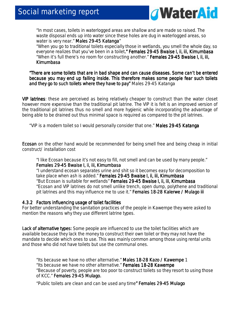

*"In most cases, toilets in waterlogged areas are shallow and are made so raised. The waste disposal ends up into water since these holes are dug in waterlogged areas, so water is very near." Males 29 Males 29 29-45 Katanga 45 Katanga*"

*"When you go to traditional toilets especially those in wetlands, you smell the whole day, so everyone realizes that you've been in a toilet." Females 29 ." Females 29 ." 29-45 Bwaise I, ii, iii, Kimumbasa 45 Bwaise I, ii, iii, Kimumbasa 45 Bwaise I, ii, Kimumbasa "When it's full there's no room for constructing another." Females 29 29-45 Bwaise I, ii, iii, 45 Kimumbasa* 

*"There are some toilets that are in bad shape and can cause diseases. Some can't be entered "There are some toilets shape and can Some*  because you may end up falling inside. This therefore makes some people fear such toilets *and they go to such toilets where they have to pay" where they pay" Males 29-45 Katanga* 

VIP latrines: these are perceived as being relatively cheaper to construct than the water closet however more expensive than the traditional pit latrine. The VIP it is felt is an improved version of the traditional pit latrines thus no smell and more hygienic while incorporating the advantage of being able to be drained out thus minimal space is required as compared to the pit latrines.

"VIP is a modern toilet so I would personally consider that one." Males 29-45 Katanga

Ecosan on the other hand would be recommended for being smell free and being cheap in initial construct/ installation cost

#### *"I like Ecosan because it's not easy to fill, not smell and can be used by many people." Females 29- 29-45 Bwaise I, ii, ii 45 Bwaise I, ii, iiiii, Kimumbasa Kimumbasa*

*"I understand ecosan separates urine and shit so it becomes easy for decomposition to take place when ash is added." Females 29 29-45 Bwaise I, ii, iii, Kimumbasa 45 Bwaise ii, iii, Kimumbasa "But Ecosan is suitable for wetlands" Females 29 Females 29 29-45 Bwaise I, ii, iii, Kimumbasa 45 Bwaise I, ii, iii, Kimumbasa45 Bwaise I, ii, iii, Kimumbasa "Ecosan and VIP latrines do not smell unlike trench, open dump, polythene and traditional pit latrines and this may influence me to use it." Females 18-28 Kalerwe / Mulago iii* 

#### 4.3.2 Factors influencing usage of toilet facilities

For better understanding the sanitation practices of the people in Kawempe they were asked to mention the reasons why they use different latrine types.

Lack of alternative types: Some people are influenced to use the toilet facilities which are available because they lack the money to construct their own toilet or they may not have the mandate to decide which ones to use. This was mainly common among those using rental units and those who did not have toilets but use the communal ones.

*"Its because we have no other alternative." Males 18 ales 1818- ales 18-28 Kazo / Kawempe 28 / Kawempe Kawempe 1 "Its because we have no other alternative." Females 18 18-28 Kawempe 28 Kawempe "Because of poverty, people are too poor to construct toilets so they resort to using those of KCC." Females 29 Females 2929-45 Mulago. 45 Mulago.Mulago. Mulago.* 

*"Public toilets are clean and can be used any time" Females 29 " 29-45 Mulago 45 Mulago 45*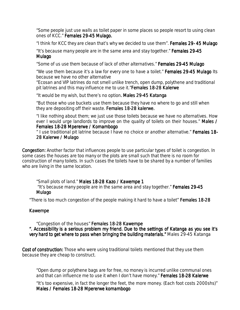*"Some people just use walls as toilet paper in some places so people resort to using clean ones of KCC." Females 29 29-45 Mulago. 45* 

*"I think for KCC they are clean that's why we decided to use them". Females 29 Females 29- 45 Mulago 45 Mulago* 

*"It's because many people are in the same area and stay together." Females 29 29- 29-45 Mulago Mulago* 

*"Some of us use them because of lack of other alternatives." Females 29 Females 2929-45 Mulago 45 MulagoMulago* 

*"We use them because it's a law for every one to have a toilet." Females 29 29 29-45 Mulago 45 Its 45 because we have no other alternative* 

*"Ecosan and VIP latrines do not smell unlike trench, open dump, polythene and traditional pit latrines and this may influence me to use it. "Females 18-28 Kalerwe* 

*"It would be my wish, but there's no option. Males 29-45 Katanga* 

*"But those who use buckets use them because they have no where to go and still when they are depositing off their waste. Females 18-28 kalerwe.* 

*"I like nothing about them; we just use those toilets because we have no alternatives. How ever I would urge landlords to improve on the quality of toilets on their houses." Males / Males / Females 18- 18-28 Mpererwe / Komambogo 28 Komambogo* 

 *" I use traditional pit latrine because I have no choice or another alternative." Females 18 18-* 28 Kalerwe / Mulago

Congestion: Another factor that influences people to use particular types of toilet is congestion. In some cases the houses are too many or the plots are small such that there is no room for construction of many toilets. In such cases the toilets have to be shared by a number of families who are living in the same location.

*"Small plots of land." Males 18 18-28 Kazo / Kawempe 1 28 Kawempe 11 "It's because many people are in the same area and stay together." Females 29 29- 29-45 Mulago Mulago* 

"There is too much congestion of the people making it hard to have a toilet" Females 18-28

#### Kawempe

*"Congestion of the houses" Females 18 Females 18- 18-28 Kawempe 28 KawempeKawempe ". Accessibility is a serious problem my friend. ". Accessibility is a serious problem my friend. Due to the settings of Katanga as you see it's Due to the settings of Katanga as you see it's very hard to get where to pass when bringing the building materials." Males 29-45 Katanga* 

Cost of construction: Those who were using traditional toilets mentioned that they use them because they are cheap to construct.

*"Open dump or polythene bags are for free, no money is incurred unlike communal ones and that can influence me to use it when I don't have money." Females 18 18 18-28 Kalerwe 28 Kalerwe* 

*"It's too expensive, in fact the longer the feet, the more money. (Each foot costs 2000shs)" Males / Females 18- Males / 18-28 Mpererwe komambogo 28 Mpererwe komambogo*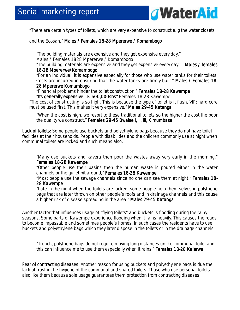

"There are certain types of toilets, which are very expensive to construct e. g the water closets

and the Ecosan." Males / Females 18-28 Mpererwe / Komambogo

*"The building materials are expensive and they get expensive every day." Males / Females 1828 Mpererwe / Komambogo "The building materials are expensive and they get expensive every day." Males / females ." ." females* 

#### *18-28 Mpererwe/Komambogo 28 Mpererwe/Komambogo 28 Mpererwe/Komambogo*

*"For an individual, it is expensive especially for those who use water tanks for their toilets. Costs are incurred in ensuring that the water tanks are firmly built." Males / Females 18-28 Mpererwe Komambogo Komambogo* 

*"Financial problems hinder the toilet construction " Females 18 18-28 Kawempe 28 Kawempe Kawempe "Its generally expensive i.e. 600,000shs" Females 18-28 Kawempe "Its generally expensive i.e. 600,000shs" "Its generally i.e. 600,000shs"* 

*"The cost of constructing is so high. This is because the type of toilet is it flush, VIP; hard core must be used first. This makes it very expensive." Males 29 Males 29 29-45 Katanga 45 Katanga 45 Katanga* 

*"When the cost is high, we resort to these traditional toilets so the higher the cost the poor the quality we construct."* Females 29-45 Bwaise I, ii, iii, Kimumbasa

Lack of toilets: Some people use buckets and polyethylene bags because they do not have toilet facilities at their households. People with disabilities and the children commonly use at night when communal toilets are locked and such means also.

*"Many use buckets and kavera then pour the wastes away very early in the morning." Females 18- 18-28 Kawempe 28 Kawempe* 

*"Other people use their basins then the human waste is poured either in the water channels or the gullet pit around." Females 18-28 Kawempe* 

"*Most people use the sewage channels since no one can see them at night." Females 18 Females 18-* 28 Kawempe

*"Late in the night when the toilets are locked, some people help them selves in polythene bags that are later thrown on other people's roofs and in drainage channels and this cause a higher risk of disease spreading in the area." Males 29-45 Katanga* 

Another factor that influences usage of "flying toilets" and buckets is flooding during the rainy seasons. Some parts of Kawempe experience flooding when it rains heavily. This causes the roads to become impassable and sometimes people's homes. In such cases the residents have to use buckets and polyethylene bags which they later dispose in the toilets or in the drainage channels.

*"Trench, polythene bags do not require moving long distances unlike communal toilet and this can influence me to use them especially when it rains." Females 18-28 Kalerwe* 

Fear of contracting diseases: Another reason for using buckets and polyethylene bags is due the lack of trust in the hygiene of the communal and shared toilets. Those who use personal toilets also like them because sole usage guarantees them protection from contracting diseases.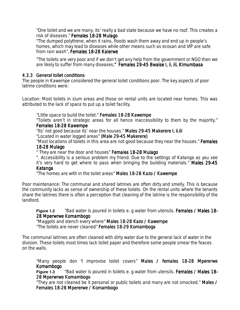*"One toilet and we are many, its' really a bad state because we have no roof. This creates a risk of diseases." Females 18 18-28 Mulago 28 Mulago* 

*"The dumped polythene, when it rains, floods wash them away and end up in people's homes, which may lead to diseases while other means such as ecosan and VIP are* s*afe from rain wash". Females 18 . Females 18. Females 18-28 Kalerwe 28 Kalerwe28 Kalerwe* 

*"The toilets are very poor and if we don't get any help from the government or NGO then we are likely to suffer from many diseases." Females 29 ." 29-45 Bwaise I, ii, iii, Kimumbasa 45 Bwaise ii, iii, Kimumbasa* 

#### 4.3.3 General toilet conditions

The people in Kawempe considered the general toilet conditions poor. The key aspects of poor latrine conditions were:

*Location:* Most toilets in slum areas and those on rental units are located near homes. This was attributed to the lack of space to put up a toilet facility.

*"Little space to build the toilet." Females 18 18-28 Kawempe 28 Kawempe* 

*"Toilets aren't in strategic areas for all hence inaccessibility to them by the majority." Females 18- 18-28 Kawempe 28 Kawempe*

*"Its' not good because its' near the houses." Males 29 Males 2929- 29-45 Makerere I, ii.iii 45 ii.iiiii.iii*  "Located in water logged areas" (Male 29-45 Makerere)

*"Most locations of toilets in this area are not good because they near the houses." Females 18-28 Mulago 28 Mulago* 

" *They are near the door and houses" Females 18 Females 18Females 18-28 Mulago 28 Mulago28 Mulago* 

*". Accessibility is a serious problem my friend. Due to the settings of Katanga as you see it's very hard to get where to pass when bringing the building materials." Males 29 29-45 Katanga* 

*"The homes are with in the toilet areas" Males 18 18-28 Kazo / Kawempe 28 Kazo Kawempe* 

*Poor maintenance:* The communal and shared latrines are often dirty and smelly. This is because the community lacks as sense of ownership of these toilets. On the rental units where the tenants share the latrines there is often a perception that cleaning of the latrine is the responsibility of the landlord.

**Figure 1.2** *"Bad water is poured in toilets e. g water from utensils. Females / Males 18-28 Mperwrwe Komambogo* 

*"Maggots and stench every where" Males 18 18-28 Kazo / Kawempe 28 Kazo / Kawempe "The toilets are never cleaned" Females 18 18-29 Komamboga 29 Komamboga* 

The communal latrines are often cleaned with dirty water due to the general lack of water in the division. These toilets most times lack toilet paper and therefore some people smear the feaces on the walls.

*"Many people don 't improvise toilet covers" Males / females 18 Males / females 18/ females 18- / females 18-28 Mpererwe 28 Mpererwe 28 Komambogo*

**Figure 1.3** *"Bad water is poured in toilets e. g water from utensils. Females / Males 18-28 Mperwrwe Komambogo 28 Mperwrwe Komambogo* 

*"They are not cleaned be it personal or public toilets and many are not smocked." Males / Males / Females 18-28 Mpererwe / Komambogo*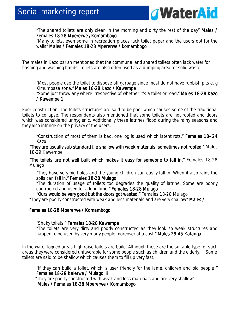

*"The shared toilets are only clean in the morning and dirty the rest of the day" Males /*  **Females 18-28 Mpererwe /Komambogo** 

*"Many toilets, even some in recreation places lack toilet paper and the users opt for the walls" Males / Females 18 Females 18-28 Mpererwe / komambogo 28 Mpererwe komambogokomambogo* 

The males in Kazo parish mentioned that the communal and shared toilets often lack water for flashing and washing hands. Toilets are also often used as a dumping area for solid waste.

*"Most people use the toilet to dispose off garbage since most do not have rubbish pits e. g*  Kimumbasa zone." Males 18-28 Kazo / Kawempe *"Some just throw any where irrespective of whether it's a toilet or road." Males 18 18-28 Kazo 28 / Kawempe 1*

*Poor construction:* The toilets structures are said to be poor which causes some of the traditional toilets to collapse. The respondents also mentioned that some toilets are not roofed and doors which was considered unhygienic. Additionally these latrines flood during the rainy seasons and they also infringe on the privacy of the users.

*"Construction of most of them is bad, one log is used which latent rots." Females 18 Females 1818- 24 Kazo*

*"They are usually sub standard i. e shallow with waek materials, sometimes not roofed." Males 18-29 Kawempe* 

*"The toilets are not well built which makes it built it easy for someone to fall in." kes it easy Females 18-28 Mulago* 

*"They have very big holes and the young children can easily fall in. When it also rains the soils can fall in." Females 18 Females 18-28 Mulago 28 Mulago* 

*"The duration of usage of toilets too degrades the quality of latrine. Some are poorly contructed and used for a long time." Females 18 ." 18-28 Mulago 28 Mulago* 

"Ours would be very good but the doors got wasted." Females 18-28 Mulago "They are poorly constructed with weak and less materials and are very shallow" Males /

#### Females 18-28 Mpererwe / Komambogo

 *"Shaky toilets." Females 18 Females 18 18-28 Kawempe 28 Kawempe Kawempe* 

*"The toilets are very dirty and poorly constructed as they look so weak structures and happen to be used by very many people moreover at a cost." Males 29 Males 2929-45 Katanga 45 Katanga* 

In the water logged areas high raise toilets are build. Although *these* are the suitable type for such areas they were considered unfavorable for some people such as children and the elderly. Some toilets are said to be shallow which causes them to fill up very fast.

*"If they can build a toilet, which is user friendly for the lame, children and old people " Females 18 18- 18-28 Kalerwe / Mulago 28 Kalerwe / iii iii "They are poorly constructed wi th weak and less materials and are very shallow" Males / Females 18 Males / Females 1818-28 Mpererwe / Komambogo 28 Mpererwe / Komambogo 28 Mpererwe / Komambogo*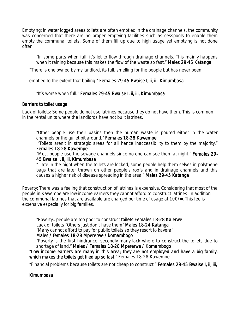*Emptying:* in water logged areas toilets are often emptied in the drainage channels. the community was concerned that there are no proper emptying facilities such as cesspools to enable them empty the communal toilets. Some of them fill up due to high usage yet emptying is not done often.

*"In some parts when full, it's let to flow through drainage channels. This mainly happens when it raining because this makes the flow of the waste so fast." Males 29 29-45 Katanga 45 Katanga* 

"There is one owned by my landlord, its full, smelling for the people but has never been

emptied to the extent that boiling." Females 29-45 Bwaise I, ii, iii, Kimumbasa

#### *"It's worse when full." Females 29 29-45 Bwaise I, ii, iii, Kimumbasa 45 Bwaise Kimumbasa*

#### Barriers to toilet usage

*Lack of toilets:* Some people do not use latrines because they do not have them. This is common in the rental units where the landlords have not built latrines.

*"Other people use their basins then the human waste is poured either in the water channels or the quilet pit around." Females 18-28 Kawempe* 

*"Toilets aren't in strategic areas for all hence inaccessibility to them by the majority." Females 18-28 Kawempe* 

"*Most people use the sewage channels since no one can see them at night." Females 29 Females 29- 45 Bwaise I, ii, iii, Kimumbasa Kimumbasa* 

*" Late in the night when the toilets are locked, some people help them selves in polythene bags that are later thrown on other people's roofs and in drainage channels and this causes a higher risk of disease spreading in the area." Males 29-45 Katanga* 

*Poverty:* There was a feeling that construction of latrines is expensive. Considering that most of the people in Kawempe are low-income earners they cannot afford to construct latrines. In addition the communal latrines that are available are charged per time of usage at 100/=. This fee is expensive especially for big families.

*"Poverty…people are too poor to construct toilets Females ts Females ts Females 18-28 Kalerwe 28 Kalerwe28 Kalerwe*  Lack of toilets "Others just don't have them" Males 18-24 Katanga *"Many cannot afford to pay for public toilets so they resort to kavera"* 

*Males / females 18- Males 18-28 Mpererwe / komambogo 28 komambogo "Poverty is the first hindrance; secondly many lack where to construct the toilets due to* 

*shortage of land." Males / Females 18 Males / Females / Females 18-28 Mpererwe / Komambogo 28 Mpererwe / Komambogo28 / Komambogo "Low income earners are many in this area; income in area; they are not employed and have a big family, they not and*  which makes the toilets get filed up so fast." Females 18-28 Kawempe

"Financial problems because toilets are not cheap to construct." Females 29-45 Bwaise I, ii, iii,

**Kimumbasa**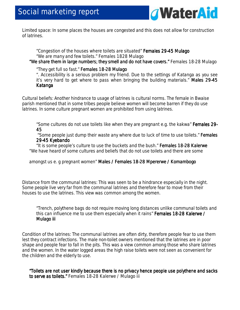

*Limited space:* In some places the houses are congested and this does not allow for construction of latrines.

*"Congestion of the houses where toilets are situated" Females 29 Females 29-45 Mulago 45 MulagoMulago "We are many and few toilets."Females 1828 Mulago "We share them in large numbers; they smell and do not have covers." Females 18-28 Mulago* 

#### *"They get full so fast." Females 18 18-28 Mulago 28 Mulago Mulago*

*". Accessibility is a serious problem my friend. Due to the settings of Katanga as you see it's very hard to get where to pass when bringing the building materials." Males 29 29-45 Katanga* 

*Cultural beliefs:* Another hindrance to usage of latrines is cultural norms. The female in Bwaise parish mentioned that in some tribes people believe women will become barren if they do use latrines. In some culture pregnant women are prohibited from using latrines.

*"Some cultures do not use toilets like when they are pregnant e.g. the kakwa" Females 29- 45*

"Some people just dump their waste any where due to luck of time to use toilets." **Females** *29-45 Kyebando 45* 

*"It is some people's culture to use the buckets and the bush." Females 18 Females 18Females 18-28 Kalerwe 28 Kalerwe 28 Kalerwe*  "We have heard of some cultures and beliefs that do not use toilets and there are some

amongst us e. g pregnant women" Males / Females 18-28 Mpererwe / Komambogo

*Distance from the communal latrines:* This was seen to be a hindrance especially in the night. Some people live very far from the communal latrines and therefore fear to move from their houses to use the latrines. This view was common among the women.

*"Trench, polythene bags do not require moving long distances unlike communal toilets and this can influence me to use them especially when it rains" Females 18-28 Kalerwe / 28 Kalerwe / 28 Kalerwe / Mulago iii iii Mulago iii* 

*Condition of the latrines:* The communal latrines are often dirty, therefore people fear to use them lest they contract infections. The male non-toilet owners mentioned that the latrines are in poor shape and people fear to fall in the pits. This was a view common among those who share latrines and the women. In the water logged areas the high raise toilets were not seen as convenient for the children and the elderly to use.

*"Toilets are not user kindly because there is no privacy hence people use polythene and sacks kindly is no pri "Toilets are not polythene vacy people use sacks*  to serve as toilets." Females 18-28 Kalerwe / Mulago iii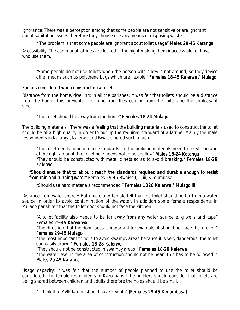*Ignorance:* There was a perception among that some people are not sensitive or are ignorant about sanitation issues therefore they choose use any means of disposing waste.

*" The problem is that some people are ignorant about toilet usage" Males 29 Males 29Males 29-45 Katanga 45 Katanga45 Katanga* 

*Accessibility:* The communal latrines are locked in the night making them inaccessible to those who use them.

*"Some people do not use toilets when the person with a key is not around, so they device*  other means such as polythene bags which are flexible." Females 18-45 Kalerwe / Mulago

#### Factors considered when constructing a toilet

*Distance from the home/dwelling:* In all the parishes, it was felt that toilets should be a distance from the home. This prevents the home from flies coming from the toilet and the unpleasant smell.

*"The toilet should be away from the home" Females 18 Females 18Females 18-24 Mulago 24 Mulago24 Mulago* 

*The building materials:* There was a feeling that the building materials used to construct the toilet should be of a high quality in order to put up the required standard of a latrine. Mainly the male respondents in Katanga, Kalerwe and Bwaise noted such a factor.

*"The toilet needs to be of good standards I. e the building materials need to be Strong and of the right amount, the toilet hole needs not to be shallow" Males 18 18-24 Katanga 24 Katanga "They should be constructed with metallic nets so as to avoid breaking." Females 18 Females 1818-28 Kalerwe* 

"Should ensure that toilet built reach the standards required and durable enough to resist from rain and running water" Females 29-45 Bwaise I, ii, iii, Kimumbasa

*"Should use hard materials recommended." Females 1828 Kalerwe / Mulago iii Females 1828 Kalerwe / Mulago iii* 

*Distance from water source:* Both male and female felt that the toilet should be far from a water source in order to avoid contamination of the water. In addition some female respondents in Mulago parish felt that the toilet door should not face the kitchen.

*"A toilet facility also needs to be far away from any water source e. g wells and taps" Females 29- 29-45 Kanyanya 45 Kanyanya* 

*"The direction that the door faces is important for example, it should not face the kitchen"*   $F$ emales 29-45 Mulago

*"The most important thing is to avoid swampy areas because it is very dangerous, the toilet can easily drown." Females 18 Females 1818-28 Kalerwe 28 Kalerwe*

*"They should not be constructed in swampy areas." Females 18 Females 18-29 Kalerwe 29 Kalerwe* 

*"The water level in the area of construction should not be near. This has to be followed. " Males 29- Males 29-45 Katanga 45 Katanga* 

*Usage capacity:* It was felt that the number of people planned to use the toilet should be considered. The female respondents in Kazo parish the builders should consider that toilets are being shared between children and adults therefore the holes should be small.

*" I think that AVIP latrine should have 2 vents" (Females 29 (Females 2929-45 Kimumbasa) 45 Kimumbasa)Kimumbasa)*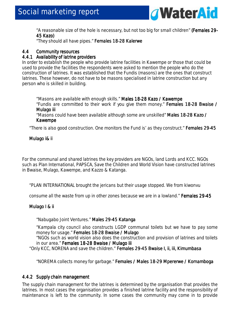

*"A reasonable size of the hole is necessary, but not too big for small children" (Females 29 (Females 2929- 45 Kazo) Kazo)*

 *"They should all have pipes." Females 18 Females 18Females 18-28 Kalerwe 28 Kalerwe28 Kalerwe* 

### 4.4 Community resources

#### 4.4.1 Availability of latrine providers

In order to establish the people who provide latrine facilities in Kawempe or those that could be used to provide the facilities the respondents were asked to mention the people who do the construction of latrines. It was established that the Fundis (masons) are the ones that construct latrines. These however, do not have to be masons specialised in latrine construction but any person who is skilled in building.

"Masons are available with enough skills." Males 18-28 Kazo / Kawempe *"Fundis are committed to their work if you give them money." Females 18 Females 1818-28 Bwaise / 28 Bwaise / 28 Mulago iii Mulago iii Mulago iii* 

*"Masons could have been available although some are unskilled" Males 18 Males 1818-28 Kazo / 28 / 28 Kawempe* 

"There is also good construction. One monitors the Fund is' as they construct." **Females 29-45** 

#### Mulago i& ii

For the communal and shared latrines the key providers are NGOs, land Lords and KCC. NGOs such as Plan International, PAPSCA, Save the Children and World Vision have constructed latrines in Bwaise, Mulago, Kawempe, and Kazzo & Katanga.

"PLAN INTERNATIONAL brought the jericans but their usage stopped. We from kiwonvu

consume all the waste from up in other zones because we are in a lowland." Females 29-45

#### Mulago I & ii

*"Nabugabo Joint Ventures." Males 29 Males 29 29-45 Katanga 45 Katanga*

*"Kampala city council also constructs LGDP communal toilets but we have to pay some money for usage." Females 18 18-28 Bwaise / Mulago 28 Mulago* 

*"NGOs such as world vision also does the construction and provision of latrines and toilets in our area."* Females 18-28 Bwaise / Mulago iii

"Only KCC, NORENA and save the children." Females 29-45 Bwaise I, ii, iii, Kimumbasa

*"NOREMA collects money for garbage." Females / Males 18 Females 18-29 Mpererwe / Komamboga 29 Komamboga* 

#### 4.4.2 Supply chain management

The supply chain management for the latrines is determined by the organisation that provides the latrines. In most cases the organisation provides a finished latrine facility and the responsibility of maintenance is left to the community. In some cases the community may come in to provide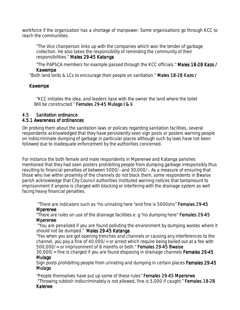workforce if the organisation has a shortage of manpower. Some organisations go through KCC to reach the communities.

*"The Vice chairperson links up with the companies which won the tender of garbage collection. He also takes the responsibility of reminding the community of their responsibilities." Males 29-45 Katanga* 

*"The PAPSCA members for example passed through the KCC officials." Males 18 Males 18-28 Kazo / 28 Kazo 28 Kawempe Kawempe* 

"Both land lords & LCs to encourage their people on sanitation." Males 18-28 Kazo /

#### **Kawempe**

*"KCC initiates the idea, and leaders liase with the owner the land where the toilet Will be constructed." Females 29-45 Mulago I & ii* 

# 4.5 Sanitation ordinance

#### 4.5.1 Awareness of ordinances

On probing them about the sanitation laws or policies regarding sanitation facilities, several respondents acknowledged that they have persistently seen sign posts or posters warning people on indiscriminate dumping of garbage in particular places although such by laws have not been followed due to inadequate enforcement by the authorities concerned.

For instance the both female and male respondents in Mpererwe and Katanga parishes mentioned that they had seen posters prohibiting people from dumping garbage irresponsibly thus resulting to financial penalties of between 5000/- and 30,000/-. As a measure of ensuring that those who live within proximity of the channels do not block them, some respondents in Bwaise parish acknowledge that City Council authorities instituted warning notices that tantamount to imprisonment if anyone is charged with blocking or interfering with the drainage system as well facing heavy financial penalties.

 *"There are indicators such as "no urinating here "and fine is 5000shs" Females 29 Females 2929-45 Mpererwe Mpererwe*

*"There are rules on use of the drainage facilities e. g "no dumping here" Females 29 Females 29Females 29-45 Mpererwe* 

 *"You are penalized if you are found polluting the environment by dumping wastes where it should not be dumped." Males 29 29-45 Katanga 45 Katanga* 

*"Yes when you are got opening trenches and channels or causing any interferences to the channel, you pay a fine of 40,000/= or arrest which require being bailed out at a fee with 500,000/= or imprisonment of 8 months or both." Females 29 Females 2929-45 Bwaise 45 Bwaise* 

*30,000/= fine is charged if you are found disposing in drainage channels Females 29 29- 29-45 Mulago* 

*Sign posts prohibiting people from urinating and dumping in certain places Females 29 29-45 Mulago* 

*"People themselves have put up some of these rules" Females 29 Females 2929- Females 29-45 Mpererwe 45 Mpererwe "Throwing rubbish indiscriminately is not allowed, fine is 5,000 if caught." Females 18 18-28* 

#### *Kalerwe*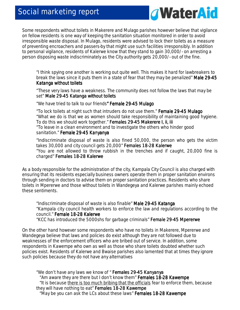# Social marketing report



Some respondents without toilets in Makerere and Mulago parishes however believe that vigilance on fellow residents is one way of keeping the sanitation situation monitored in order to avoid irresponsible waste disposal. In Mulago, residents were advised to lock their toilets as a measure of preventing encroachers and passers-by that might use such facilities irresponsibly. In addition to personal vigilance, residents of Kalerwe know that they stand to gain 30,000/- on arresting a person disposing waste indiscriminately as the City authority gets 20,000/- out of the fine.

*"I think spying one another is working out quite well. This makes it hard for lawbreakers to break the laws since it puts them in a state of fear that they may be penalized" Male 29 Male 29-45*  **Katanga without toilets** 

"*These very laws have a weakness. The community does not follow the laws that may be set" Male 29 29-45 Katanga without toilets 45 toilets* 

 *"We have tried to talk to our friends" Female 29 " Female 29 " 29-45 Mulago 45 Mulago45 Mulago* 

*"To lock toilets at night such that intruders do not use them." Female 29 29-45 Mulago 45 Mulago "What we do is that we as women should take responsibility of maintaining good hygiene. To do this we should work together." Females 29 29-45 Makerere I, ii, iii 45 iii "To leave in a clean environment and to investigate the others who hinder good sanitation."* Female 29-45 Kanyanya

*"Indiscriminate disposal of waste is also fined 50,000, the person who gets the victim takes 30,000 and city council gets 20,000" Females 18-28 Kalerwe "You are not allowed to throw rubbish in the trenches and if caught, 20,000 fine is charged" Females 18 18-28 Kalerwe 28 Kalerwe* 

As a body responsible for the administration of the city, Kampala City Council is also charged with ensuring that its residents especially business owners operate them in proper sanitation environs through sending in doctors to advise them on proper sanitation practices. Residents who share toilets in Mpererwe and those without toilets in Wandegeya and Kalerwe parishes mainly echoed these sentiments.

*"Indiscriminate disposal of waste is also finable" Male 29 29 29-45 Katanga 45 Katanga Katanga "Kampala city council health workers to enforce the law and regulations according to the council."* Female 18-28 Kalerwe *"KCC has introduced the 5000shs for garbage criminals" Female 29 Female 2929-45 Mpererwe 45 Mpererwe45 Mpererwe* 

On the other hand however some respondents who have no toilets in Makerere, Mpererwe and Wandegeya believe that laws and policies do exist although they are not followed due to weaknesses of the enforcement officers who are bribed out of service. In addition, some respondents in Kawempe who own as well as those who share toilets doubted whether such policies exist. Residents of Kalerwe and Bwaise parishes also lamented that at times they ignore such policies because they do not have any alternatives

*"We don't have any laws we know of " Females 29-45 Kanyanya "Am aware they are there but I don't know them" Females 18 Females 18Females 18-28 Kawempe 28 Kawempe28 Kawempe "It is because there is too much bribing that the officials fear to enforce them, because they will have nothing to eat" Females 18 Females 18 18-28 Kawempe "May be you can ask the LCs about these laws" Females 18-28 Kawempe*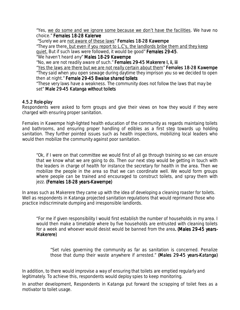*"Yes, we do some and we ignore some because we don't have the facilities. We have no choice." Females 18 Females 18 18-28 Kalerwe 28* 

 *"Surely we are not aware of these laws" Females 18 Females 1818-28 Kawempe 28 Kawempe 28 Kawempe* 

*"They are there, but even if you report to L.C's, the landlords bribe them and they keep quiet. But if such laws were followed, it would be good" Females 29 Females 2929-45.* 

*"We haven't heard any" Males 18 18-29 Kawempe 29 Kawempe* 

*"No, we are not readily aware of such." Females 29 Females 29 29-45 Makerere I, ii, iii 45 ii, iii iii iii* 

*"Yes the laws are there but we are not really certain about them" Females 18 Females 1818-28 Kawempe 28 Kawempe 28 Kawempe "They said when you open sewage during daytime they imprison you so we decided to open then at night." Female 29-45 Bwaise shared toilets* 

*"These very laws have a weakness. The community does not follow the laws that may be set" Male 29 29-45 Katanga without toilets 45 toilets* 

#### 4.5.2 Role-play

Respondents were asked to form groups and give their views on how they would if they were charged with ensuring proper sanitation.

Females in Kawempe high-lighted health education of the community as regards maintaing toilets and bathrooms, and ensuring proper handling of edibles as a first step towards up holding sanitation. They further pointed issues such as health inspections, mobilizing local leaders who would then mobilize the community against poor sanitation.

*"Ok, if I were on that committee we would first of all go through training so we can ensure that we know what we are going to do. Then our next step would be getting in touch with the leaders in charge of health for instance the secretary for health in the area. Then we mobilize the people in the area so that we can coordinate well. We would form groups where people can be trained and encouraged to construct toilets, and spray them with jezz. (Females 18 (Females 18- 18-28 years 28 years-Kawempe) Kawempe)Kawempe)* 

In areas such as Makerere they came up with the idea of developing a cleaning roaster for toilets. Well as respondents in Katanga projected sanitation regulations that would reprimand those who practice indiscriminate dumping and irresponsible landlords.

"For me if given responsibility I would first establish the number of households in my area. I would then make a timetable where by five households are entrusted with cleaning toilets for a week and whoever would desist would be banned from the area. (Males 29-45 years-Makerere)

"*Set rules governing the community as far as sanitation is concerned*. *Penalize those that dump their waste anywhere if arrested." (Males 29-45 years-Katanga)* 

In addition, to there would improvise a way of ensuring that toilets are emptied regularly and legitimately. To achieve this, respondents would deploy spies to keep monitoring.

In another development, Respondents in Katanga put forward the scrapping of toilet fees as a motivator to toilet usage.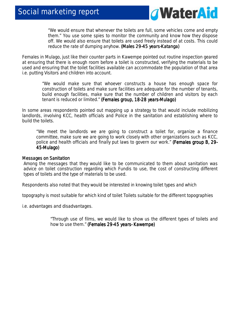

"*We would ensure that whenever the toilets are full, some vehicles come and empty them." You use some spies to monitor the community and know how they dispose off. We would also ensure that toilets are used freely instead of at costs. This could reduce the rate of dumping anyhow. (Males 29-45 years-Katanga)* 

Females in Mulago, just like their counter parts in Kawempe pointed out routine inspection geared at ensuring that there is enough room before a toilet is constructed, verifying the materials to be used and ensuring that the toilet facilities available can accommodate the population of that area i.e. putting Visitors and children into account.

> *"We would make sure that whoever constructs a house has enough space for construction of toilets and make sure facilities are adequate for the number of tenants, build enough facilities, make sure that the number of children and visitors by each tenant is reduced or limited." (Females group, 18-28 years-Mulago)*

In some areas respondents pointed out mapping up a strategy to that would include mobilizing landlords, involving KCC, health officials and Police in the sanitation and establishing where to build the toilets.

"*We meet the landlords we are going to construct a toilet for, organize a finance committee, make sure we are going to work closely with other organizations such as KCC, police and health officials and finally put laws to govern our work." (Females group B, 29 (Females group B, 29- 45-Mulago) Mulago)Mulago)* 

#### Messages on Sanitation

Among the messages that they would like to be communicated to them about sanitation was advice on toilet construction regarding which *Fundis* to use, the cost of constructing different types of toilets and the type of materials to be used.

*Respondents also noted that they would be interested in knowing toilet types and which* 

*topography is most suitable for which kind of toilet Toilets suitable for the different topographies* 

*i.e. advantages and disadvantages.* 

*"Through use of films, we would like to show us the different types of toilets and how to use them." (Females 29-45 years- Kawempe)*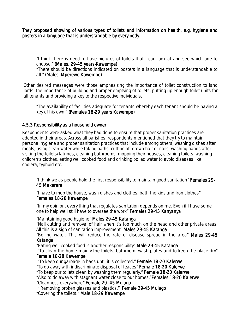They proposed showing of various types of toilets and information on health. e.g. hygiene and posters in a language that is understandable by every body.

*"I think there is need to have pictures of toilets that I can look at and see which one to choose." (Males, 29 (Males, 29-45 years 45 years-Kawempe) Kawempe)Kawempe) "There should be directions indicated on posters in a language that is understandable to* 

all." (Males, Mperewe-Kawempe)

Other desired messages were those emphasizing the importance of toilet construction to land lords, the importance of building and proper emptying of toilets, putting up enough toilet units for all tenants and providing a key to the respective individuals.

*"The availability of facilities adequate for tenants whereby each tenant should be having a key of his own." (Females 18-29 years Kawempe)* 

#### 4.5.3 Responsibility as a household owner

Respondents were asked what they had done to ensure that proper sanitation practices are adopted in their areas. Across all parishes, respondents mentioned that they try to maintain personal hygiene and proper sanitation practices that include among others; washing dishes after meals, using clean water while taking baths, cutting off grown hair or nails, washing hands after visiting the toilets/latrines, cleaning bathrooms, mopping their houses, cleaning toilets, washing children's clothes, eating well cooked food and drinking boiled water to avoid diseases like cholera, typhoid etc.

*"I think we as people hold the first responsibility to maintain good sanitation" Females 29 Females 2929-* **45 Makerere** 

*"I have to mop the house, wash dishes and clothes, bath the kids and Iron clothes" Females 18- 18-28 Kawempe 28 Kawempe* 

*"In my opinion, every thing that regulates sanitation depends on me. Even if I have some one to help we I still have to oversee the work" Females 29 Females 2929-45 Kanyanya 45 Kanyanya45 Kanyanya* 

*"Maintaining good hygiene" Males 29-45 Katanga* 

*"Nail cutting and removal of hair when it's too much on the head and other private areas. All this is a sign of sanitation improvement" Males 29 29-45 Katanga 45 Katanga* 

*"Boiling water. This will reduce the rate of disease spread in the area" Males 29 Males 29-45 Katanga Katanga*

*"Eating well-cooked food is another responsibility" Male 29 29-45 Katanga 45 Katanga Katanga "To clean the home mainly the toilets, bathroom, wash plates and to keep the place dry"* 

#### *Female 18-28 Kawempe*

 *"To keep our garbage in bags until it is collected." Female 18 Female 18-20 Kalerwe 20 Kalerwe Kalerwe "To do away with indiscriminate disposal of feaces" Female 18 Female 18-20 Kalerwe 20 KalerweKalerwe "To keep our toilets clean by washing them regularly." Female 18 18-20 Kalerwe 20 KalerweKalerwe "Also to do away with stagnant water close to our homes."Females 18 Females 18Females 18-20 Kalerwe 20 Kalerwe20 Kalerwe "Cleanness everywhere" Female 29 " 2929- 45 Mulago 45 Mulago* 

 *" Removing broken glasses and plastics." Female 29 ." 29-45 Mulago 45 Mulago "Covering the toilets." Male 18 Male 18 Male 18-29 Kawempe 29 Kawempe29 Kawempe*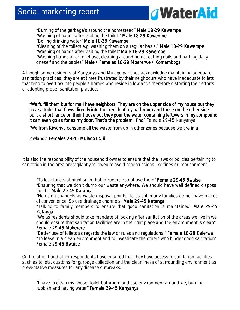

*"Burning of the garbage's around the homestead" Male 18 18-29 Kawempe 29 Kawempe Kawempe "Washing of hands after visiting the toilet." Male 18 ." 18-29 Kawempe 29 Kawempe Kawempe "Boiling drinking water" Male 18-29 Kawempe "Cleaning of the toilets e.g. washing them on a regular basis." Male 18 18-29 Kawempe 29 Kawempe "Washing of hands after visiting the toilet" Male 18 Male 1818- 18-29 Kawempe 29 Kawempe 29 Kawempe "Washing hands after toilet use, cleaning around home, cutting nails and bathing daily oneself and the babies" Male / Females 18 Male / 18-29 Mpererwe / Komamboga 29 Mpererwe Komamboga* 

Although some residents of Kanyanya and Mulago parishes acknowledge maintaining adequate sanitation practices, they are at times frustrated by their neighbours who have inadequate toilets that tend to overflow into people's homes who reside in lowlands therefore distorting their efforts of adopting proper sanitation practice.

*"We fulfill them but for me I have neighbors. They are on the upper side of my house but they are on the upper side of house but have a toilet that flows directly into the trench of my bathroom and those on the other side built a short fence on their house but they pour the water containing leftovers in my compound it can even go as for as my door. That's the problem I find" for as That's go my door. That's the Female 29-45 Kanyanya* 

"We from Kiwonvu consume all the waste from up in other zones because we are in a

lowland." Females 29-45 Mulago I & ii

It is also the responsibility of the household owner to ensure that the laws or policies pertaining to sanitation in the area are vigilantly followed to avoid repercussions like fines or imprisonment.

*"To lock toilets at night such that intruders do not use them" Female 29 29-45 Bwaise 45 Bwaise "Ensuring that we don't dump our waste anywhere. We should have well defined disposal points" Male 29-45 Katanga* 

*"No using channels as waste disposal points. To us still many families do not have places of convenience. So use drainage channels" Male 29 29-45 Katanga 45 Katanga Katanga* 

*"Talking to family members to ensure that good sanitation is maintained" Male 29 Male 29Male 29-45 Katanga Katanga*

*"We as residents should take mandate of looking after sanitation of the areas we live in we should ensure that sanitation facilities are in the right place and the environment is clean" Female 29- Female 29-45 Makerere 45 Makerere Makerere* 

*"Better use of toilets as regards the law or rules and regulations." Female 18 18-28 Kalerwe 28 Kalerwe "To leave in a clean environment and to investigate the others who hinder good sanitation" Female 29-45 Bwaise* 

On the other hand other respondents have ensured that they have access to sanitation facilities such as toilets, dustbins for garbage collection and the cleanliness of surrounding environment as preventative measures for any disease outbreaks.

*"I have to clean my house, toilet bathroom and use environment around we, burning rubbish and having water" Female 29-45 Kanyanya*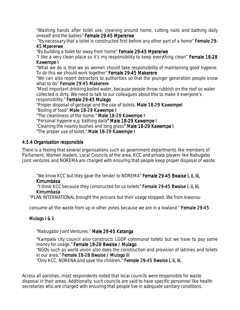*"Washing hands after toilet use, cleaning around home, cutting nails and bathing daily oneself and the babies" Female 29 29-45 Mpererwe 45 Mpererwe* 

"Its necessary that a toilet is constructed first before any other part of a home" **Female 29-**45 Mpererwe

*"By building a toilet far away from home" Female 29-45 Mpererwe* 

*"I like a very clean place so it's my responsibility to keep everything clean" Female 18 Female 18-28 Kawempe I I Kawempe I* 

*"What we do is that we as women should take responsibility of maintaining good hygiene. To do this we should work together" Female 29 Female 2929-45 Makerere 45 Makerere* 

*"We can also report detractors to authorities so that the younger generation people know what to do" Female 29-45 Makerere* 

*"Most important drinking boiled water, because people throw rubbish on the roof so water collected is dirty. We need to talk to our colleagues about this to make it everyone's responsibility." Female 29 29-45 Mulago 45 Mulago* 

*"Proper disposal of garbage and the use of toilets. Male 18 Male 18 Male 18-29 KawempeI 29 KawempeI29 KawempeI "Boiling of food" Male 18-29 Kawempe I "The cleanliness of the home." Male 18 Male 18-29 Kawempe I 29 I "Personal hygiene e.g. bathing daily" Male 18 " Male 18" 18-29 Kawempe I 29 Kawempe I 29 Kawempe I 29 Kawempe I "Cleaning the nearby bushes and long grass" Male 18 " 18-29 Kawempe I 29 I "The proper use of toilet." Male 18 Male 18Male 18-29 Kawempe I 29 Kawempe I29 Kawempe I Kawempe I* 

#### 4.5.4 Organisation responsible

There is a feeling that several organisations such as government departments like members of Parliament, Women leaders, Local Councils of the area, KCC and private players like Nabugabo Joint ventures and NOREMA are charged with ensuring that people keep proper disposal of waste.

*"We know KCC but they gave the tender to NOREMA" Female 29 29-45 Bwaise I, ii, iii, 45 Kimumbasa Kimumbasa* 

 *"I think KCC because they constructed for us toilets" Female 29 Female 29-45 Bwaise I, ii, iii, 45 Bwaise I, ii, Kimumbasa* 

"PLAN INTERNATIONAL brought the jericans but their usage stopped. We from kiwonvu

consume all the waste from up in other zones because we are in a lowland." Female 29-45

#### Mulago i & ii

#### *"Nabugabo Joint Ventures." Male 29 Male 2929-45 Katanga 45 Katanga*

*"Kampala city council also constructs LGDP communal toilets but we have to pay some money for usage." Female 18-28 Bwaise / Mulago "NGOs such as world vision also does the construction and provision of latrines and toilets in our area." Female 18 Female 18-28 Bwaise / Mulago iii 28 iiiiii iii "Only KCC, NORENA and save the children." Female 29 29-45 Bwaise I, ii, iii, 45 iii,* 

Across all parishes, most respondents noted that local councils were responsible for waste disposal in their areas. Additionally, such councils are said to have specific personnel like health secretaries who are charged with ensuring that people live in adequate sanitary conditions.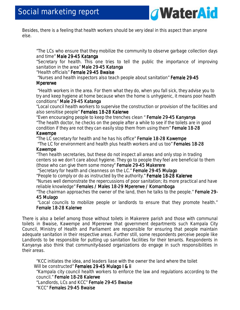

Besides, there is a feeling that health workers should be very ideal in this aspect than anyone else.

*"The LCs who ensure that they mobilize the community to observe garbage collection days*  and time" Male 29-45 Katanga

*"Secretary for health. This one tries to tell the public the importance of improving sanitation in the area" Male 29 29-45 Katanga* 

#### *"Health officials" Female 29 Female 29Female 29-45 Bwaise 45 Bwaise45 Bwaise*

 *"Nurses and health inspectors also teach people about sanitation" Female 29 Female 29-45 Mpererwe Mpererwe*

*"Health workers in the area. For them what they do, when you fall sick, they advise you to try and keep hygiene at home because when the home is unhygienic, it means poor health conditions" Male 29 Male 2929-45 Katanga 45 Katanga 45 Katanga* 

*"Local council health workers to supervise the construction or provision of the facilities and also sensitise people" Females 18 Females Females 18-28 Kalerwe 28 Kalerwe28 Kalerwe* 

 *"Even encouraging people to keep the trenches clean " Female 29 Female 29-45 Kanyanya 45 Kanyanya "The health doctor, he checks on the people after a while to see if the toilets are in good*  condition if they are not they can easily stop them from using them" **Female 18-28** 

#### *Kawempe Kawempe*

*"The LC secretary for health and he has his office" Female 18 Female 18 18-28 Kawempe 28 Kawempe28 Kawempe* 

 *"The LC for environment and health plus health workers and us too" Females 18 Females 1818-28 Kawempe Kawempe*

*"Then health secretaries, but these do not inspect all areas and only stop in trading centers so we don't care about hygiene. They go to people they feel are beneficial to them (those who can give them some money" Female 29 Female 2929-45 Makerere 45 Makerere* 

 *"Secretary for health and cleanness on the LC." Female 29 Female 29-45 Mulago 45 Mulago* 

*"People to comply or do as instructed by the authority." Female 18 Female 18-28 Kalerwe 28 Kalerwe Kalerwe* 

*"Nurses well demonstrate the repercussions of poor sanitation; its more practical and have reliable knowledge" Females / Males 18 Females / 18-29 Mpererwe / Komamboga 29 Mpererwe / Komamboga* 

*"The chairman approaches the owner of the land, then he talks to the people." Female 29 Female 29 29- 45 Mulago Mulago* 

 *"Local councils to mobilize people or landlords to ensure that they promote health." Female 18-28 Kalerwe* 

There is also a belief among those without toilets in Makerere parish and those with communal toilets in Bwaise, Kawempe and Mpererwe that government departments such Kampala City Council, Ministry of Health and Parliament are responsible for ensuring that people maintain adequate sanitation in their respective areas. Further still, some respondents perceive people like Landlords to be responsible for putting up sanitation facilities for their tenants. Respondents in Kanyanya also think that community-based organizations do engage in such responsibilities in their areas.

*"KCC initiates the idea, and leaders liase with the owner the land where the toilet <i>Will be constructed" Females 29-45 Mulago I & ii "Kampala city council health workers to enforce the law and regulations according to the council." Female 18 Female Female 18-28 Kalerwe 28 Kalerwe "Landlords, LCs and KCC" Female 29 2929-45 Bwaise 45 BwaiseBwaise "KCC" Females 29 Females 2929-45 Bwaise*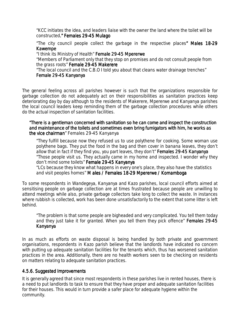*"KCC initiates the idea, and leaders liaise with the owner the land where the toilet* will *be constructed." Females 29 ." 29-45 Mulago 45* 

*"The city council people collect the garbage in the respective places" Males 18 " Males 18" Males 18-29 Kawempe* 

*"I think its Ministry of Health" Female 29-45 Mpererwe "Members of Parliament only that they stop on promises and do not consult people from the grass roots" Female 29 29-45 Makerere 45 Makerere "The local council and the C.B.O I told you about that cleans water drainage trenches" Female 29-45 Kanyanya* 

The general feeling across all parishes however is such that the organizations responsible for garbage collection do not adequately act on their responsibilities as sanitation practices keep deteriorating day by day although to the residents of Makerere, Mpererwe and Kanyanya parishes the local council leaders keep reminding them of the garbage collection procedures while others do the actual inspection of sanitation facilities.

#### *"There is a gentleman concerned with sanitation so he can come and inspect the construction is a gentleman concerned he can construction*  and maintenance of the toilets and sometimes even bring fumigators with him, he works as *the vice chairman" Females 29-45 Kanyanya chairman*

*"They fulfill because now they refused us to use polythene for cooking. Some woman use polythene bags. They put the food in the bag and then cover in banana leaves, they don't allow that in fact if they find you, you part leaves, they don't" Females 29 Females 29 29-45 Kanyanya 45 Kanyanya "Those people visit us. They actually came in my home and inspected. I wonder why they don't mind some toilets" Female 29 Female 29-45 Kanyanya 45 Kanyanya* 

*"LCs because they know what happens in every one's place, they also have the statistics and visit peoples homes" M ales / Females 18 / Females 18-29 Mpererwe / Komamboga 29 KomambogaKomamboga* 

To some respondents in Wandegeya, Kanyanya and Kazo parishes, local council efforts aimed at sensitising people on garbage collection are at times frustrated because people are unwilling to attend meetings while also, private garbage collectors take long to collect the waste. In instances where rubbish is collected, work has been done unsatisfactorily to the extent that some litter is left behind.

*"The problem is that some people are bigheaded and very complicated. You tell them today*  and they just take it for granted. When you tell them they pick offence" Females 29-45 *Kanyanya Kanyanya*

In as much as efforts on waste disposal is being handled by both private and government organisations, respondents in Kazo parish believe that the landlords have indicated no concern with putting up adequate sanitation facilities for the tenants which, thus has worsened sanitation practices in the area. Additionally, there are no health workers seen to be checking on residents on matters relating to adequate sanitation practices.

#### 4.5.6. Suggested Improvements

It is generally agreed that since most respondents in these parishes live in rented houses, there is a need to put landlords to task to ensure that they have proper and adequate sanitation facilities for their houses. This would in turn provide a safer place for adequate hygiene within the community.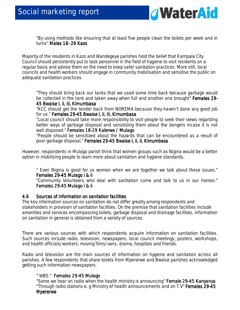

*"By using methods like ensuring that at least five people clean the toilets per week and in turns" Males 18- 29 Kazo* 

Majority of the residents in Kazo and Wandegeya parishes hold the belief that Kampala City Council should persistently put to task personnel in the field of hygiene to visit residents on a regular basis and advise them on the need to keep safer sanitation practices. More still, local councils and health workers should engage in community mobilisation and sensitise the public on adequate sanitation practices.

*"They should bring back our tanks that we used some time back because garbage would be collected in the tank and taken away when full and another one brought" Females 29 Females 29 29- 45 Bwaise I, ii, iii, Kimumbasa Kimumbasa* 

*"KCC should get the tender back from NOREMA because they haven't done any good job for us." Females 29 Females 29Females 29-45 Bwaise I, ii, iii, Kimumbasa 45 Bwaise I, ii, iii, Kimumbasa45 Bwaise ii, iii, Kimumbasa* 

*"Local council should take more responsibility to visit people to seek their views regarding*  better ways of garbage disposal and sensitizing them about the dangers incase it is not *well disposed." Females 18 Females 18 18-29 Kalerwe / Mulago 29 Kalerwe / Mulago29 Kalerwe / Mulago Kalerwe / Mulago* 

*"People should be sensitized about the hazards that can be encountered as a result of poor garbage disposal." Females 29 Females 2929-45 Bwaise I, ii, ii, Kimumbasa 45 Bwaise I, ii, ii, Kimumbasa45 Kimumbasa* 

However, respondents in Mulago parish think that women groups such as Nigina would be a better option in mobilising people to learn more about sanitation and hygiene standards.

*" Even Nigina is good for us women when we are together we talk about these issues." Females 29 29-45 Mulago i & ii 45 i & ii ii ii* 

*"Community Volunteers who deal with sanitation come and talk to us in our homes." Females 29-45 Mulago i & ii* 

#### 4.6 Sources of information on sanitation facilities

The key information sources on sanitation do not differ greatly among respondents and stakeholders in provision of sanitation facilities. On the premise that sanitation facilities include amenities and services encompassing toilets, garbage disposal and drainage facilities, information on sanitation in general is obtained from a variety of sources.

There are various sources with which respondents acquire information on sanitation facilities. Such sources include radio, television, newspapers, local council meetings, posters, workshops, and health officials/workers, moving films/vans, drama, hospitals and friends.

Radio and television are the main sources of information on hygiene and sanitation across all parishes. A few respondents that share toilets from Mpererwe and Bwaise parishes acknowledged getting such information newspapers.

#### *" WBS." Females 29 Females 29-45 Mulago 45 Mulago*

*"Some we hear on radio when the health ministry is announcing" Female 29 Female 29 29-45 Kanyanya 45 Kanyanya "Through radio stations e. g Ministry of health announcements and on T.V" Females 29 Females 29 Females 29-45 Mpererwe*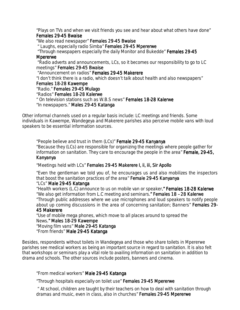*"Plays on TVs and when we visit friends you see and hear about what others have done"*   $F$ emales 29-45 Bwaise

*"We also read newspaper" Females 29 Females 2929-45 Bwaise 45 Bwaise45 Bwaise* 

 *" Laughs, especially radio Simba" Females 29 29-45 Mpererwe 45 MpererweMpererwe* 

 *"Through newspapers especially the daily Monitor and Bukedde" Females 29 Females 29 29-45 Mpererwe pererwe* 

 *"Radio adverts and announcements, LCs, so it becomes our responsibility to go to LC meetings" Females 29-45 Bwaise* 

 *"Announcement on radios" Females 29 Females 29-45 Makerere 45 Makerere* 

*"I don't think there is a radio, which doesn't talk about health and also newspapers"* 

## **Females 18-28 Kawempe**

*"Radio." Females 29 29 29-45 Mulago 45 Mulago Mulago "Radios" Females 18 Females 18 18-28 Kalerwe 28 Kalerwe28 Kalerwe* 

*" On television stations such as W.B.S news" Females 18 18-28 Kalerwe -28 Kalerwe28 Kalerwe 28 Kalerwe "In newspapers." Males 29-45 Katanga* 

Other informal channels used on a regular basis include: LC meetings and friends. Some individuals in Kawempe, Wandegeya and Makerere parishes also perceive mobile vans with loud speakers to be essential information sources.

*"People believe and trust in them (LCs)" Female 29 Female 29-45 Kanyanya 45 Kanyanya Kanyanya "Because they (LCs) are responsible for organizing the meetings where people gather for information on sanitation. They care to encourage the people in the area" Female, 29 Female, 29 29-45, Kanyanya Kanyanya*

*"Meetings held with LCs" Females 29 29- 29-45 Makerere I, ii, iii, Sir Apollo 45 Makerere I, ii, Apollo* 

*"Even the gentleman we told you of, he encourages us and also mobilizes the inspectors that boost the sanitation practices of the area" Female 29 Female 29 29-45 Kanyanya 45 Kanyanya Kanyanya* 

#### *"LCs" Male 29 Male 29Male 29-45 Katanga 45 Katanga45 Katanga*

*"Health workers (L.C) announce to us on mobile van or speaker." Females 18-28 Kalerwe "We also get information from L.C meeting and seminars." Females 18 -28 Kalerwe "Through public addresses where we use microphones and loud speakers to notify people about up coming discussions in the area of concerning sanitation; Banners" Females 29 Females 29- 45 Makerere Makerere* 

*"Use of mobile mega phones, which move to all places around to spread the News." Males 18 ." 18-29 Kawempe 29 Kawempe "Moving film vans" Male 29 Male 2929-45 Katanga 45 Katanga "From friends" Male 29 Male 2929-45 Katanga 45 Katanga*

Besides, respondents without toilets in Wandegeya and those who share toilets in Mpererwe parishes see medical workers as being an important source in regard to sanitation. It is also felt that workshops or seminars play a vital role to availing information on sanitation in addition to drama and schools. The other sources include posters, banners and cinema.

*"From medical workers" Male 29 Male 2929-45 Katanga 45 Katanga* 

*"Through hospitals especially on toilet use" Females 29 29-45 Mpererwe 45 Mpererwe Mpererwe* 

*" At school, children are taught by their teachers on how to deal with sanitation through dramas and music, even in class, also in churches" Females 29-45 Mpererwe*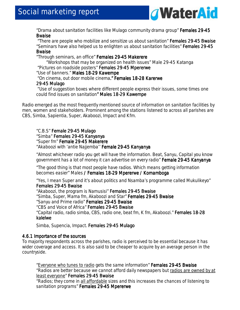

*"Drama about sanitation facilities like Mulago community drama group" Females 29 Females 2929-45 Bwaise*

*"There are people who mobilize and sensitize us about sanitation" Females 29 Females 29Females 29-45 Bwaise 45 Bwaise 45 Bwaise "Seminars have also helped us to enlighten us about sanitation facilities" Females 29 Females 29-45 Bwaise*

#### *"Through seminars, an office" Females 29 Females 29-45 Makerere 45 Makerere "Workshops that may be organized on health issues" Male 29-45 Katanga "Pictures on roadside posters" Females 29 Females 29 Females 29-45 Mpererwe 45 Mpererwe 45 Mpererwe "Use of banners." Males 18-29 Kawempe* "On cinema, out door mobile cinema." Females 18-28 Karerwe *29-45 Mulago 45 Mulago*  "*Use of suggestion boxes where different people express their issues, some times one*

*could find issues on sanitation" Males 18 " Males 18" 18-29 Kawempe 29 Kawempe*

Radio emerged as the most frequently mentioned source of information on sanitation facilities by men, women and stakeholders. Prominent among the stations listened to across all parishes are CBS, Simba, Sapientia, Super, Akaboozi, Impact and Kfm.

*"C.B.S" Female 29 Female 2929-45 Mulago 45 MulagoMulago "Simba" Females 29 males 29males 29-45 Kanyanya 45 Kanyanya 45 Kanyanya "Super fm" Female 29 29-45 Makerere 45 Makerere "Akaboozi with 'antie Najjemba'' Female 29 Female 29-45 Kanyanya 45 Kanyanya* 

*"Almost whichever radio you get will have the information. Beat, Sanyu, Capital you know government has a lot of money it can advertise on every radio" Female 29 29-45 Kanyanya 45 Kanyanya* 

*"The good thing is that most people have radios. Which means getting information*  becomes easier" Males / Females 18-29 Mpererwe / Komamboga

*"Yes, I mean Super and it's about politics and Nsamba's programme called Mukulikeyo" Females 29 Females 29 ales 29-45 Bwaise 45 Bwaise45 Bwaise* 

*"Akaboozi, the program is Namusisi" Females 29 Females 29-45 Bwaise 45 Bwaise "Simba, Super, Mama fm, Akaboozi and Star" Females 29 Females 29 29-45 Bwaise 45 Bwaise "Sanyu and Prime radio" Females 29-45 Bwaise "CBS and Voice of Africa" Females 29 29-45 Bwaise 45 Bwaise "Capital radio, radio simba, CBS, radio one, beat fm, K fm, Akaboozi." Females 18 Females 18-28 kalelwe* 

*Simba, Supencia, Impact. Females 29 Females 29-45 Mulago 45 Mulago Mulago* 

#### 4.6.1 Importance of the sources

To majority respondents across the parishes, radio is perceived to be essential because it has wider coverage and access. It is also said to be cheaper to acquire by an average person in the countryside.

*"Everyone who tunes to radio gets the same information" Females 29 Females 2929-45 Bwaise 45 BwaiseBwaise "Radios are better because we cannot afford daily newspapers but radios are owned by at least everyone" Females 29 29-45 Bwaise 45 Bwaise* 

*"Radios; they come in all affordable sizes and this increases the chances of listening to*  sanitation programs" Females 29-45 Mpererwe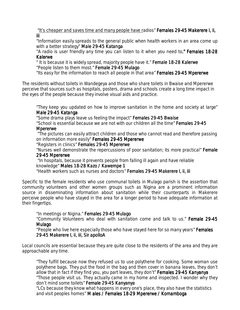"It's cheaper and saves time and many people have radios" **Females 29-45 Makerere I, ii,** *iii*

*"Information easily spreads to the general public when health workers in an area come up with a better strategy" Male 29 29-45 Katanga 45 Katanga* 

*"A radio is user friendly any time you can listen to it when you need to." Females 18 ." Females 18." 18-28 Kalerwe* 

*" It is because it is widely spread, majority people have it." Female 18 18-28 Kalerwe 28 Kalerwe "People listen to them most."* Female 29-45 Mulago

*"Its easy for the information to reach all people in that area" Females 29 2929-45 Mpererwe 45 Mpererwe* 

The residents without toilets in Wandegeya and those who share toilets in Bwaise and Mpererwe perceive that sources such as hospitals, posters, drama and schools create a long time impact in the eyes of the people because they involve visual aids and practice.

*"They keep you updated on how to improve sanitation in the home and society at large" Male 29- 29-45 Katanga 45 Katanga* 

*"Some drama plays leave us feeling the impact" Females 29 29-45 Bwaise 45 Bwaise Bwaise "School is essential because we are not with our children all the time" Females 29 Females 29Females 29-45* 

#### *Mpererwe*

 *"The pictures can easily attract children and those who cannot read and therefore passing on information more easily" Females 29 29-45 Mpererwe 45 Mpererwe* 

*"Registers in clinics" Females 29 Females 29-45 Mpererwe 45 Mpererwe* 

*"Nurses well demonstrate the repercussions of poor sanitation; its more practical" Female 29-45 Mpererwe* 

*"In hospitals, because it prevents people from falling ill again and have reliable knowledge" Males 18 Males 1818-28 Kazo / Kawempe 1 28 / Kawempe 1 "Health workers such as nurses and doctors" Females 29 Females 29-45 Makerere I, ii, iii 45 iii* 

Specific to the female residents who use communal toilets in Mulago parish is the assertion that community volunteers and other women groups such as Nigina are a prominent information source in disseminating information about sanitation while their counterparts in Makerere perceive people who have stayed in the area for a longer period to have adequate information at their fingertips.

*"In meetings or Nigina." Females 29 29-45 Mulago 45 Mulago* 

*"Community Volunteers who deal with sanitation come and talk to us." Female 29 29-45 Mulago*

*"People who live here especially those who have stayed here for so many years" Females 29-45 Makerere I, ii, iii, Sir apolloA 45 ii, iii, Sir apolloAapolloA* 

Local councils are essential because they are quite close to the residents of the area and they are approachable any time.

*"They fulfill because now they refused us to use polythene for cooking. Some woman use polythene bags. They put the food in the bag and then cover in banana leaves, they don't allow that in fact if they find you, you part leaves, they don't" Females 29-45 Kanyanya "Those people visit us. They actually came in my home and inspected. I wonder why they don't mind some toilets" Female 29 Female 29Female 29-45 Kanyanya 45 Kanyanya 45 Kanyanya* 

*"LCs because they know what happens in every one's place, they also have the statistics and visit peoples homes" M ales / Females 18 / Females 18-29 Mpererwe / Komam 29 Komam Komamboga*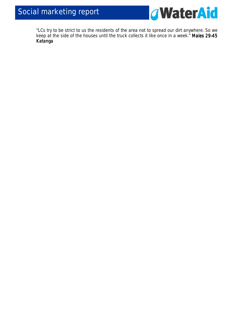

*"LCs try to be strict to us the residents of the area not to spread our dirt anywhere. So we keep at the side of the houses until the truck collects it like once in a week." Males 29 29- 29-45 Katanga*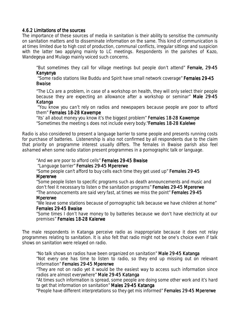#### 4.6.2 Limitations of the sources

The importance of these sources of media in sanitation is their ability to sensitise the community on sanitation matters and to disseminate information on the same. This kind of communication is at times limited due to high cost of production, communal conflicts, irregular sittings and suspicion with the latter two applying mainly to LC meetings. Respondents in the parishes of Kazo, Wandegeya and Mulago mainly voiced such concerns.

*"But sometimes they call for village meetings but people don't attend" Female, 29 Female, 2929-45 Kanyanya Kanyanya*

 *"Some radio stations like Buddu and Spirit have small network coverage" Females 29 29-45 Bwaise* 

*"The LCs are a problem, in case of a workshop on health, they will only select their people because they are expecting an allowance after a workshop or seminar" Male 29-45 Katanga Katanga*

 *"You know you can't rely on radios and newspapers because people are poor to afford them" Females 18 Females 18-28 Kawempe 28 Kawempe* 

"*Its' all about money you know it's the biggest problem*" *Females 18- 18-28 Kawempe 28 Kawempe "Sometimes the meeting s does not include every body."Females 18 Females 18Females 18-28 Kalelwe 28 Kalelwe28 Kalelwe* 

Radio is also considered to present a language barrier to some people and presents running costs for purchase of batteries. Listenership is also not confirmed by all respondents due to the claim that priority on programme interest usually differs. The females in Bwaise parish also feel ashamed when some radio station present programmes in a pornographic talk or language.

*"And we are poor to afford cells" Females 29 29-45 Bwaise 45 BwaiseBwaise "Language barrier" Females 29 29 29-45 Mpererwe 45 MpererweMpererwe* 

*"Some people can't afford to buy cells each time they get used up" Females 29 Females 29-45 Mpererwe* 

*"Some people listen to specific programs such as death announcements and music and don't feel it necessary to listen o the sanitation programs" Females 29-45 Mpererwe "The announcements are said very fast, at times we miss the point" Females 29 Females 2929-45* 

#### *Mpererwe*

*"We leave some stations because of pornographic talk because we have children at home" Females 29-45 Bwaise* 

*"Some times I don't have money to by batteries because we don't have electricity at our premises" Females 18-28 Kalerwe* 

The male respondents in Katanga perceive radio as inappropriate because it does not relay programmes relating to sanitation. It is also felt that radio might not be one's choice even if talk shows on sanitation were relayed on radio.

*"No talk shows on radios have been organized on sanitation" Male 29 2929-45 Katanga 45 Katanga Katanga "Not every one has time to listen to radio, so they end up missing out on relevant information" Females 29-45 Mpererwe* 

*"They are not on radio yet it would be the easiest way to access such information since radios are almost everywhere" Male 29-45 Katanga* 

*"At times such information is spread, some people are doing some other work and it's hard to get that information on sanitation" Males 29 Males 29Males 29-45 Katanga* 

*"People have different interpretations so they get mis informed" Females 29-45 Mpererwe*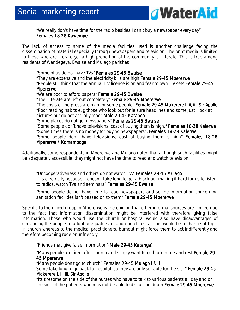

*"We really don't have time for the radio besides I can't buy a newspaper every day" Females 18- 18-28 Kawempe 28 Kawempe* 

The lack of access to some of the media facilities used is another challenge facing the dissemination of material especially through newspapers and television. The print media is limited to those who are literate yet a high proportion of the community is illiterate. This is true among residents of Wandegeya, Bwaise and Mulago parishes.

*"Some of us do not have TVs" Females 29 Females 2929-45 Bwaise 45 BwaiseBwaise* 

*"They are expensive and the electricity bills are high Female 29 Female 29-45 Mpererwe 45 MpererweMpererwe* 

*"People still think that the annual T.V license is on and fear to own T.V sets Female 29 29 29-45 Mpererwe Mpererwe* 

*"We are poor to afford papers" Female 29 Female 29Female 29-45 Bwaise 45 Bwaise45 Bwaise* 

*"The illiterate are left out completely" Female 29 29-45 Mpererwe 45 Mpererwe* 

*"The costs of the press are high for some people" Female 29- Female 29-45 Makerere I, ii, iii, Sir Apollo 45 Makerere I, ii, iii, Sir Apollo 45 Makerere I, ii, iii, Sir Apollo "Poor reading habits e. g those who look out for leisure headlines and some just look at* 

*pictures but do not actually read" Male 29- Male 29-45 Katanga 45 Katanga* 

*"Some places do not get newspapers" Females 29 29- Females 29-45 Bwaise 45 Bwaise45 Bwaise* 

"Some people don't have televisions; cost of buying them is high." **Females 18-28 Kalerwe** 

"*Some times there is no money for buying newspapers". Females 18 ". Females 18". 18-28 Kalerwe 28 Kalerwe28 Kalerwe* 

*"Some people don't have televisions; cost of buying them is high" Females 18 Females 18-28 Mpererwe / Komamboga* 

Additionally, some respondents in Mpererwe and Mulago noted that although such facilities might be adequately accessible, they might not have the time to read and watch television.

*"Uncooperativeness and others do not watch TV." Females 29 ." Females 29- ." 29-45 Mulago 45 Mulago Mulago "Its electricity because it doesn't take long to get a black out making it hard for us to listen to radios, watch TVs and seminars" Females 29 29-45 Bwaise 45 BwaiseBwaise* 

*"Some people do not have time to read newspapers and so the information concerning sanitation facilities isn't passed on to them" Female 29-45 Mpererwe* 

Specific to the mixed group in Mpererwe is the opinion that other informal sources are limited due to the fact that information dissemination might be interfered with therefore giving false information. Those who would use the church or hospital would also have disadvantages of convincing the people to adopt adequate sanitation practices, as this would be a change of topic in church whereas to the medical practitioners, burnout might force them to act indifferently and therefore becoming rude or unfriendly.

*"Friends may give false information"(Male 29 "(Male 29-45 Katanga) 45 Katanga) Katanga)* 

"Many people are tired after church and simply want to go back home and rest Female 29-**45 Mpererwe** 

*"Many people don't go to church" Females 29 Females 29Females 29-45 Mulago I & ii 45 Mulago I & ii 45 Mulago I & ii 45 Mulago I & ii*

*Some take long to go back to hospital; so they are only suitable for the sick" Female 29 Female 29-45 Makerere I, ii, iii, Sir Apollo* 

*"Its tiresome on the side of the nurses who have to talk to various patients all day and on the side of the patients who may not be able to discuss in depth Female 29-45 Mpererwe*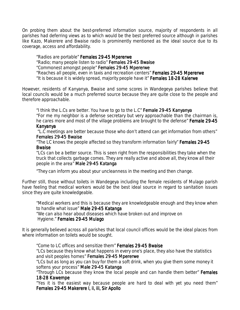On probing them about the best-preferred information source, majority of respondents in all parishes had deferring views as to which would be the best preferred source although in parishes like Kazo, Makerere and Bwaise radio is prominently mentioned as the ideal source due to its coverage, access and affordability.

*"Radios are portable" Females 29 29-45 Mpererwe 45 Mpererwe "Radio; many people listen to radio" Females 29 29-45 Bwaise 45 "Commonest amongst people" Females 29 Females 29Females 29-45 Mpererwe 45 Mpererwe45 Mpererwe "Reaches all people, even in taxis and recreation centers" Females 29 29-45 Mpererwe 45 Mpererwe "It is because it is widely spread, majority people have it" Females 18 1818-28 Kalerwe 28 KalerweKalerwe* 

However, residents of Kanyanya, Bwaise and some scores in Wandegeya parishes believe that local councils would be a much preferred source because they are quite close to the people and therefore approachable.

*"I think the L.Cs are better. You have to go to the L.C" Female 29 29-45 Kanyanya 45 Kanyanya "For me my neighbor is a defense secretary but very approachable than the chairman is,*  he cares more and most of the village problems are brought to the defense" **Female 29-45** 

#### *Kanyanya Kanyanya*

 *"L.C meetings are better because those who don't attend can get information from others" Females 29-45 Bwaise* 

*"The LC knows the people affected so they transform information fairly" Females 29 Females 29 29-45 Bwaise* 

*"LCs can be a better source. This is seen right from the responsibilities they take when the truck that collects garbage comes. They are really active and above all, they know all their people in the area" Male 29 Male 29-45 Katanga 45 Katanga* 

*"They can inform you about your uncleanness in the meeting and then change.* 

Further still, those without toilets in Wandegeya including the female residents of Mulago parish have feeling that medical workers would be the best ideal source in regard to sanitation issues since they are quite knowledgeable.

*"Medical workers and this is because they are knowledgeable enough and they know when to handle what issue" Male 29 Male 29-45 Katanga 45 Katanga "We can also hear about diseases which have broken out and improve on Hygiene." Females 29 males 29-45 Mulago 45 Mulago Mulago* 

It is generally believed across all parishes that local council offices would be the ideal places from where information on toilets would be sought.

*"Come to LC offices and sensitize them" Females 29 Females Females 29- 29-45 Bwaise 45 Bwaise "LCs because they know what happens in every one's place, they also have the statistics*  and visit peoples homes" Females 29-45 Mpererwe *"LCs but as long as you can buy for them a soft drink, when you give them some money it* 

*softens your process" Male 29 29-45 Katanga 45 Katanga* 

*"Through LCs because they know the local people and can handle them better" Females Females 18-28 Kawempe 28 Kawempe* 

*"Yes it is the easiest way because people are hard to deal with yet you need them" Females 29- 29-45 Makerere I, ii, iii, Sir Apollo 45 ii, iii, Sir Apollo*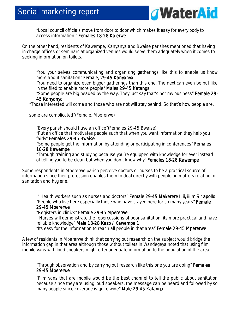

*"Local council officials move from door to door which makes it easy for every body to access information." Females 18 ." 18-28 Kalerwe 28 Kalerwe Kalerwe* 

On the other hand, residents of Kawempe, Kanyanya and Bwaise parishes mentioned that having in-charge offices or seminars at organized venues would serve them adequately when it comes to seeking information on toilets.

*"You your selves communicating and organizing gatherings like this to enable us know more about sanitation" Female, 29 Female, 29-45 Kanyanya 45 Kanyanya* 

*"You need to organize even bigger gatherings than this one. The next can even be put like in the filed to enable more people" Males 29-45 Katanga* 

*"Some people are big headed by the way. They just say that's not my business" Female 29 Female 29 29- 45 Kanyanya Kanyanya*

"Those interested will come and those who are not will stay behind. So that's how people are,

some are complicated"(Female, Mpererwe)

*"Every parish should have an office"(Females 29-45 Bwaise) "Put an office that motivates people such that when you want information they help you fairly" Females 29-45 Bwaise* 

"*Some people get the information by attending or participating in conferences" Females Females 18-28 Kawempe 28 Kawempe* 

*"Through training and studying because you're equipped with knowledge for ever instead of telling you to be clean but when you don't know why" Females 18-28 Kawempe* 

Some respondents in Mpererwe parish perceive doctors or nurses to be a practical source of information since their profession enables them to deal directly with people on matters relating to sanitation and hygiene.

*" Health workers such as nurses and doctors" Female 29 Female 29-45 Makerere I, ii, iii,m Sir apollo kerere Sir apollo apollo kerere apollo "People who live here especially those who have stayed here for so many years" Female 29-45 Mpererwe 45 Mpererwe* 

#### *"Registers in clinics" Female 29-45 Mpererwe*

*"Nurses will demonstrate the repercussions of poor sanitation; its more practical and have reliable knowledge" Male 18 Male 18-28 Kazo / Kawempe 1 28 Kawempe 1 1* 

*"Its easy for the information to reach all people in that area" Female 29 29-45 Mpererwe 45 Mpererwe* 

A few of residents in Mpererwe think that carrying out research on the subject would bridge the information gap in that area although those without toilets in Wandegeya noted that using film mobile vans with loud speakers might offer adequate information to the population of the area.

*"Through observation and by carrying out research like this one you are doing" Females 29-45 Mpererwe 45 Mpererwe 45 Mpererwe* 

*"Film vans that are mobile would be the best channel to tell the public about sanitation because since they are using loud speakers, the message can be heard and followed by so many people since coverage is quite wide" Male 29 29- Male 29-45 Katanga*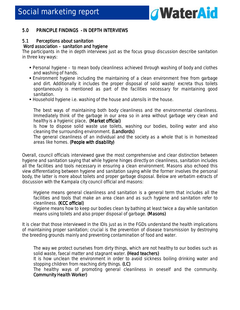

#### 5.0 PRINCIPLE FINDINGS - IN DEPTH INTERVIEWS

#### 5.1 Perceptions about sanitation

#### **Word association – sanitation and hygiene**

The participants in the in depth interviews just as the focus group discussion describe sanitation in three key ways:

- Personal hygiene to mean body cleanliness achieved through washing of body and clothes and washing of hands.
- Environment hygiene including the maintaining of a clean environment free from garbage and dirt. Additionally it includes the proper disposal of solid waste/ excreta thus toilets spontaneously is mentioned as part of the facilities necessary for maintaining good sanitation.
- Household hygiene i.e. washing of the house and utensils in the house.

*The best ways of maintaining both body cleanliness and the environmental cleanliness. Immediately think of the garbage in our area so in area without garbage very clean and healthy is a hygienic place. (Market official)* 

*Is how to dispose solid waste use toilets, washing our bodies, boiling water and also cleaning the surrounding environment. (Landlords)* 

*The general cleanliness of an individual and the society as a whole that is in homestead areas like homes. (People with disability) with disability) disability)* 

Overall, council officials interviewed gave the most comprehensive and clear distinction between hygiene and sanitation saying that while hygiene hinges directly on cleanliness, sanitation includes all the facilities and tools necessary in ensuring a clean environment. Masons also echoed this view differentiating between hygiene and sanitation saying while the former involves the personal body, the latter is more about toilets and proper garbage disposal. Below are verbatim extracts of discussion with the Kampala city council official and masons:

*Hygiene means general cleanliness and sanitation is a general term that includes all the facilities and tools that make an area clean and as such hygiene and sanitation refer to cleanliness. (KCC official)* 

*Hygiene means how to keep our bodies clean by bathing at least twice a day while sanitation means using toilets and also proper disposal of garbage. (Masons) (Masons)* 

It is clear that those interviewed in the IDIs just as in the FGDs understand the health implications of maintaining proper sanitation; crucial is the prevention of disease transmission by destroying the breeding grounds mainly and preventing contamination of food and water.

*The way we protect ourselves from dirty things, which are not healthy to our bodies such as solid waste, faecal matter and stagnant water. (Head teachers) teachers)* 

*It is how unclean the environment in order to avoid sickness boiling drinking water and stopping children from reaching dirty things. (LC)* 

*The healthy ways of promoting general cleanliness in oneself and the community.*  **Community Health Worker)**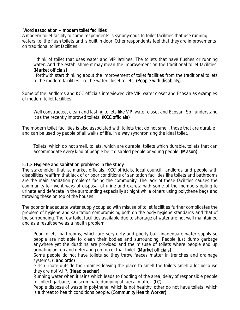#### Word association – modern toilet facilities

A modern toilet facility to some respondents is synonymous to toilet facilities that use running waters i.e. the flush toilets and is built in door. Other respondents feel that they are improvements on traditional toilet facilities.

I think of toilet that uses water and VIP latrines. The toilets that have flushes or running *water. And the establishment may mean the improvement on the traditional toilet facilities. (Market officials) (Market officials) (Market officials)* 

*I forthwith start thinking about the improvement of toilet facilities from the traditional toilets to the modern facilities like the water closet toilets. (People with disability)* 

Some of the landlords and KCC officials interviewed cite VIP, water closet and Ecosan as examples of modern toilet facilities.

*Well constructed, clean and lasting toilets like VIP, water closet and Ecosan. So I understand it as the recently improved toilets. (KCC officials)* 

The modern toilet facilities is also associated with toilets that do not smell, those that are durable and can be used by people of all walks of life, in a way synchronizing the ideal toilet.

*Toilets, which do not smell, toilets, which are durable, toilets which durable, toilets that can accommodate every kind of people be it disabled people or young people. (Mason) (Mason)* 

#### 5.1.2 Hygiene and sanitation problems in the study

The stakeholder that is, market officials, KCC officials, local council, landlords and people with disabilities reaffirm that lack of or poor conditions of sanitation facilities like toilets and bathrooms are the main sanitation problems facing the community. The lack of these facilities causes the community to invent ways of disposal of urine and excreta with some of the members opting to urinate and defecate in the surrounding especially at night while others using polythene bags and throwing these on top of the houses.

The poor or inadequate water supply coupled with misuse of toilet facilities further complicates the problem of hygiene and sanitation compromising both on the body hygiene standards and that of the surrounding. The few toilet facilities available due to shortage of water are not well maintained and as a result serve as a health problem.

*Poor toilets, bathrooms, which are very dirty and poorly built inadequate water supply so people are not able to clean their bodies and surrounding. People just dump garbage anywhere yet the dustbins are provided and the misuse of toilets where people end up urinating on top and defecating on top of that toilet. (Market officials)* 

*Some people do not have toilets so they throw faeces matter in trenches and drainage systems. (Landlords) (Landlords)* 

*Girls urinate outside their domes leaving the place to smell the toilets smell a lot because they are not V.I.P. (Head teacher)* 

*Running water when it rains which leads to flooding of the area, delay of responsible people to collect garbage, indiscriminate dumping of faecal matter. (LC)* 

*People dispose of waste in polythene, which is not healthy, other do not have toilets, which is a threat to health conditions people. (Community Health Worker)*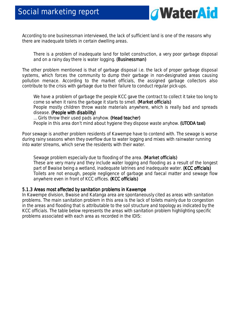

According to one businessman interviewed, the lack of sufficient land is one of the reasons why there are inadequate toilets in certain dwelling areas.

*There is a problem of inadequate land for toilet construction, a very poor garbage disposal and on a rainy day there is water logging. (Businessman) (Businessman)* 

The other problem mentioned is that of garbage disposal i.e. the lack of proper garbage disposal systems, which forces the community to dump their garbage in non-designated areas causing pollution menace. According to the market officials, the assigned garbage collectors also contribute to the crisis with garbage due to their failure to conduct regular pick-ups.

We have a problem of garbage the people KCC gave the contract to collect it take too long to *come so when it rains the garbage it starts to smell. (Market officials) People mostly children throw waste materials anywhere, which is really bad and spreads disease. (People with disability) disability) … Girls throw their used pads anyhow. (Head teacher) (Head teacher) teacher)* 

*People in this area don't mind about hygiene they dispose waste anyhow. (UTODA taxi)* 

Poor sewage is another problem residents of Kawempe have to contend with. The sewage is worse during rainy seasons when they overflow due to water logging and mixes with rainwater running into water streams, which serve the residents with their water.

*Sewage problem especially due to flooding of the area. (Market officials) (Market officials) These are very many and they include water logging and flooding as a result of the longest part of Bwaise being a wetland, inadequate latrines and inadequate water. (KCC officials) Toilets are not enough, people negligence of garbage and faecal matter and sewage flow*  anywhere even in front of KCC offices. (**KCC officials)** 

#### 5.1.3 Areas most affected by sanitation problems in Kawempe

In Kawempe division, Bwaise and Katanga area are spontaneously cited as areas with sanitation problems. The main sanitation problem in this area is the lack of toilets mainly due to congestion in the areas and flooding that is attributable to the soil structure and topology as indicated by the KCC officials. The table below represents the areas with sanitation problem highlighting specific problems associated with each area as recorded in the IDIS: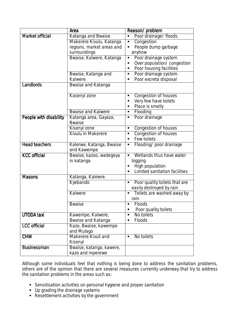|                        | Area                                   | Reason/problem                         |
|------------------------|----------------------------------------|----------------------------------------|
| <b>Market official</b> | Katanga and Bwaise                     | Poor drainage/ floods.<br>×,           |
|                        | Makerere Kivulu, Katanga               | Congestion<br>Ξ                        |
|                        | regions, market areas and              | People dump garbage                    |
|                        | surroundings                           | anyhow                                 |
|                        | Bwaise, Kalwere, Katanga               | Poor drainage system<br>П              |
|                        |                                        | Over population/ congestion            |
|                        |                                        | Poor housing facilities<br>п           |
|                        | Bwaise, Katanga and                    | Poor drainage system.<br>٠             |
|                        | Kalwere                                | Poor excreta disposal<br>п             |
| Landlords              | Bwaise and Katanga                     |                                        |
|                        | Kasenyi zone                           | <b>Congestion of houses</b>            |
|                        |                                        | Very few have toilets                  |
|                        |                                        | Place is smelly                        |
|                        | <b>Bwaise and Kalwere</b>              | Flooding<br>$\blacksquare$             |
| People with disability | Katanga area, Gayaza,<br><b>Bwaise</b> | Poor drainage<br>٠                     |
|                        | Kisenyi zone                           | Congestion of houses<br>$\blacksquare$ |
|                        | Kivulu in Makerere                     | Congestion of houses                   |
|                        |                                        | Few toilets<br>٠                       |
| <b>Head teachers</b>   | Kalerwe, Katanga, Bwaise               | Flooding/poor drainage<br>Ξ            |
|                        | and Kawempe                            |                                        |
| <b>KCC</b> official    | Bwaise, kazoo, wadegeya                | Wetlands thus have water<br>٠          |
|                        | in katanga                             | logging                                |
|                        |                                        | High population                        |
|                        |                                        | Limited sanitation facilities          |
| <b>Masons</b>          | Katanga, Kalewre.                      |                                        |
|                        | Kyebando                               | Poor quality toilets that are<br>П     |
|                        |                                        | easily destroyed by rain               |
|                        | Kalwere                                | Toilets are washed away by<br>п        |
|                        |                                        | rain                                   |
|                        | <b>Bwaise</b>                          | <b>Floods</b>                          |
|                        |                                        | Poor quality toilets<br>п              |
| <b>UTODA</b> taxi      | Kawempe, Kalwere,                      | No toilets<br>٠                        |
|                        | <b>Bwaise and Katanga</b>              | Floods<br>п                            |
| <b>LCC</b> official    | Kazo, Bwaise, kawempe                  |                                        |
|                        | and Mulago                             |                                        |
| <b>CHW</b>             | <b>Makerere Kivuli and</b>             | No toilets<br>$\blacksquare$           |
|                        | Kisenyi                                |                                        |
| <b>Businessman</b>     | Bwaise, katanga, kawere,               |                                        |
|                        | kazo and mperewe                       |                                        |

Although some individuals feel that nothing is being done to address the sanitation problems, others are of the opinion that there are several measures currently underway that try to address the sanitation problems in the areas such as:

- Sensitisation activities on personal hygiene and proper sanitation
- **Up grading the drainage systems**
- Resettlement activities by the government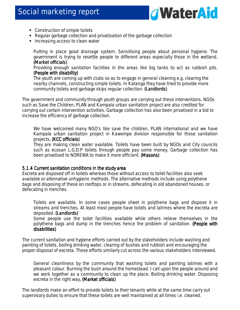

- Construction of simple toilets
- Regular garbage collection and privatisation of the garbage collection
- **Increasing access to clean water**

*Putting in place good drainage system. Sensitising people about personal hygiene. The government is trying to resettle people to different areas especially those in the wetland. (Market officials) (Market* 

*Providing enough sanitation facilities in the areas like big tanks to act as rubbish pits. (People with disability) (People* 

*The youth are coming up with clubs so as to engage in general cleaning e.g. clearing the nearby channels, constructing simple toilets. In Katanga they have tried to provide more community toilets and garbage skips regular collection. (Landlords) (Landlords)* 

The government and community through youth groups are carrying out these interventions. NGOs such as Save the Children, PLAN and Kampala urban sanitation project are also credited for carrying out certain intervention activities. Garbage collection has also been privatised in a bid to increase the efficiency of garbage collection.

*We have welcomed many NGO's like save the children, PLAN international and we have Kampala urban sanitation project in Kawempe division responsible for those sanitation projects. (KCC officials) . officials)* 

*They are making clean water available. Toilets have been built by NGOs and City councils such as ecosan L.G.D.P toilets through people pay some money, Garbage collection has been privatised to NOREWA to make it more efficient. (Masons) (Masons)(Masons)* 

#### 5.1.4 Current sanitation conditions in the study area

Excreta are disposed off in toilets whereas those without access to toilet facilities also seek available or alternative unhygienic methods. The alternative methods include using polythene bags and disposing of these on rooftops or in streams, defecating in old abandoned houses, or defecating in trenches.

*Toilets are available. In some cases people sheet in polythene bags and dispose it in streams and trenches. At least most people have toilets and latrines where the excreta are deposited. (Landlords) Some people use the toilet facilities available while others relieve themselves in the* 

*polythene bags and dump in the trenches hence the problem of sanitation. (People with (People disabilities) disabilities)* 

The current sanitation and hygiene efforts carried out by the stakeholders include washing and painting of toilets, boiling drinking water, clearing of bushes and rubbish and encouraging the proper disposal of excreta. These efforts similarly cut across the various stakeholders interviewed.

*General cleanliness by the community that washing toilets and painting latrines with a pleasant colour. Burning the bush around the homestead. I call upon the people around and we work together as a community to clean up the place. Boiling drinking water. Disposing excreta in the right way. (Market officials)* 

The landlords make an effort to provide toilets to their tenants while at the same time carry out supervisory duties to ensure that these toilets are well maintained at all times i.e. cleaned.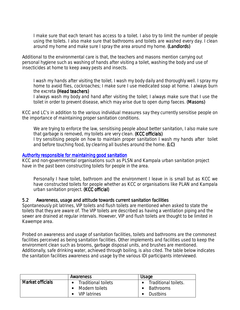*I make sure that each tenant has access to a toilet. I also try to limit the number of people using the toilets. I also make sure that bathrooms and toilets are washed every day. I clean*  around my home and make sure I spray the area around my home. (Landlords)

Additional to the environmental care is that, the teachers and masons mention carrying out personal hygiene such as washing of hands after visiting a toilet, washing the body and use of insecticides at home to keep away pests and insects.

*I wash my hands after visiting the toilet. I wash my body daily and thoroughly well. I spray my home to avoid flies, cockroaches; I make sure I use medicated soap at home. I always burn the excreta (Head teachers) teachers)* 

*I always wash my body and hand after visiting the toilet; I always make sure that I use the toilet in order to prevent disease, which may arise due to open dump faeces. (Masons) (Masons)* 

KCC and LC's in addition to the various individual measures say they currently sensitise people on the importance of maintaining proper sanitation conditions.

*We are trying to enforce the law, sensitising people about better sanitation, I also make sure that garbage is removed, my toilets are very clean. (KCC officials) I try sensitising people on how to maintain proper sanitation I wash my hands after toilet and before touching food, by clearing all bushes around the home. (LC)* 

#### Authority responsible for maintaining good sanitation

KCC and non-governmental organisations such as PLSN and Kampala urban sanitation project have in the past been constructing toilets for people in the area.

*Personally I have toilet, bathroom and the environment I leave in is small but as KCC we have constructed toilets for people whether as KCC or organisations like PLAN and Kampala urban sanitation project. (KCC official) (KCC official)* 

#### 5.2 Awareness, usage and attitude towards current sanitation facilities

Spontaneously pit latrines, VIP toilets and flush toilets are mentioned when asked to state the toilets that they are aware of. The VIP toilets are described as having a ventilation piping and the sewer are drained at regular intervals. However, VIP and flush toilets are thought to be limited in Kawempe area.

Probed on awareness and usage of sanitation facilities, toilets and bathrooms are the commonest facilities perceived as being sanitation facilities. Other implements and facilities used to keep the environment clean such as brooms, garbage disposal units, and brushes are mentioned. Additionally, safe drinking water, achieved through boiling, is also cited. The table below indicates the sanitation facilities awareness and usage by the various IDI participants interviewed.

|                  | Awareness                  | Usage                             |
|------------------|----------------------------|-----------------------------------|
| Market officials | <b>Traditional toilets</b> | Traditional toilets.<br>$\bullet$ |
|                  | Modern toilets             | <b>Bathrooms</b>                  |
|                  | <b>VIP latrines</b>        | <b>Dustbins</b>                   |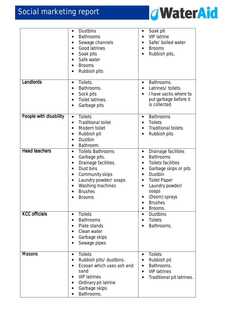

|                        | <b>Dustbins</b><br>$\bullet$<br><b>Bathrooms</b><br>Sewage channels<br><b>Good latrines</b><br>Soak pits<br>Safe water<br><b>Brooms</b><br>Rubbish pits                                                                                            | Soak pit<br>٠<br><b>VIP</b> latrine<br>Safe/ boiled water<br><b>Brooms</b><br>$\bullet$<br>Rubbish pits,                                                                                                                                                                             |
|------------------------|----------------------------------------------------------------------------------------------------------------------------------------------------------------------------------------------------------------------------------------------------|--------------------------------------------------------------------------------------------------------------------------------------------------------------------------------------------------------------------------------------------------------------------------------------|
| Landlords              | Toilets.<br>$\bullet$<br>Bathrooms.<br>Sock pits<br>Toilet latrines.<br>$\bullet$<br>Garbage pits                                                                                                                                                  | Bathrooms.<br>$\bullet$<br>Latrines/ toilets.<br>I have sacks where to<br>put garbage before it<br>is collected                                                                                                                                                                      |
| People with disability | <b>Toilets</b><br>$\bullet$<br><b>Traditional toilet</b><br>Modern toilet<br>Rubbish pit<br>Dustbin<br>$\bullet$<br>Bathroom.<br>$\bullet$                                                                                                         | <b>Bathrooms</b><br>$\bullet$<br><b>Toilets</b><br>$\bullet$<br><b>Traditional toilets</b><br>Rubbish pits                                                                                                                                                                           |
| <b>Head teachers</b>   | <b>Toilets Bathrooms</b><br>$\bullet$<br>Garbage pits.<br>Drainage facilities.<br>$\bullet$<br>Dust bins<br>$\bullet$<br>Community skips<br>$\bullet$<br>Laundry powder/ soaps<br>$\bullet$<br>Washing machines<br><b>Brushes</b><br><b>Brooms</b> | Drainage facilities<br>$\bullet$<br><b>Bathrooms</b><br><b>Toilets facilities</b><br>$\bullet$<br>Garbage skips or pits<br>٠<br>Dustbin<br>$\bullet$<br><b>Toilet Paper</b><br>$\bullet$<br>Laundry powder/<br>٠<br>soaps<br>(Doom) sprays<br><b>Brushes</b><br>Brooms.<br>$\bullet$ |
| <b>KCC officials</b>   | <b>Toilets</b><br>$\bullet$<br><b>Bathrooms</b><br>$\bullet$<br>Plate stands<br>Clean water<br>Garbage skips<br>Sewage pipes                                                                                                                       | <b>Dustbins</b><br>$\bullet$<br><b>Toilets</b><br>Bathrooms.                                                                                                                                                                                                                         |
| <b>Masons</b>          | Toilets<br>$\bullet$<br>Rubbish pits/ dustbins.<br>$\bullet$<br>Ecosan which uses ash and<br>sand<br><b>VIP latrines</b><br>Ordinary pit latrine<br>Garbage skips<br>Bathrooms.                                                                    | <b>Toilets</b><br>$\bullet$<br>Rubbish pit<br>$\bullet$<br>Bathrooms.<br><b>VIP latrines</b><br>$\bullet$<br>Traditional pit latrines.                                                                                                                                               |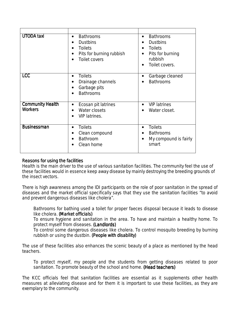| <b>UTODA</b> taxi                         | <b>Bathrooms</b><br>$\bullet$<br><b>Dustbins</b><br>$\bullet$<br><b>Toilets</b><br>$\bullet$<br>Pits for burning rubbish<br>$\bullet$<br><b>Toilet covers</b><br>$\bullet$ | <b>Bathrooms</b><br>$\bullet$<br><b>Dustbins</b><br>$\bullet$<br><b>Toilets</b><br>$\bullet$<br>Pits for burning<br>rubbish<br>Toilet covers. |
|-------------------------------------------|----------------------------------------------------------------------------------------------------------------------------------------------------------------------------|-----------------------------------------------------------------------------------------------------------------------------------------------|
| <b>LCC</b>                                | <b>Toilets</b><br>$\bullet$<br>Drainage channels<br>Garbage pits<br>$\bullet$<br><b>Bathrooms</b><br>$\bullet$                                                             | Garbage cleaned<br>$\bullet$<br><b>Bathrooms</b>                                                                                              |
| <b>Community Health</b><br><b>Workers</b> | Ecosan pit latrines<br>$\bullet$<br>Water closets<br>$\bullet$<br><b>VIP</b> latrines.<br>$\bullet$                                                                        | <b>VIP latrines</b><br>$\bullet$<br>Water closet.                                                                                             |
| <b>Businessman</b>                        | <b>Toilets</b><br>$\bullet$<br>Clean compound<br>$\bullet$<br>Bathroom<br>٠<br>Clean home                                                                                  | <b>Toilets</b><br>$\bullet$<br><b>Bathrooms</b><br>$\bullet$<br>My compound is fairly<br>$\bullet$<br>smart                                   |

### Reasons for using the facilities

Health is the main driver to the use of various sanitation facilities. The community feel the use of these facilities would in essence keep away disease by mainly destroying the breeding grounds of the insect vectors.

There is high awareness among the IDI participants on the role of poor sanitation in the spread of diseases and the market official specifically says that they use the sanitation facilities "*to avoid and prevent dangerous diseases like cholera".*

*Bathrooms for bathing used a toilet for proper faeces disposal because it leads to disease like cholera. (Market officials) officials)* 

*To ensure hygiene and sanitation in the area. To have and maintain a healthy home. To protect myself from diseases. (Landlords) (Landlords) (Landlords)* 

*To control some dangerous diseases like cholera. To control mosquito breeding by burning rubbish or using the dustbin. (People with disability)* 

The use of these facilities also enhances the scenic beauty of a place as mentioned by the head teachers.

*To protect myself, my people and the students from getting diseases related to poor sanitation. To promote beauty of the school and home. (Head teachers)* 

The KCC officials feel that sanitation facilities are essential as it supplements other health measures at alleviating disease and for them it is important to use these facilities, as they are exemplary to the community.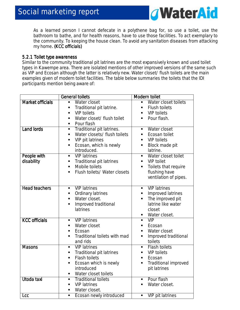

*As a learned person I cannot defecate in a polythene bag for, so use a toilet, use the bathroom to bathe, and for health reasons, have to use those facilities. To act exemplary to the community. To keeping the house clean. To avoid any sanitation diseases from attacking my home. (KCC officials) . officials)* 

### 5.2.1 Toilet type awareness

Similar to the community traditional pit latrines are the most expansively known and used toilet types in Kawempe area. There are isolated mentions of other improved versions of the same such as VIP and Ecosan although the latter is relatively new. Water closet/ flush toilets are the main examples given of modern toilet facilities. The table below summaries the toilets that the IDI participants mention being aware of:

|                           | <b>General toilets</b>                                                                                                                                                                         | <b>Modern toilet</b>                                                                                                                            |
|---------------------------|------------------------------------------------------------------------------------------------------------------------------------------------------------------------------------------------|-------------------------------------------------------------------------------------------------------------------------------------------------|
| <b>Market officials</b>   | Water closet<br>$\blacksquare$<br>Traditional pit latrine.<br><b>VIP toilets</b><br>Water closet/ flush toilet<br>Pour flash                                                                   | Water closet toilets<br><b>Flush toilets</b><br>٠<br><b>VIP toilets</b><br>Pour flash.                                                          |
| <b>Land lords</b>         | Traditional pit latrines.<br>$\blacksquare$<br>Water closets/ flush toilets<br>$\blacksquare$<br>VIP pit latrines<br>$\blacksquare$<br>Ecosan, which is newly<br>$\blacksquare$<br>introduced. | Water closet<br>$\blacksquare$<br>Ecosan toilet<br>٠<br><b>VIP</b> toilets<br>Block made pit<br>$\blacksquare$<br>latrine.                      |
| People with<br>disability | <b>VIP latrines</b><br>Ξ<br><b>Traditional pit latrines</b><br>$\blacksquare$<br>Mobile toilets<br>Ξ<br>Flush toilets/ Water closets<br>٠                                                      | Water closet toilet<br>VIP toilet<br>$\blacksquare$<br>Toilets that require<br>Π<br>flushing have<br>ventilation of pipes.                      |
| <b>Head teachers</b>      | <b>VIP latrines</b><br>$\blacksquare$<br>Ordinary latrines<br>Ξ<br>Water closet.<br>$\blacksquare$<br>Improved traditional<br>$\blacksquare$<br>latrines                                       | <b>VIP latrines</b><br>$\blacksquare$<br>Improved latrines<br>٠<br>The improved pit<br>×,<br>latrine like water<br>closet<br>Water closet.<br>٠ |
| <b>KCC</b> officials      | <b>VIP latrines</b><br>$\blacksquare$<br>Water closet<br>٠<br>Ecosan<br>٠<br>Traditional toilets with mad<br>٠<br>and rids                                                                     | VIP<br>Ecosan<br>٠<br>Water closet<br>Improved traditional<br>П<br>toilets                                                                      |
| <b>Masons</b>             | <b>VIP latrines</b><br>$\blacksquare$<br>Traditional pit latrines<br>Ξ<br>Flash toilets<br>٠<br>Ecosan which is newly<br>٠<br>introduced<br>Water closet toilets<br>$\blacksquare$             | <b>Flash toilets</b><br>$\blacksquare$<br><b>VIP toilets</b><br>$\blacksquare$<br>Ecosan<br>٠<br>Traditional improved<br>٠<br>pit latrines      |
| Utoda taxi                | <b>Traditional toilets</b><br>$\blacksquare$<br><b>VIP latrines</b><br>$\blacksquare$<br>Water closet.<br>$\blacksquare$                                                                       | Pour flash<br>ш<br>Water closet.<br>$\blacksquare$                                                                                              |
| <b>Lcc</b>                | Ecosan newly introduced<br>$\blacksquare$                                                                                                                                                      | <b>VIP pit latrines</b><br>$\blacksquare$                                                                                                       |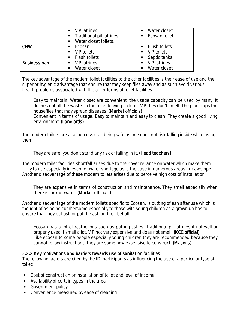|                    | $\blacksquare$ VIP latrines                          | Water closet<br>$\blacksquare$          |
|--------------------|------------------------------------------------------|-----------------------------------------|
|                    | • Traditional pit latrines                           | • Ecosan toilet                         |
|                    | ■ Water closet toilets.                              |                                         |
| <b>CHW</b>         | Ecosan<br>$\blacksquare$                             | • Flush toilets                         |
|                    | $\blacksquare$ VIP toilets                           | $\blacksquare$ VIP toilets              |
|                    | • Flash toilets                                      | • Septic tanks.                         |
| <b>Businessman</b> | <b>VIP</b> latrines<br>$\mathbf{E}$ and $\mathbf{E}$ | <b>VIP latrines</b><br>$\blacksquare$ . |
|                    | Water closet                                         | Water closet<br>$\blacksquare$          |

The key advantage of the modern toilet facilities to the other facilities is their ease of use and the superior hygienic advantage that ensure that they keep flies away and as such avoid various health problems associated with the other forms of toilet facilities

*Easy to maintain. Water closet are convenient, the usage capacity can be used by many. It flushes out all the waste in the toilet leaving it clean. VIP they don't smell. The pipe traps the houseflies that may spread diseases. (Market officials) Convenient in terms of usage. Easy to maintain and easy to clean. They create a good living environment. (Landlords)* 

The modern toilets are also perceived as being safe as one does not risk falling inside while using them.

## *They are safe; you don't stand any risk of falling in it. (Head teachers) . (Head teachers) . teachers)*

The modern toilet facilities shortfall arises due to their over reliance on water which make them filthy to use especially in event of water shortage as is the case in numerous areas in Kawempe. Another disadvantage of these modern toilets arises due to perceive high cost of installation.

*They are expensive in terms of construction and maintenance. They smell especially when there is lack of water. (Market officials) (Market officials) officials)* 

Another disadvantage of the modern toilets specific to Ecosan, is putting of ash after use which is thought of as being cumbersome especially to those with young children as a grown up has to ensure that they put ash or put the ash on their behalf.

*Ecosan has a lot of restrictions such as putting ashes, Traditional pit latrines if not well or properly used it smell a lot, VIP not very expensive and does not smell. (KCC official) (KCC official) Like ecosan to some people especially young children they are recommended because they cannot follow instructions, they are some how expensive to construct. (Masons) (Masons)* 

### 5.2.2 Key motivations and barriers towards use of sanitation facilities

The following factors are cited by the IDI participants as influencing the use of a particular type of toilet:

- Cost of construction or installation of toilet and level of income
- Availability of certain types in the area
- Government policy
- Convenience measured by ease of cleaning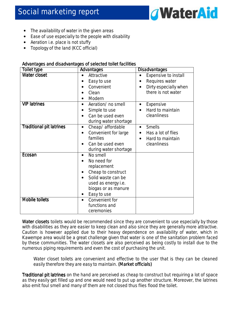

- The availability of water in the given areas
- Ease of use especially to the people with disability
- Aeration i.e. place is not stuffy
- Topology of the land (KCC official)

#### Advantages and disadvantages of selected toilet facilities

| <b>Toilet type</b>              | Advantages                                                                                                                                                        | <b>Disadvantages</b>                                                                                            |
|---------------------------------|-------------------------------------------------------------------------------------------------------------------------------------------------------------------|-----------------------------------------------------------------------------------------------------------------|
| <b>Water closet</b>             | Attractive<br>Easy to use<br>Convenient<br>Clean<br>Modern                                                                                                        | Expensive to install<br>$\bullet$<br>Requires water<br>$\bullet$<br>Dirty especially when<br>there is not water |
| <b>VIP latrines</b>             | Aeration/ no smell<br>Simple to use<br>Can be used even<br>during water shortage                                                                                  | Expensive<br>$\bullet$<br>Hard to maintain<br>cleanliness                                                       |
| <b>Traditional pit latrines</b> | Cheap/ affordable<br>$\bullet$<br>Convenient for large<br>families<br>Can be used even<br>during water shortage                                                   | <b>Smells</b><br>$\bullet$<br>Has a lot of flies<br>Hard to maintain<br>$\bullet$<br>cleanliness                |
| Ecosan                          | No smell<br>$\bullet$<br>No need for<br>replacement<br>Cheap to construct<br>Solid waste can be<br>used as energy i.e.<br>biogas or as manure<br>Easy to use<br>٠ |                                                                                                                 |
| <b>Mobile toilets</b>           | Convenient for<br>$\bullet$<br>functions and<br>ceremonies                                                                                                        |                                                                                                                 |

Water closets toilets would be recommended since they are convenient to use especially by those with disabilities as they are easier to keep clean and also since they are generally more attractive. Caution is however applied due to their heavy dependence on availability of water, which in Kawempe area would be a great challenge given that water is one of the sanitation problem faced by these communities. The water closets are also perceived as being costly to install due to the numerous piping requirements and even the cost of purchasing the unit.

*Water closet toilets are convenient and effective to the user that is they can be cleaned easily therefore they are easy to maintain. (Market officials)* 

Traditional pit latrines on the hand are perceived as cheap to construct but requiring a lot of space as they easily get filled up and one would need to put up another structure. Moreover, the latrines also emit foul smell and many of them are not closed thus flies flood the toilet.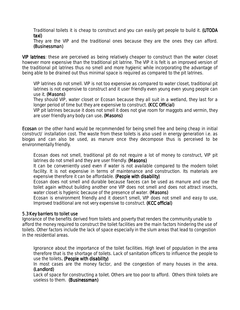*Traditional toilets it is cheap to construct and you can easily get people to build it. (UTODA taxi)*

*They are the VIP and the traditional ones because they are the ones they can afford. (Businessman) (Businessman)*

VIP latrines: these are perceived as being relatively cheaper to construct than the water closet however more expensive than the traditional pit latrine. The VIP it is felt is an improved version of the traditional pit latrines thus no smell and more hygienic while incorporating the advantage of being able to be drained out thus minimal space is required as compared to the pit latrines.

*VIP latrines do not smell. VIP is not too expensive as compared to water closet, traditional pit latrines is not expensive to construct and it user friendly even young even young people can use it. (Masons)* 

*They should VIP, water closet or Ecosan because they all suit in a wetland, they last for a longer period of time but they are expensive to construct. (KCC Official)* 

*VIP pit latrines because it does not smell it does not give room for maggots and vermin, they are user friendly any body can use. (Masons) . (Masons) (Masons)* 

**Ecosan** on the other hand would be recommended for being smell free and being cheap in initial construct/ installation cost. The waste from these toilets is also used in energy generation i.e. as biogas and can also be used, as manure once they decompose thus is perceived to be environmentally friendly.

*Ecosan does not smell, traditional pit do not require a lot of money to construct, VIP pit latrines do not smell and they are user friendly. (Masons) (Masons) (Masons)* 

*It can be conveniently used even if water is not available compared to the modern toilet*  facility. It is not expensive in terms of maintenance and construction. Its materials are *expensive therefore it can be affordable. (People with disability) (People with disability) with disability)* 

*Ecosan does not smell and durable because faeces can be used as manure and use the toilet again without building another one VIP does not smell and does not attract insects, water closet is hygienic because of the presence of water. (Masons)* 

*Ecosan is environment friendly and it doesn't smell, VIP does not smell and easy to use, Improved traditional are not very expensive to construct. (KCC official)* 

#### 5.3 Key barriers to toilet use

Ignorance of the benefits derived from toilets and poverty that renders the community unable to afford the money required to construct the toilet facilities are the main factors hindering the use of toilets. Other factors include the lack of space especially in the slum areas that lead to congestion in the residential areas.

*Ignorance about the importance of the toilet facilities. High level of population in the area therefore that is the shortage of toilets. Lack of sanitation officers to influence the people to use the toilets. (People with disability) . (People with disability) . with disability)* 

*In most cases are the money factor, and the congestion of many houses in the area. (Landlord) (Landlord)* 

*Lack of space for constructing a toilet. Others are too poor to afford. Others think toilets are useless to them. (Businessman) (Businessman)*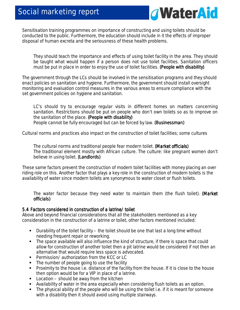

Sensitisation training programmes on importance of constructing and using toilets should be conducted to the public. Furthermore, the education should include in it the effects of improper disposal of human excreta and the seriousness of these health problems.

*They should teach the importance and effects of using toilet facility in the area. They should be taught what would happen if a person does not use toilet facilities. Sanitation officers must be put in place in order to enjoy the use of toilet facilities. (People with disability)* 

The government through the LCs should be involved in the sensitisation programs and they should enact policies on sanitation and hygiene. Furthermore, the government should install oversight monitoring and evaluation control measures in the various areas to ensure compliance with the set government policies on hygiene and sanitation.

LC's should try to encourage regular visits in different homes on matters concerning *sanitation. Restrictions should be put on people who don't own toilets so as to improve on the sanitation of the place. (People with disability) (People disability) People cannot be fully encouraged but can be forced by law. (Businessman) (Businessman)* 

Cultural norms and practices also impact on the construction of toilet facilities; some cultures

*The cultural norms and traditional people fear modern toilet. (Market officials) (Market officials) The traditional element mostly with African culture. The culture: like pregnant women don't believe in using toilet. (Landlords)* 

These same factors prevent the construction of modern toilet facilities with money placing an over riding role on this. Another factor that plays a key role in the construction of modern toilets is the availability of water since modern toilets are synonymous to water closet or flush toilets.

*The water factor because they need water to maintain them (the flush toilet). (Market officials) officials)* 

### 5.4 Factors considered in construction of a latrine/ toilet

Above and beyond financial considerations that all the stakeholders mentioned as a key consideration in the construction of a latrine or toilet, other factors mentioned included:

- Durability of the toilet facility the toilet should be one that last a long time without needing frequent repair or reworking.
- The space available will also influence the kind of structure, if there is space that could allow for construction of another toilet then a pit latrine would be considered if not then an alternative that would require less space is advocated.
- Permission/ authorization from the KCC or LC
- The number of people going to use the facility
- **Proximity to the house i.e. distance of the facility from the house. If it is close to the house** then option would be for a VIP in place of a latrine.
- $\blacksquare$  Location should be away from the kitchen
- Availability of water in the area especially when considering flush toilets as an option.
- The physical ability of the people who will be using the toilet i.e. if it is meant for someone with a disability then it should avoid using multiple stairways.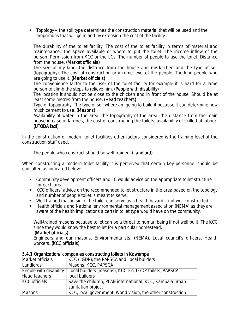$\blacksquare$  Topology – the soil type determines the construction material that will be used and the proportions that will go in and by extension the cost of the facility.

*The durability of the toilet facility. The cost of the toilet facility in terms of material and*  maintenance. The space available or where to put the toilet. The income inflow of the *person. Permission from KCC or the LCs. The number of people to use the toilet. Distance*  from the house. (Market officials)

*The size of my land, the distance from the house and my kitchen and the type of soil (topography), The cost of construction or income level of the people. The kind people who are going to use it. (Market officials) officials)* 

*The convenience factor to the user of the toilet facility for example it is hard for a lame person to climb the steps to relieve him. (People with disability) (People with disability)* 

*The location it should not be close to the chicken and in front of the house. Should be at least some metres from the house. (Head teachers)* 

*Type of topography. The type of soil where am going to build it because it can determine how much cement to use. (Masons) (Masons) (Masons)* 

*Availability of water in the area, the topography of the area, the distance from the main house in case of latrines, the cost of constructing the toilets, availability of skilled of labour. (UTODA taxi) (UTODA taxi)*

In the construction of modern toilet facilities other factors considered is the training level of the construction staff used.

## *The people who construct should be well trained. (Landlord)*

When constructing a modern toilet facility it is perceived that certain key personnel should be consulted as indicated below:

- Community development officers and LC would advice on the appropriate toilet structure for each area.
- KCC officers' advice on the recommended toilet structure in the area based on the topology and number of people toilet is meant to serve.
- Well-trained mason since the toilet can serve as a health hazard if not well constructed.
- Health officials and National environmental management association (NEMA) as they are aware of the health implications a certain toilet type would have on the community.

*Well-trained masons because toilet can be a threat to human being if not well built. The KCC since they would know the best toilet for a particular homestead.* 

### *(Market officials) (Market officials) officials)*

*Engineers and our masons. Environmentalists. (NEMA). Local council's officers, Health workers.* (**KCC officials**)

| Market officials       | KCC (LGDP), the PAPSCA and Local builders                                       |
|------------------------|---------------------------------------------------------------------------------|
| Landlords              | Masons, KCC, PAPSCA                                                             |
| People with disability | Local builders (masons), KCC e.g. LGDP toilets, PAPSCA                          |
| Head teachers          | local builders                                                                  |
| <b>KCC</b> officials   | Save the children, PLAN international, KCC, Kampala urban<br>sanitation project |
| <b>Masons</b>          | KCC, local government, World vision, the other construction                     |

### 5.4.1 Organization/ companies constructing toilets in Kawempe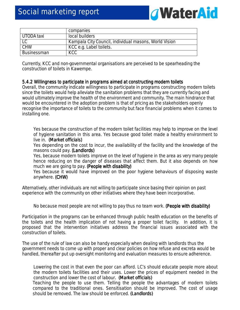

|             | companies                                             |
|-------------|-------------------------------------------------------|
| UTODA taxi  | local builders                                        |
| LC          | Kampala City Council, individual masons, World Vision |
| <b>CHW</b>  | KCC e.g. Label toilets.                               |
| Businessman | <b>KCC</b>                                            |

Currently, KCC and non-governmental organisations are perceived to be spearheading the construction of toilets in Kawempe.

#### 5.4.2 Willingness to participate in programs aimed at constructing modern toilets

Overall, the community indicate willingness to participate in programs constructing modern toilets since the toilets would help alleviate the sanitation problems that they are currently facing and would ultimately improve the health of the environment and community. The main hindrance that would be encountered in the adoption problem is that of pricing as the stakeholders openly recognise the importance of toilets to the community but face financial problems when it comes to installing one.

*Yes because the construction of the modern toilet facilities may help to improve on the level of hygiene sanitation in this area. Yes because good toilet made a healthy environment to live in. (Market officials)* 

*Yes depending on the cost to incur, the availability of the facility and the knowledge of the masons could pay. (Landlords) (Landlords)* 

*Yes, because modern toilets improve on the level of hygiene in the area as very many people hence reducing on the danger of diseases that affect them. But it also depends on how much we are going to pay. (People with disability)* 

*Yes because it would have improved on the poor hygiene behaviours of disposing waste anywhere. (CHW)* 

Alternatively, other individuals are not willing to participate since basing their opinion on past experience with the community on other initiatives where they have been incorporative.

#### *No because most people are not willing to pay thus no team work. (People with disability) disability)*

Participation in the programs can be enhanced through public health education on the benefits of the toilets and the health implication of not having a proper toilet facility. In addition, it is proposed that the intervention initiatives address the financial issues associated with the construction of toilets.

The use of the rule of law can also be handy especially when dealing with landlords thus the government needs to come up with proper and clear policies on how refuse and excreta would be handled, thereafter put up oversight monitoring and evaluation measures to ensure adherence.

*Lowering the cost in that even the poor can afford. LC's should educate people more about the modern toilets facilities and their uses. Lower the prices of equipment needed in the*  construction and lower the cost of labour. (Market officials) *Teaching the people to use them. Telling the people the advantages of modern toilets compared to the traditional ones. Sensitisation should be improved. The cost of usage should be removed. The law should be enforced. (Landlords) (Landlords)*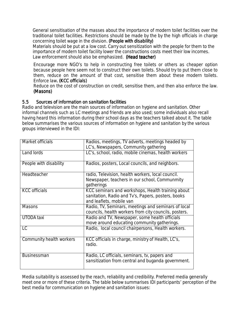*General sensitisation of the masses about the importance of modern toilet facilities over the traditional toilet facilities. Restrictions should be made by the by the high officials in charge concerning toilet wage in the division. (People with disability)* 

Materials should be put at a low cost. Carry out sensitization with the people for them to the importance of modern toilet facility lower the constructions costs meet their low incomes. Law enforcement should also be emphasized. (Head teacher)

*Encourage more NGO's to help in constructing free toilets or others as cheaper option because people here seem not to construct their own toilets. Should try to put them close to them, reduce on the amount of that cost, sensitise them about these modern toilets. Enforce law. (KCC officials) . officials)* 

*Reduce on the cost of construction on credit, sensitise them, and then also enforce the law. (Masons) (Masons)* 

### 5.5 Sources of information on sanitation facilities

Radio and television are the main sources of information on hygiene and sanitation. Other informal channels such as LC meetings and friends are also used; some individuals also recall having heard this information during their school days as the teachers talked about it. The table below summarises the various sources of information on hygiene and sanitation by the various groups interviewed in the IDI:

| Market officials         | Radios, meetings, TV adverts, meetings headed by      |
|--------------------------|-------------------------------------------------------|
|                          | LC's, Newspapers, Community gathering                 |
| Land lords               | LC's, school, radio, mobile cinemas, health workers   |
|                          |                                                       |
| People with disability   | Radios, posters, Local councils, and neighbors.       |
|                          |                                                       |
| Headteacher              | radio, Television, health workers, local council.     |
|                          | Newspaper, teachers in our school, Communmity         |
|                          | gatherings                                            |
| <b>KCC</b> officials     | KCC seminars and workshops, Health training about     |
|                          | sanitation, Radio and Tv's, Papers, posters, books    |
|                          | and leaflets, mobile van                              |
| <b>Masons</b>            | Radio, TV, Seminars, meetings and seminars of local   |
|                          | councils, health workers from city councils, posters. |
| UTODA taxi               | Radio and TV, Newspaper, some health officials        |
|                          | move around educating community gatherings.           |
| LC                       | Radio, local council chairpersons, Health workers.    |
|                          |                                                       |
| Community health workers | KCC officials in charge, ministry of Health, LC's,    |
|                          | radio.                                                |
|                          |                                                       |
| <b>Businessman</b>       | Radio, LC officials, seminars, tv, papers and         |
|                          | sansitization from central and buganda government.    |
|                          |                                                       |

Media suitability is assessed by the reach, reliability and credibility. Preferred media generally meet one or more of these criteria. The table below summarises IDI participants' perception of the best media for communication on hygiene and sanitation issues: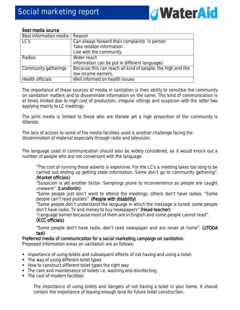

#### Best media source

| Best information media | Reason                                                      |
|------------------------|-------------------------------------------------------------|
| LC's                   | Can always forward their complaints in person               |
|                        | Take reliable information                                   |
|                        | Live with the community                                     |
| Radios                 | Wider reach                                                 |
|                        | Information can be put in different languages               |
| Community gatherings   | Because this can reach all kind of people, the high and the |
|                        | low income earners.                                         |
| Health officials       | Well informed on health issues                              |

The importance of these sources of media in sanitation is their ability to sensitise the community on sanitation matters and to disseminate information on the same. This kind of communication is at times limited due to high cost of production, irregular sittings and suspicion with the latter two applying mainly to LC meetings.

The print media is limited to those who are literate yet a high proportion of the community is illiterate.

The lack of access to some of the media facilities used is another challenge facing the dissemination of material especially through radio and television.

The language used in communication should also be widely considered, as it would knock out a number of people who are not conversant with the language.

*"The cost of running these adverts is expensive. For the LC's a meeting takes too long to be carried out ending up getting state information. Some don't go to community gathering". (Market officials) (Market officials) (Market officials)* 

*"Suspicion is yet another factor. Samplings prone to inconvenience as people are caught unaware". (Landlords) (Landlords)* 

*"Some people just don't want to attend the meetings, others don't have radios. "Some people can't read posters". (People with disability)* 

*"Some people don't understand the language in which the message is tuned; some people*  don't have radio, TV and money to buy newspapers" (**Head teacher)** 

"Language barrier because most of them are in English and some people cannot read". (KCC officials)

*"Some people don't have radio, don't read newspaper and are never at home". (UTODA taxi)* 

### Preferred media of communication for a social marketing campaign on sanitation.

Proposed information areas on sanitation are as follows:

- **Importance of using toilets and subsequent effects of not having and using a toilet.**
- The way of using different toilet types
- How to construct different toilet types the right way
- The care and maintenance of toilets i.e. washing and disinfecting
- The cost of modern facilities

*The importance of using toilets and dangers of not having a toilet in your home. It should contain the importance of leaving enough land for future toilet construction.*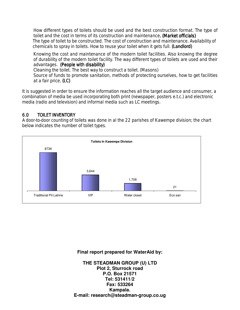*How different types of toilets should be used and the best construction format. The type of toilet and the cost in terms of its construction and maintenance. (Market officials)* The type of toilet to be constructed. The cost of construction and maintenance. Availability of chemicals to spray in toilets. How to reuse your toilet when it gets full. (Landlord)

*Knowing the cost and maintenance of the modern toilet facilities. Also knowing the degree of durability of the modern toilet facility. The way different types of toilets are used and their advantages. (People with disability) disability) Cleaning the toilet. The best way to construct a toilet. (Masons) Source of funds to promote sanitation, methods of protecting ourselves, how to get facilities at a fair price. (LC)* 

It is suggested in order to ensure the information reaches all the target audience and consumer, a combination of media be used incorporating both print (newspaper, posters e.t.c.) and electronic media (radio and television) and informal media such as LC meetings.

# 6.0 TOILET INVENTORY

A door-to-door counting of toilets was done in al the 22 parishes of Kawempe division; the chart below indicates the number of toilet types.



### **Final report prepared for WaterAid by:**

**THE STEADMAN GROUP (U) LTD Plot 2, Sturrock road P.O. Box 21571 Tel: 531411/2 Fax: 533264 Kampala. E-mail: research@steadman-group.co.ug**